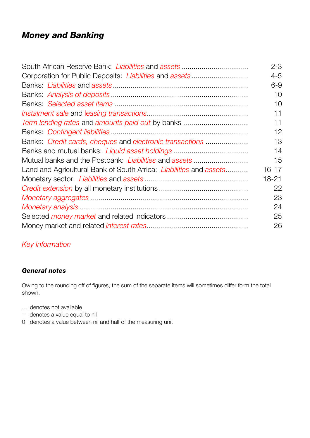## *Money and Banking*

| Corporation for Public Deposits: Liabilities and assets<br>Term lending rates and amounts paid out by banks<br>Banks: Credit cards, cheques and electronic transactions<br>Banks and mutual banks: Liquid asset holdings<br>Mutual banks and the Postbank: Liabilities and assets<br>Land and Agricultural Bank of South Africa: Liabilities and assets | South African Reserve Bank: Liabilities and assets | $2 - 3$   |
|---------------------------------------------------------------------------------------------------------------------------------------------------------------------------------------------------------------------------------------------------------------------------------------------------------------------------------------------------------|----------------------------------------------------|-----------|
|                                                                                                                                                                                                                                                                                                                                                         |                                                    | $4 - 5$   |
|                                                                                                                                                                                                                                                                                                                                                         |                                                    | $6 - 9$   |
|                                                                                                                                                                                                                                                                                                                                                         |                                                    | 10        |
|                                                                                                                                                                                                                                                                                                                                                         |                                                    | 10        |
|                                                                                                                                                                                                                                                                                                                                                         |                                                    | 11        |
|                                                                                                                                                                                                                                                                                                                                                         |                                                    | 11        |
|                                                                                                                                                                                                                                                                                                                                                         |                                                    | 12        |
|                                                                                                                                                                                                                                                                                                                                                         |                                                    | 13        |
|                                                                                                                                                                                                                                                                                                                                                         |                                                    | 14        |
|                                                                                                                                                                                                                                                                                                                                                         |                                                    | 15        |
|                                                                                                                                                                                                                                                                                                                                                         |                                                    | $16 - 17$ |
|                                                                                                                                                                                                                                                                                                                                                         |                                                    | 18-21     |
|                                                                                                                                                                                                                                                                                                                                                         |                                                    | 22        |
|                                                                                                                                                                                                                                                                                                                                                         |                                                    | 23        |
|                                                                                                                                                                                                                                                                                                                                                         |                                                    | 24        |
|                                                                                                                                                                                                                                                                                                                                                         |                                                    | 25        |
|                                                                                                                                                                                                                                                                                                                                                         |                                                    | 26        |

## *Key Information*

## *General notes*

Owing to the rounding off of figures, the sum of the separate items will sometimes differ form the total shown.

- ... denotes not available
- denotes a value equal to nil
- 0 denotes a value between nil and half of the measuring unit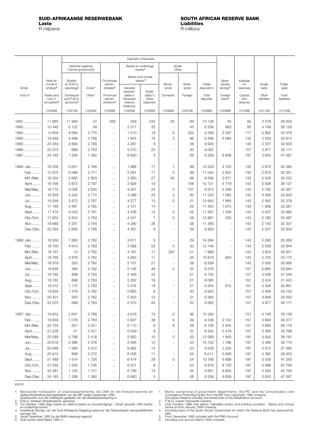<span id="page-1-0"></span>

|                  |                                                  |                                                  |                    |                                                 |                                            | Deposito's/Deposits                       |                                         |                 |                      |                                |                            |                      |                      |
|------------------|--------------------------------------------------|--------------------------------------------------|--------------------|-------------------------------------------------|--------------------------------------------|-------------------------------------------|-----------------------------------------|-----------------|----------------------|--------------------------------|----------------------------|----------------------|----------------------|
|                  |                                                  | Sentrale regering                                | Central government |                                                 |                                            | Banke en onderlinge<br>banke <sup>3</sup> |                                         | Ander<br>Other  |                      |                                |                            |                      |                      |
|                  | Note en                                          | Skatkis-                                         |                    | Provinsiale                                     |                                            | Banks and mutual<br>banks <sup>3</sup>    |                                         |                 |                      | Buite-                         | Kapitaal                   |                      |                      |
| Einde            | munte in<br>omloop <sup>6</sup>                  | en B.M.G.<br>rekeninge <sup>2</sup>              | Ander <sup>1</sup> | admini-<br>strasies <sup>5</sup>                | Vereiste                                   |                                           | Binne-<br>lands                         | Buite-<br>lands | Totale<br>deposito's | landse<br>lenings <sup>4</sup> | en<br>reserwes             | Ander<br>laste       | Totale<br>laste      |
| End of           | Notes and<br>coin in<br>circulation <sup>6</sup> | Exchequer<br>and P.M.G.<br>accounts <sup>2</sup> | Other <sup>1</sup> | Provincial<br>admini-<br>strations <sup>5</sup> | reserwe-<br>saldo's<br>Required<br>reserve | Ander<br>saldo's<br>Other<br>balances     | Domestic                                | Foreign         | Total<br>deposits    | Foreign<br>loans <sup>4</sup>  | Capital<br>and<br>reserves | Other<br>liabilities | Total<br>liabilities |
|                  | (1000M)                                          | (1001M)                                          | (1002M)            | (1003M)                                         | balances<br>(1004M)                        | (1005M)                                   | (1006M)                                 | (1007M)         | (1008M)              | (1009M)                        | (1010M)                    | (1011M)              | (1012M)              |
|                  |                                                  |                                                  |                    |                                                 |                                            |                                           |                                         |                 |                      |                                |                            |                      |                      |
| $1991$           | 11 680                                           | 11 984                                           | 27                 | 265                                             | 529                                        | 232                                       | 30                                      | 69              | 13 1 36              | 45                             | 80                         | 3 3 7 9              | 28 320               |
| 1992             | 12 4 4 5                                         | 6 1 2 2                                          | 48                 | $\cdots$                                        | 2 3 1 7                                    | 25                                        | $\overline{\phantom{a}}$                | 45              | 8556                 | 882                            | 95                         | 4 1 4 9              | 26 128               |
| 1993             | 12 804                                           | 4 6 9 9                                          | 2770               | $\cdots$                                        | 1510                                       | 19                                        | 6                                       | 324             | 9 3 2 8              | 5 2 6 7                        | 117                        | 2 9 6 2              | 30 478               |
| $1994$           | 16848                                            | 4 4 6 8                                          | 2768               | $\cdots$                                        | 1945                                       | 16                                        | $\overline{c}$                          | 96              | 9 2 9 6              | 5 0 8 4                        | 132                        | 2553                 | 33 912               |
| 1995             | 20 354                                           | 2858                                             | 2768               | $\cdots$                                        | 4 2 6 7                                    | 8                                         | $\overline{\phantom{a}}$                | 29              | 9929                 | ÷,                             | 143                        | 2 2 0 7              | 32 633               |
| 1996             | 22 075                                           | 689                                              | 2 7 6 3            | $\cdots$                                        | 5570                                       | 20                                        | $\sim$                                  | 20              | 9 0 6 2              | ä,                             | 157                        | 3877                 | 35 171               |
| 1997             | 24 183                                           | 1 206                                            | 1 3 8 2            | $\cdots$                                        | 6640                                       | 5                                         | $\sim$                                  | 26              | 9 2 5 8              | 9809                           | 197                        | 3650                 | 47 097               |
| 1995: Jan        | 16 236                                           | 5 6 5 1                                          | 2766               | $\ldots$                                        | 1986                                       | 17                                        | $\mathbf{1}$                            | 99              | 10 520               | 4724                           | 132                        | 2672                 | 34 283               |
| Feb.             | 15 870                                           | 6 0 66                                           | 2771               | $\cdots$                                        | 2 0 9 1                                    | 17                                        | $\circ$                                 | 99              | 11 044               | 3602                           | 132                        | 2673                 | 33 321               |
| Mrt./Mar         | 16 304                                           | 2 6 6 5                                          | 2 803              | $\cdots$                                        | 3 9 5 0                                    | 27                                        | 45                                      | 98              | 9589                 | 3671                           | 132                        | 2 5 2 6              | 32 222               |
| April            | 16 556                                           | 3873                                             | 2797               | $\cdots$                                        | 3926                                       | 19                                        | $\overline{\phantom{m}}$                | 106             | 10721                | 5779                           | 143                        | 2928                 | 36 127               |
| Mei/May          | 16710                                            | 3 0 0 6                                          | 2830               | $\cdots$                                        | 4 0 0 7                                    | 24                                        | $\circ$                                 | 107             | 9974                 | 2 3 4 8                        | 143                        | 4 1 9 2              | 33 367               |
| Jun.             | 16 629                                           | 4 2 4 2                                          | 2 7 7 4            | $\cdots$                                        | 4 0 9 8                                    | 23                                        | $\overline{c}$                          | 82              | 11 2 20              | 1593                           | 143                        | 4 3 5 8              | 33 943               |
| <b>Jul</b>       | 16 939                                           | 3872                                             | 2767               | $\cdots$                                        | 4 2 7 7                                    | 12                                        | $\mathbf 0$                             | 21              | 10 950               | 1984                           | 143                        | 2 3 6 2              | 32 378               |
| Aug              | 17 185                                           | 4 4 9 7                                          | 2765               | $\ldots$                                        | 4 1 5 1                                    | 14                                        |                                         | 26              | 11 453               | 1675                           | 143                        | 1806                 | 32 261               |
| Sept             | 17475                                            | 4533                                             | 2781               | $\ldots$                                        | 4 2 3 6                                    | 12                                        | $\circ$                                 | 25              | 11 587               | 1 3 3 8                        | 143                        | 2 4 3 7              | 32 980               |
| Okt./Oct         | 17853                                            | 5842                                             | 2 7 6 3            | $\ldots$                                        | 4 3 4 1                                    | $\overline{7}$                            | $\circ$                                 | 28              | 12 981               | 325                            | 143                        | 2 1 8 5              | 33 487               |
| Nov              | 18 680                                           | 4 2 5 7                                          | 2764               | $\cdots$                                        | 4 2 9 0                                    | 26                                        | $\overline{\phantom{a}}$                | 28              | 11 365               | $\frac{1}{2}$                  | 143                        | 2 1 5 0              | 32 337               |
| Des./Dec.        | 20 354                                           | 2858                                             | 2768               | $\cdots$                                        | 4 2 6 7                                    | 8                                         | $\overline{\phantom{a}}$                | 29              | 9929                 | ÷,                             | 143                        | 2 2 0 7              | 32 633               |
|                  |                                                  |                                                  |                    |                                                 |                                            |                                           |                                         |                 |                      |                                |                            |                      |                      |
| 1996: Jan.       | 18 260                                           | 7893                                             | 2762               | $\ldots$                                        | 3671                                       | 9                                         | $\sim$                                  | 29              | 14 3 64              | ÷,                             | 143                        | 2 2 9 3              | 35 059               |
| Feb.             | 18 150                                           | 4910                                             | 2 7 6 3            | $\cdots$                                        | 4 3 8 8                                    | 55                                        | $\circ$                                 | 30              | 12 145               | ÷,                             | 143                        | 2 5 0 6              | 32 944               |
| Mrt./Mar         | 18 167                                           | 10                                               | 2762               | $\cdots$                                        | 4787                                       | 11                                        | 297                                     | 21              | 7888                 | ÷,                             | 143                        | 2 803                | 29 001               |
| April<br>Mei/May | 18792<br>18579                                   | 2876<br>320                                      | 2 7 6 2<br>2762    | $\cdots$                                        | 4943<br>5 1 5 7                            | 11<br>21                                  | $\sim$                                  | 25<br>28        | 10 618<br>8 2 8 9    | 920<br>ä,                      | 143<br>143                 | 2 700<br>3056        | 33 172<br>30 066     |
| Jun.             | 18 646                                           | 366                                              | 2762               | $\cdots$                                        | 5 1 4 6                                    | 48                                        | $\overline{\phantom{a}}$<br>$\mathbf 0$ | 55              | 8 3 7 6              | ÷,                             | 157                        | 2 6 6 5              | 29 844               |
| <b>Jul</b>       | 19 182                                           | 898                                              | 2 7 6 3            | $\ldots$                                        | 5 4 4 8                                    | 22                                        |                                         | 21              | 9 1 5 2              | ÷,                             | 157                        | 3 0 5 8              | 31 549               |
| Aug              | 18782                                            | 896                                              | 2 7 6 3            | $\ldots$                                        | 5 3 6 2                                    | 18                                        | $\overline{\phantom{a}}$                | 21              | 9060                 | $\overline{\phantom{m}}$       | 157                        | 3 4 2 4              | 31 423               |
| Sept             | 19312                                            | 1 1 7 3                                          | 2763               | $\cdots$                                        | 5 3 7 8                                    | 19                                        | $\sim$                                  | 21              | 9 3 5 4              | 612                            | 157                        | 3 4 2 6              | 32 861               |
| Okt./Oct         | 19 634                                           | 1479                                             | 2762               | $\cdots$                                        | 5 6 6 3                                    | 9                                         |                                         | 20              | 9933                 |                                | 157                        | 3 4 0 6              | 33 130               |
| Nov              | 20 401                                           | 555                                              | 2762               | $\cdots$<br>$\ldots$                            | 5933                                       | 13                                        |                                         | 21              | 9 2 8 4              | $\overline{\phantom{a}}$       | 157                        | 3 608                | 33 450               |
| Des./Dec.        | 22 075                                           | 689                                              | 2 7 6 3            |                                                 | 5570                                       | 20                                        | $\overline{\phantom{a}}$                | 20              | 9 0 6 2              | $\frac{1}{2}$                  | 157                        | 3877                 | 35 171               |
|                  |                                                  |                                                  |                    | $\ldots$                                        |                                            |                                           |                                         |                 |                      |                                |                            |                      |                      |
| 1997: Jan.       | 19 952                                           | 2647                                             | 2769               | $\cdots$                                        | 4818                                       | 13                                        | $\mathsf{O}\xspace$                     | 36              | 10 283               |                                | 157                        | 4746                 | 35 139               |
| Feb.             | 19849                                            | 1079                                             | 2763               | $\ldots$                                        | 5 6 27                                     | 38                                        | $\mathsf{O}\xspace$                     | 29              | 9536                 | 2 1 4 2                        | 157                        | 3894                 | 35 577               |
| Mrt./Mar         | 20 754                                           | 551                                              | 2 4 2 1            | $\cdots$                                        | 6 1 1 0                                    | 9                                         | $\boldsymbol{9}$                        | 29              | 9 1 2 9              | 2 4 5 5                        | 157                        | 3683                 | 36 179               |
| April            | 21 226                                           | 51                                               | 2 4 2 1            | $\ldots$                                        | 6 0 3 9                                    | 9                                         |                                         | 22              | 8542                 | 2 4 7 9                        | 157                        | 3 3 6 4              | 35 768               |
| Mei/May          | 20 589                                           | 3798                                             | 2418               | $\cdots$                                        | 5820                                       | 10                                        | $\mathsf{O}\xspace$                     | 23              | 12 069               | 1845                           | 197                        | 3 4 9 2              | 38 191               |
| Jun.             | 20 616                                           | 2 3 9 6                                          | 2078               | $\ldots$                                        | 5 5 9 5                                    | 10                                        |                                         | 23              | 10 102               | 1786                           | 197                        | 3 4 6 9              | 36 170               |
| Jul              | 20 948                                           | 1 3 6 8                                          | 2072               | $\ldots$                                        | 6 0 62                                     | 14                                        | $\overline{\phantom{a}}$                | 23              | 9539                 | 3 2 0 4                        | 197                        | 3572                 | 37 460               |
| Aug              | 20 914                                           | 898                                              | 2072               | $\ldots$                                        | 6 0 0 6                                    | 11                                        |                                         | 24              | 9011                 | 5949                           | 197                        | 3 3 8 2              | 39 453               |
| Sept             | 21 489                                           | 1914                                             | 1726               | $\ldots$                                        | 6474                                       | 28                                        | $\mathsf{O}\xspace$                     | 24              | 10 166               | 5889                           | 197                        | 3509                 | 41 250               |
| Okt./Oct         | 21 532                                           | 1525                                             | 1726               | $\ldots$                                        | 6531                                       | 8                                         |                                         | 25              | 9816                 | 8726                           | 197                        | 3 4 6 8              | 43 739               |
| Nov              | 22 461                                           | 1 1 2 5                                          | 1727               | $\cdots$                                        | 6759                                       | 15                                        |                                         | 25              | 9651                 | 9854                           | 197                        | 3593                 | 45 756               |
| Des./Dec.        | 24 183                                           | 1 2 0 6                                          | 1 3 8 2            |                                                 | 6 6 4 0                                    | 5                                         |                                         | 26              | 9 2 5 8              | 9809                           | 197                        | 3650                 | 47 097               |

Bestaande hoofsaaklik uit staatsdepartemente, die OBK en die Kompenserende en<br>Gebeurlikheidsfinansieringsfasiliteit van die IMF sedert Desember 1993.<br>Skatkissaldo sluit die onbelegde gedeelte van die Stabilisasierekening i 1.

2. 3.

aanvaar het. Vanaf Desember 1992 by die BMG-rekening ingesluit. Sluit munte vanaf Maart 1994 in. 4.

5. 6.

Mainly comprising of government departments, the PIC and the Compensatory and<br>Contingency Financing Facility from the IMF from December 1993 onwards.<br>Exchequer balance includes uninvested part of the Stabilisation Account. 1.

2. 3.

4.

5. 6.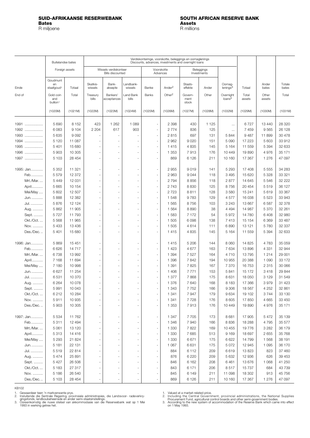### <span id="page-2-0"></span>**SUID-AFRIKAANSE RESERWEBANK SOUTH AFRICAN RESERVE BANK Bates Assets** R miljoene R millions

|           | Buitelandse bates                        |                |                     |                                                  |                      | Verdiskonteringe, voorskotte, beleggings en oornaglenings<br>Discounts, advances, investments and overnight loans |                        |                          |                           |                                 |                 |                 |                 |
|-----------|------------------------------------------|----------------|---------------------|--------------------------------------------------|----------------------|-------------------------------------------------------------------------------------------------------------------|------------------------|--------------------------|---------------------------|---------------------------------|-----------------|-----------------|-----------------|
|           |                                          | Foreign assets |                     | Wissels verdiskonteer<br><b>Bills discounted</b> |                      |                                                                                                                   | Voorskotte<br>Advances |                          | Beleggings<br>Investments |                                 |                 |                 |                 |
| Einde     | Goudmunt<br>en<br>staafgoud <sup>1</sup> | Totaal         | Skatkis-<br>wissels | Bank-<br>aksepte                                 | Landbank-<br>wissels | Banke                                                                                                             | Ander <sup>2</sup>     | Staats-<br>effekte       | Ander                     | Oornag-<br>lening <sup>3</sup>  | Totaal          | Ander<br>bates  | Totale<br>bates |
| End of    | Gold coin<br>and<br>bullion <sup>1</sup> | Total          | Treasury<br>bills   | <b>Bankers</b><br>acceptances                    | Land Bank<br>bills   | Banks                                                                                                             | Other <sup>2</sup>     | Govern-<br>ment<br>stock | Other                     | Overnight<br>loans <sup>3</sup> | Total<br>assets | Other<br>assets | Total           |
|           | (1020M)                                  | (1021M)        | (1022M)             | (1023M)                                          | (1024M)              | (1025M)                                                                                                           | (1026M)                | (1027M)                  | (1028M)                   | (1032M)                         | (1029M)         | (1030M)         | (1031M)         |
| 1991      | 5 6 9 0                                  | 8 1 5 2        | 423                 | 1 2 6 2                                          | 1 0 8 9              | ÷,                                                                                                                | 2 3 9 8                | 430                      | 1 1 2 5                   | $\ldots$                        | 6727            | 13 440          | 28 3 20         |
| 1992      | 6083                                     | 9 1 0 4        | 2 2 0 4             | 617                                              | 903                  | $\overline{\phantom{a}}$                                                                                          | 2 7 7 4                | 836                      | 125                       | $\cdots$                        | 7459            | 9565            | 26 128          |
| 1993      | 5 6 3 5                                  | 9092           |                     |                                                  |                      | $\overline{\phantom{a}}$                                                                                          | 2815                   | 697                      | 131                       | 5844                            | 9487            | 11899           | 30 478          |
| 1994<br>. | 5 1 2 0                                  | 11 087         |                     |                                                  |                      | $\overline{\phantom{a}}$                                                                                          | 2 9 6 2                | 9020                     | 151                       | 5 0 9 0                         | 17 223          | 5 603           | 33 912          |
| 1995      | 5 4 0 1                                  |                |                     | ÷.                                               |                      | ÷.                                                                                                                |                        |                          |                           |                                 | 11 559          |                 |                 |
|           |                                          | 15 680         |                     |                                                  |                      |                                                                                                                   | 1415                   | 4835                     | 145                       | 5 1 6 4                         |                 | 5 3 9 4         | 32 633          |
| 1996      | 5903                                     | 10 305         |                     | ٠                                                |                      | ÷,                                                                                                                | 1 3 5 3                | 7913                     | 176                       | 10 449                          | 19890           | 4976            | 35 171          |
| 1997      | 5 1 0 3                                  | 28 454         |                     |                                                  |                      | ÷,                                                                                                                | 869                    | 6 1 2 6                  | 211                       | 10 160                          | 17 367          | 1 2 7 6         | 47 097          |
| 1995: Jan | 5 3 5 2                                  | 11 321         |                     |                                                  |                      | $\overline{\phantom{0}}$                                                                                          | 2955                   | 9019                     | 141                       | 5 2 9 3                         | 17 408          | 5 5 5 5         | 34 283          |
| Feb       | 5579                                     | 12 372         |                     | ä,                                               |                      | $\frac{1}{2}$                                                                                                     | 2963                   | 9044                     | 118                       | 3 4 9 5                         | 15 6 20         | 5 3 2 8         | 33 321          |
| Mrt./Mar  | 5 4 4 9                                  | 12 031         |                     |                                                  |                      | $\overline{\phantom{a}}$                                                                                          | 2794                   | 8856                     | 118                       | 2877                            | 14 645          | 5546            | 32 222          |
| April     | 5 6 6 5                                  | 10 154         |                     | ٠                                                |                      | ÷,                                                                                                                | 2743                   | 8830                     | 125                       | 8756                            | 20 454          | 5519            | 36 127          |
| Mei/May   | 5 602                                    | 12 507         |                     | $\sim$                                           |                      | $\overline{\phantom{a}}$                                                                                          | 2723                   | 8811                     | 128                       | 3580                            | 15 241          | 5619            | 33 367          |
|           | 5888                                     | 12 3 8 2       |                     |                                                  |                      | $\overline{\phantom{a}}$                                                                                          | 1548                   | 9783                     | 129                       | 4577                            | 16 038          | 5 5 2 3         | 33 943          |
| Jun.      |                                          |                |                     |                                                  |                      |                                                                                                                   |                        |                          |                           |                                 |                 |                 |                 |
| Jul.      | 5 8 7 6                                  | 12 124         |                     |                                                  |                      | ÷,                                                                                                                | 1 5 6 5                | 8756                     | 103                       | 3 2 4 3                         | 13 667          | 6587            | 32 378          |
| Aug.      | 5862                                     | 11 905         |                     | ÷,                                               |                      | ä,                                                                                                                | 1 5 6 4                | 8890                     | 38                        | 4 4 9 4                         | 14 987          | 5 3 7 0         | 32 261          |
| Sept.     | 5727                                     | 11 793         |                     |                                                  |                      | ÷,                                                                                                                | 1583                   | 7 172                    | 54                        | 5972                            | 14780           | 6408            | 32 980          |
| Okt./Oct  | 5 5 6 8                                  | 11 965         |                     |                                                  |                      | $\frac{1}{2}$                                                                                                     | 1 505                  | 6098                     | 138                       | 7413                            | 15 154          | 6 3 6 9         | 33 487          |
| Nov.      | 5 4 3 3                                  | 13 4 36        |                     |                                                  |                      | ÷,                                                                                                                | 1 505                  | 4614                     | 111                       | 6890                            | 13 121          | 5780            | 32 337          |
| Des./Dec  | 5 4 0 1                                  | 15 680         |                     |                                                  |                      | ä,                                                                                                                | 1415                   | 4835                     | 145                       | 5 1 6 4                         | 11 559          | 5 3 9 4         | 32 633          |
| 1996: Jan | 5869                                     | 15 451         |                     |                                                  |                      | ÷,                                                                                                                | 1415                   | 5 2 0 6                  | 144                       | 8 0 6 0                         | 14 8 25         | 4783            | 35 059          |
| Feb       | 6 6 2 6                                  | 14717          |                     | L,                                               |                      | ÷,                                                                                                                | 1423                   | 4677                     | 163                       | 7634                            | 13896           | 4 3 3 1         | 32 944          |
| Mrt./Mar  | 6738                                     | 13 992         | $\overline{a}$      | $\sim$                                           |                      | $\overline{\phantom{a}}$                                                                                          | 1 3 9 4                | 7527                     | 164                       | 4710                            | 13795           | 1 2 1 4         | 29 001          |
| April     | 7 1 6 8                                  | 11 694         |                     |                                                  |                      | $\overline{\phantom{a}}$                                                                                          | 1 3 9 6                | 7842                     | 194                       | 10 955                          | 20 388          | 1 0 9 0         | 33 172          |
| Mei/May   | 7 180                                    | 10 998         |                     |                                                  |                      | ÷,                                                                                                                | 1 3 9 1                | 7825                     | 167                       | 7 3 7 0                         | 16 753          | 2 3 1 5         | 30 066          |
| Jun.      | 6627                                     | 11 254         |                     |                                                  |                      | ÷,                                                                                                                | 1 4 0 6                | 7771                     | 153                       | 5841                            | 15 172          | 3418            | 29 844          |
| Jul.      | 6531                                     | 10 370         |                     |                                                  |                      | $\frac{1}{2}$                                                                                                     | 1 3 7 7                | 7868                     | 175                       | 8631                            | 18 050          | 3 1 2 9         | 31 549          |
| Aug.      | 6 2 6 4                                  | 10 078         |                     |                                                  |                      | $\frac{1}{2}$                                                                                                     | 1 3 7 6                | 7640                     | 168                       | 8 1 8 3                         | 17 366          | 3979            | 31 4 23         |
| Sept.     | 5 991                                    | 10 043         |                     |                                                  |                      | $\frac{1}{2}$                                                                                                     | 1 3 4 3                | 7 752                    | 166                       | 9 3 0 6                         | 18 567          | 4 252           | 32 861          |
| Okt./Oct  | 6212                                     | 10 284         |                     | ä,                                               |                      | ÷,                                                                                                                | 1 3 4 1                | 7947                     | 179                       | 9634                            | 19 102          | 3744            | 33 130          |
| Nov.      | 5911                                     | 10 935         |                     | $\overline{\phantom{a}}$                         |                      | ÷,                                                                                                                | 1 341                  | 7728                     | 176                       | 8 6 0 5                         | 17850           | 4 6 6 5         | 33 450          |
| Des./Dec  | 5 9 0 3                                  | 10 305         |                     | ÷,                                               |                      | $\overline{\phantom{a}}$                                                                                          | 1 3 5 3                | 7913                     | 176                       | 10 449                          | 19890           | 4976            | 35 171          |
| 1997: Jan | 5 5 3 4                                  | 11762          |                     | ٠                                                |                      | $\overline{\phantom{a}}$                                                                                          | 1 3 4 7                | 7705                     | 173                       | 8681                            | 17 905          | 5 4 7 2         | 35 139          |
| Feb       | 5311                                     | 12 4 9 4       |                     |                                                  |                      | $\overline{\phantom{m}}$                                                                                          | 1 3 4 6                | 7940                     | 166                       | 8836                            | 18 288          | 4795            | 35 577          |
| Mrt./Mar  | 5 0 6 1                                  | 13 120         |                     | ÷,                                               |                      | $\overline{\phantom{a}}$                                                                                          | 1 3 3 0                | 7822                     | 169                       | 10 455                          | 19776           | 3 2 8 2         | 36 179          |
| April     | 5313                                     | 14 4 16        |                     |                                                  |                      | $\overline{\phantom{a}}$                                                                                          | 1 3 3 0                | 7685                     | 513                       | 9 1 6 9                         | 18 697          | 2655            | 35 768          |
| Mei/May   | 5 2 9 3                                  | 21 824         |                     | ٠                                                |                      | $\overline{\phantom{m}}$                                                                                          | 1 3 3 0                | 6671                     | 175                       | 6622                            | 14799           | 1568            | 38 191          |
| Jun.      | 5 1 8 1                                  | 22 131         |                     |                                                  |                      | $\overline{\phantom{a}}$                                                                                          | 1 0 6 7                | 6631                     | 175                       | 5 0 7 2                         | 12 945          | 1 0 9 5         | 36 170          |
| Jul.      |                                          |                |                     |                                                  |                      |                                                                                                                   |                        |                          |                           |                                 |                 |                 |                 |
|           | 5519                                     | 22 814         |                     |                                                  |                      | $\overline{\phantom{a}}$                                                                                          | 884                    | 6 1 1 2                  | 209                       | 6619                            | 13 823          | 823             | 37 460          |
| Aug.      | 5 4 7 4                                  | 25 891         |                     |                                                  |                      | $\overline{\phantom{a}}$                                                                                          | 876                    | 6 2 2 0                  | 209                       | 5 6 3 2                         | 12 936          | 626             | 39 453          |
| Sept.     | 5 4 2 7                                  | 26 506         |                     | ÷,                                               |                      | $\overline{\phantom{a}}$                                                                                          | 846                    | 6 1 6 2                  | 208                       | 6461                            | 13 676          | 1 0 6 8         | 41 250          |
| Okt./Oct  | 5 1 8 3                                  | 27 317         |                     |                                                  |                      | ÷,                                                                                                                | 843                    | 6 171                    | 206                       | 8517                            | 15737           | 684             | 43739           |
| Nov.      | 5 1 8 6                                  | 26 540         |                     | $\overline{\phantom{a}}$                         |                      | $\overline{\phantom{m}}$                                                                                          | 845                    | 6 1 4 9                  | 211                       | 11 098                          | 18 302          | 913             | 45 756          |
| Des./Dec  | 5 1 0 3                                  | 28 4 54        |                     |                                                  |                      |                                                                                                                   | 869                    | 6 1 2 6                  | 211                       | 10 160                          | 17 367          | 1 2 7 6         | 47 097          |

KB102

1. Gewaardeer teen 'n markverwante prys.<br>2. Insluitende die Sentrale Regering, provinsiale administrasies, die Landsvoor- radeverkry-<br>2. gingsfonds, landboubeheerrade en ander semi-staatsinstellings.<br>3. Ooreenkomstig die n

1. Valued at a market-related price.<br>2. Including the Central Government, provincial administrations, the National Supplies<br>1. Procurement Fund, agricultural control boards and other semi-government bodies.<br>3. According to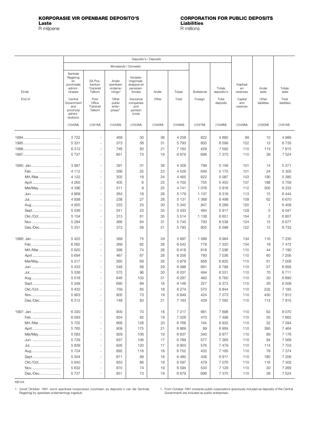<span id="page-3-0"></span>**KORPORASIE VIR OPENBARE DEPOSITO'S CORPORATION FOR PUBLIC DEPOSITS** R miljoene

|            |                                                                  |                                          |                                                     | Binnelands / Domestic                                       |         |         |                   |                      |                            |                |                 |
|------------|------------------------------------------------------------------|------------------------------------------|-----------------------------------------------------|-------------------------------------------------------------|---------|---------|-------------------|----------------------|----------------------------|----------------|-----------------|
| Einde      | Sentrale<br>Regering<br>en<br>provinsiale<br>admini-<br>strasies | SA Pos-<br>kantoor<br>Transnet<br>Telkom | Ander<br>openbare<br>onderne-<br>mings <sup>1</sup> | Verseke-<br>ringsmaat-<br>skappye en<br>pensioen-<br>fondse | Ander   | Totaal  | <b>Buitelands</b> | Totale<br>deposito's | Kapitaal<br>en<br>reserwes | Ander<br>laste | Totale<br>laste |
| End of     | Central                                                          | Post                                     | Other                                               | Insurance                                                   | Other   | Total   | Foreign           | Total                | Capital                    | Other          | Total           |
|            | Government<br>and<br>provincial<br>admini-<br>strations          | Office<br>Transnet<br>Telkom             | public<br>enter-<br>prises <sup>1</sup>             | companies<br>and<br>pension<br>funds                        |         |         |                   | deposits             | and<br>reserves            | liabilities    | liabilities     |
|            | (1040M)                                                          | (1041M)                                  | (1042M)                                             | (1043M)                                                     | (1045M) | (1046M) | (1047M)           | (1048M)              | (1049M)                    | (1050M)        | (1051M)         |
|            | 3722                                                             | $\overline{\phantom{a}}$                 | 468                                                 | 30                                                          | 38      | 4 2 5 8 | 622               | 4880                 | 99                         | 10             | 4 9 8 9         |
|            | 5 3 3 1                                                          | ä,                                       | 373                                                 | 58                                                          | 31      | 5 7 9 3 | 805               | 6599                 | 122                        | 12             | 6733            |
|            | 6312                                                             | ÷.                                       | 748                                                 | 83                                                          | 21      | 7 1 6 3 | 429               | 7 5 9 2              | 110                        | 113            | 7815            |
|            | 5 7 3 7                                                          | ä,                                       | 851                                                 | 73                                                          | 19      | 6679    | 696               | 7 3 7 5              | 110                        | 38             | 7 5 2 4         |
|            |                                                                  |                                          |                                                     |                                                             |         |         |                   |                      |                            |                |                 |
| 1995: Jan. | 3897                                                             | ٠                                        | 391                                                 | 31                                                          | 38      | 4 3 5 8 | 799               | 5 1 5 6              | 101                        | 14             | 5 2 7 1         |
| Feb.       | 4 1 1 2                                                          | ä,                                       | 366                                                 | 25                                                          | 23      | 4526    | 649               | 5 1 7 5              | 101                        | 24             | 5 3 0 0         |
| Mrt./Mar   | 4 1 2 2                                                          |                                          | 302                                                 | 18                                                          | 24      | 4 4 6 5 | 622               | 5 0 8 7              | 103                        | 190            | 5 3 8 0         |
| April      | 4 2 6 5                                                          |                                          | 405                                                 | 6                                                           | 25      | 4 700   | 755               | 5 4 5 5              | 107                        | 198            | 5759            |
| Mei/May    | 4 3 9 6                                                          | ä,                                       | 311                                                 | 9                                                           | 25      | 4741    | 1076              | 5816                 | 112                        | 305            | 6 2 3 2         |
| Jun.       | 4869                                                             | ä,                                       | 264                                                 | 18                                                          | 28      | 5 1 7 9 | 1 1 3 7           | 6316                 | 113                        | 15             | 6444            |
|            | 4838                                                             | ä,                                       | 238                                                 | 27                                                          | 28      | 5 1 3 1 | 1 3 6 8           | 6498                 | 109                        | 62             | 6670            |
| Aug.       | 4 9 5 5                                                          | ÷.                                       | 333                                                 | 23                                                          | 30      | 5 3 4 2 | 947               | 6 2 8 9              | 120                        | 1              | 6409            |
| Sept       | 5036                                                             |                                          | 341                                                 | 23                                                          | 33      | 5 4 3 3 | 484               | 5917                 | 129                        | 0              | 6047            |
| Okt./Oct   | 5 104                                                            |                                          | 313                                                 | 61                                                          | 35      | 5514    | 1 1 3 8           | 6651                 | 154                        | 2              | 6807            |
| Nov.       | 5 2 8 4                                                          | $\overline{\phantom{0}}$                 | 366                                                 | 64                                                          | 31      | 5745    | 793               | 6538                 | 124                        | 15             | 6677            |
| Des./Dec   | 5 3 3 1                                                          |                                          | 373                                                 | 58                                                          | 31      | 5793    | 805               | 6599                 | 122                        | 12             | 6733            |
| 1996: Jan. | 5 4 2 5                                                          |                                          | 369                                                 | 75                                                          | 29      | 5897    | 1 0 8 8           | 6984                 | 134                        | 116            | 7 2 3 5         |
| Feb.       | 6 0 62                                                           |                                          | 369                                                 | 82                                                          | 28      | 6542    | 778               | 7 3 2 0              | 134                        | 18             | 7472            |
| Mrt./Mar   | 5920                                                             | ä,                                       | 396                                                 | 74                                                          | 28      | 6418    | 618               | 7 0 36               | 110                        | 44             | 7 190           |
| April      | 5 6 9 4                                                          | ä,                                       | 467                                                 | 67                                                          | 28      | 6 2 5 6 | 780               | 7 0 36               | 110                        | 60             | 7 206           |
| Mei/May    | 5317                                                             |                                          | 565                                                 | 69                                                          | 28      | 5979    | 856               | 6835                 | 110                        | 61             | 7 0 0 6         |
| Jun.       | 5 4 3 3                                                          |                                          | 548                                                 | 88                                                          | 29      | 6 0 9 8 | 691               | 6788                 | 110                        | 57             | 6956            |
|            | 5 3 3 6                                                          |                                          | 575                                                 | 96                                                          | 30      | 6 0 3 7 | 494               | 6531                 | 110                        | 70             | 6711            |
| Aug.       | 5518                                                             | ٠                                        | 646                                                 | 103                                                         | 31      | 6 2 9 7 | 463               | 6760                 | 110                        | 20             | 6890            |
| Sept       | 5 3 4 9                                                          |                                          | 690                                                 | 89                                                          | 18      | 6 1 4 6 | 227               | 6373                 | 110                        | 26             | 6509            |
| Okt./Oct   | 5 4 3 2                                                          |                                          | 759                                                 | 65                                                          | 18      | 6274    | 570               | 6844                 | 110                        | 232            | 7 1 8 5         |
|            | 5953                                                             | $\overline{\phantom{a}}$                 | 805                                                 | 73                                                          | 19      | 6849    | 424               | 7 2 7 3              | 110                        | 430            | 7813            |
| Des./Dec   | 6312                                                             | $\overline{\phantom{a}}$                 | 748                                                 | 83                                                          | 21      | 7 1 6 3 | 429               | 7 5 9 2              | 110                        | 113            | 7815            |
| 1997: Jan. | 6 3 3 0                                                          | $\overline{\phantom{a}}$                 | 800                                                 | 70                                                          | 18      | 7 2 1 7 | 681               | 7898                 | 110                        | 62             | 8070            |
| Feb.       | 6 0 9 3                                                          | $\overline{\phantom{0}}$                 | 834                                                 | 82                                                          | 19      | 7028    | 470               | 7 4 9 8              | 110                        | 55             | 7662            |
| Mrt./Mar   | 5752                                                             | ÷,                                       | 868                                                 | 128                                                         | 20      | 6768    | 164               | 6932                 | 110                        | 52             | 7 0 9 4         |
|            |                                                                  | ä,                                       |                                                     |                                                             |         |         |                   |                      |                            |                |                 |
| April      | 5765                                                             | ä,                                       | 909                                                 | 175                                                         | 21      | 6869    | 89                | 6959                 | 110                        | 395            | 7464            |
| Mei/May    | 5 5 8 3                                                          | ä,                                       | 929                                                 | 106                                                         | 19      | 6637    | 340               | 6977                 | 110                        | 89             | 7 1 7 6         |
| Jun.       | 5729                                                             |                                          | 937                                                 | 106                                                         | 17      | 6789    | 577               | 7 3 6 5              | 110                        | 94             | 7 5 6 9         |
|            | 5839                                                             | $\overline{\phantom{a}}$                 | 926                                                 | 120                                                         | 17      | 6903    | 576               | 7479                 | 110                        | 114            | 7 7 0 3         |
| Aug.       | 5724                                                             | ÷,                                       | 892                                                 | 118                                                         | 18      | 6752    | 433               | 7 1 8 5              | 110                        | 79             | 7 3 7 4         |
| Sept       | 5 5 0 4                                                          | $\overline{\phantom{0}}$                 | 871                                                 | 88                                                          | 18      | 6480    | 436               | 6917                 | 110                        | 180            | 7 2 0 6         |
| Okt./Oct   | 5 6 4 0                                                          | ٠                                        | 853                                                 | 86                                                          | 18      | 6597    | 479               | 7076                 | 110                        | 116            | 7 3 0 2         |
| Nov.       | 5632                                                             | $\overline{\phantom{a}}$                 | 870                                                 | 74                                                          | 19      | 6594    | 534               | 7 1 2 9              | 110                        | 30             | 7 2 6 9         |
| Des./Dec   | 5 7 3 7                                                          |                                          | 851                                                 | 73                                                          | 19      | 6679    | 696               | 7 3 7 5              | 110                        | 38             | 7 5 2 4         |

KB104

1. Vanaf Oktober 1991 word openbare korporasies (voorheen as deposito's van die Sentrale Regering) by openbare ondernemings ingesluit.

1. From October 1991 onwards public corporations (previously included as deposits of the Central Government) are included as public enterprises.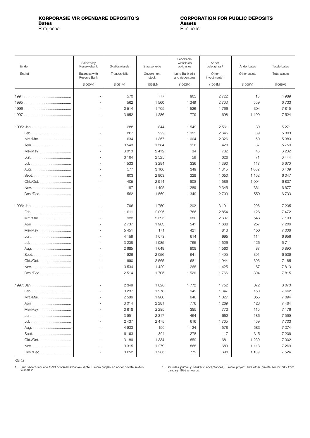## <span id="page-4-0"></span>**KORPORASIE VIR OPENBARE DEPOSITO'S CORPORATION FOR PUBLIC DEPOSITS Bates Assets**

R miljoene R millions

| Einde      | Saldo's by<br>Reserwebank     | Skatkiswissels | Staatseffekte       | Landbank-<br>wissels en<br>obligasies | Ander<br>beleggings <sup>1</sup>  | Ander bates  | Totale bates |
|------------|-------------------------------|----------------|---------------------|---------------------------------------|-----------------------------------|--------------|--------------|
| End of     | Balances with<br>Reserve Bank | Treasury bills | Government<br>stock | Land Bank bills<br>and debentures     | Other<br>investments <sup>1</sup> | Other assets | Total assets |
|            | (1060M)                       | (1061M)        | (1062M)             | (1063M)                               | (1064M)                           | (1065M)      | (1066M)      |
|            |                               | 570            | 777                 | 905                                   | 2722                              | 15           | 4 9 8 9      |
|            |                               | 562            | 1 560               | 1 3 4 9                               | 2 7 0 3                           | 559          | 6733         |
|            |                               | 2514           | 1705                | 1526                                  | 1766                              | 304          | 7815         |
|            |                               | 3652           | 1 2 8 6             | 779                                   | 698                               | 1 109        | 7 5 2 4      |
|            |                               |                |                     |                                       |                                   |              |              |
|            |                               | 288            | 844                 | 1549                                  | 2 5 6 1                           | 30           | 5 2 7 1      |
|            |                               | 267            | 999                 | 1 3 5 1                               | 2645                              | 39           | 5 300        |
| Mrt./Mar   |                               | 634            | 1 3 6 7             | 1 0 0 4                               | 2 3 2 6                           | 50           | 5 3 8 0      |
|            |                               | 3543           | 1 5 8 4             | 116                                   | 428                               | 87           | 5759         |
| Mei/May    |                               | 3010           | 2412                | 34                                    | 732                               | 45           | 6 2 3 2      |
|            |                               | 3 1 6 4        | 2 5 2 5             | 59                                    | 626                               | 71           | 6444         |
|            |                               | 1 533          | 3 2 9 4             | 336                                   | 1 3 9 0                           | 117          | 6670         |
|            |                               | 577            | 3 10 6              | 349                                   | 1315                              | 1 0 6 2      | 6409         |
|            |                               | 603            | 2 9 0 3             | 328                                   | 1 0 5 0                           | 1 1 6 2      | 6047         |
| Okt./Oct   |                               | 405            | 2914                | 808                                   | 1586                              | 1 0 9 4      | 6807         |
|            |                               | 1 1 8 7        | 1 4 9 5             | 1 2 8 9                               | 2 3 4 5                           | 361          | 6677         |
| Des./Dec   |                               | 562            | 1 560               | 1 3 4 9                               | 2 7 0 3                           | 559          | 6733         |
|            |                               |                |                     |                                       |                                   |              |              |
|            |                               | 796            | 1750                | 1 202                                 | 3 1 9 1                           | 296          | 7 2 3 5      |
|            |                               | 1611           | 2 0 9 6             | 786                                   | 2854                              | 126          | 7472         |
| Mrt./Mar   |                               | 933            | 2 3 9 5             | 680                                   | 2637                              | 546          | 7 190        |
|            |                               | 2 7 3 7        | 1983                | 541                                   | 1 688                             | 257          | 7 206        |
| Mei/May    |                               | 5451           | 171                 | 421                                   | 813                               | 150          | 7 0 0 6      |
|            |                               | 4 1 5 9        | 1 0 7 3             | 614                                   | 995                               | 114          | 6956         |
|            |                               | 3 2 0 8        | 1 0 8 5             | 765                                   | 1526                              | 126          | 6711         |
|            |                               | 2685           | 1 649               | 908                                   | 1560                              | 87           | 6890         |
|            |                               | 1926           | 2 0 5 6             | 641                                   | 1495                              | 391          | 6 5 0 9      |
| Okt./Oct   |                               | 1 6 9 0        | 2 5 6 5             | 681                                   | 1944                              | 306          | 7 1 8 5      |
|            |                               | 3534           | 1 4 2 0             | 1 2 6 6                               | 1 4 2 5                           | 167          | 7813         |
| Des./Dec   |                               | 2514           | 1 705               | 1526                                  | 1766                              | 304          | 7815         |
| 1997: Jan. |                               | 2 3 4 9        | 1826                | 1772                                  | 1752                              | 372          | 8 0 7 0      |
|            |                               | 3 2 3 7        | 1978                | 949                                   | 1 3 4 7                           | 150          | 7662         |
| Mrt./Mar   |                               | 2 5 8 6        | 1980                | 646                                   | 1 0 2 7                           | 855          | 7 0 9 4      |
|            |                               | 3014           | 2 2 8 1             | 776                                   | 1 2 6 9                           | 123          | 7464         |
| Mei/May    |                               | 3618           | 2 2 8 5             | 385                                   | 773                               | 115          | 7 1 7 6      |
|            |                               | 3951           | 2317                | 464                                   | 652                               | 186          | 7 5 6 9      |
|            |                               | 2 4 3 7        | 2 4 7 5             | 616                                   | 1705                              | 469          | 7703         |
|            |                               | 4933           | 156                 | 1 1 2 4                               | 578                               | 583          | 7 3 7 4      |
|            |                               | 6 1 9 3        | 304                 | 278                                   | 117                               | 315          | 7 206        |
| Okt./Oct.  |                               | 3 1 8 9        | 1 3 3 4             | 859                                   | 681                               | 1 2 3 9      | 7 3 0 2      |
|            |                               | 3 3 1 5        | 1 2 7 9             | 868                                   | 689                               | 1 1 1 8      | 7 2 6 9      |
| Des./Dec   |                               | 3 6 5 2        | 1 2 8 6             | 779                                   | 698                               | 1 1 0 9      | 7 5 2 4      |

KB103

1. Sluit sedert Januarie 1993 hoofsaaklik bankaksepte, Eskom projek- en ander private sektor-wissels in.

1. Includes primarily bankers' acceptances, Eskom project and other private sector bills from January 1993 onwards.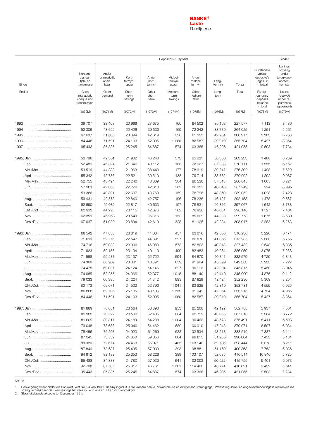

<span id="page-5-0"></span>

|           | Deposito's / Deposits                           |                                        |                           |                          |                             |                            |                 |         |                                                                | Ander                                                          |
|-----------|-------------------------------------------------|----------------------------------------|---------------------------|--------------------------|-----------------------------|----------------------------|-----------------|---------|----------------------------------------------------------------|----------------------------------------------------------------|
| Einde     | Kontant-<br>bestuur,<br>tjek- en<br>transmissie | Ander<br>onmiddellik<br>opeis-<br>baar | Kort-<br>termyn-<br>spaar | Ander<br>kort-<br>termyn | Middel-<br>termyn-<br>spaar | Ander<br>middel-<br>termyn | Lang-<br>termyn | Totaal  | Buitelandse<br>valuta-<br>deposito's<br>ingesluit<br>in totaal | Lenings<br>ontvang<br>onder<br>terugkoop-<br>ooreen-<br>komste |
| End of    | Cash<br>managed,<br>cheque and<br>transmission  | Other<br>demand                        | Short-<br>term<br>savings | Other<br>short-<br>term  | Medium-<br>term<br>savings  | Other<br>medium-<br>term   | Long-<br>term   | Total   | Foreign<br>currency<br>deposits<br>included<br>in total        | Loans<br>received<br>under re-<br>purchase<br>agreements       |
|           | (1070M)                                         | (1071M)                                | (1072M)                   | (1073M)                  | (1074M)                     | (1075M)                    | (1076M)         | (1077M) | (1078M)                                                        | (1079M)                                                        |
|           | 39 70 7                                         | 38 403                                 | 20 966                    | 27 675                   | 160                         | 64 502                     | 36 163          | 227 577 | 1 1 1 3                                                        | 8486                                                           |
|           | 52 306                                          | 43 622                                 | 22 4 26                   | 39 530                   | 169                         | 72 242                     | 33 730          | 264 025 | 1 2 5 1                                                        | 5561                                                           |
|           | 67 637                                          | 51 030                                 | 23 894                    | 42 619                   | 328                         | 81 125                     | 42 284          | 308 917 | 2 2 8 3                                                        | 6 2 6 3                                                        |
|           | 84 448                                          | 71 591                                 | 24 103                    | 52 095                   | 1 0 6 0                     | 82 587                     | 39 819          | 355 704 | 5 4 2 7                                                        | 8 3 6 4                                                        |
|           | 95 4 43                                         | 85 335                                 | 25 245                    | 64 887                   | 574                         | 103 366                    | 46 205          | 421 055 | 9503                                                           | 7 7 3 4                                                        |
|           | 50 796                                          | 42 361                                 | 21 902                    | 46 240                   | 573                         | 65 031                     | 36 330          | 263 233 | 1 4 8 0                                                        | 6 2 8 9                                                        |
|           | 52 481                                          | 46 324                                 | 21 646                    | 40 112                   | 183                         | 72 027                     | 37 338          | 270 111 | 1555                                                           | 6 1 6 2                                                        |
| Mrt./Mar  | 53 519                                          | 44 333                                 | 21 963                    | 38 443                   | 177                         | 78 619                     | 39 247          | 276 302 | 1498                                                           | 7 6 2 9                                                        |
|           | 55 342                                          | 42 786                                 | 22 521                    | 39 510                   | 438                         | 79714                      | 38 7 82         | 279 092 | 1 2 9 2                                                        | 9987                                                           |
| Mei/May   | 52 755                                          | 43 4 94                                | 22 240                    | 43 809                   | 304                         | 80 530                     | 37 513          | 280 645 | 1 0 0 5                                                        | 8 2 2 4                                                        |
|           | 57 961                                          | 42 363                                 | 22 7 29                   | 42 818                   | 182                         | 80 351                     | 40 843          | 287 249 | 924                                                            | 8995                                                           |
|           | 59 386                                          | 40 391                                 | 22 697                    | 43 763                   | 159                         | 78 796                     | 43 860          | 289 052 | 1 0 2 8                                                        | 7 4 2 8                                                        |
|           | 59 431                                          | 42 573                                 | 22 840                    | 42 757                   | 196                         | 78 236                     | 46 127          | 292 158 | 1478                                                           | 9567                                                           |
|           | 62 690                                          | 45 082                                 | 22 817                    | 40 633                   | 197                         | 78 831                     | 46816           | 297 067 | 1 642                                                          | 8738                                                           |
| Okt./Oct. | 62 912                                          | 44 293                                 | 23 115                    | 42 676                   | 162                         | 78 938                     | 46 051          | 298 146 | 1 5 2 7                                                        | 7 4 3 4                                                        |
|           | 62 359                                          | 46 953                                 | 23 549                    | 36316                    | 153                         | 85 609                     | 44 838          | 299 778 | 1675                                                           | 8639                                                           |
| Des./Dec  | 67 637                                          | 51 030                                 | 23 894                    | 42 619                   | 328                         | 81 125                     | 42 284          | 308 917 | 2 2 8 3                                                        | 6 2 6 3                                                        |
|           | 68 542                                          | 47 838                                 | 23819                     | 44 004                   | 457                         | 83 016                     | 42 560          | 310 236 | 3 2 2 6                                                        | 6474                                                           |
|           | 71 019                                          | 52 776                                 | 22 547                    | 44 391                   | 527                         | 82 870                     | 41 856          | 315 985 | 2 3 8 8                                                        | 5755                                                           |
| Mrt./Mar  | 74 718                                          | 59 038                                 | 23 000                    | 46 983                   | 573                         | 82 803                     | 40 318          | 327 432 | 2 5 4 8                                                        | 6 3 3 5                                                        |
|           | 71 623                                          | 59 156                                 | 23 1 34                   | 49 110                   | 490                         | 82 4 83                    | 40 064          | 326 059 | 3075                                                           | 7 2 3 8                                                        |
| Mei/May   | 71 558                                          | 59 587                                 | 23 107                    | 52 722                   | 594                         | 84 670                     | 40 341          | 332 579 | 4729                                                           | 6843                                                           |
|           | 74 360                                          | 60 969                                 | 23 001                    | 48 391                   | 659                         | 91 904                     | 43 099          | 342 383 | 5 2 3 3                                                        | 7 2 2 2                                                        |
|           | 74 475                                          | 60 037                                 | 24 124                    | 54 146                   | 827                         | 90 112                     | 42 094          | 345 815 | 5 4 5 0                                                        | 8045                                                           |
|           | 74 685                                          | 63 255                                 | 24 066                    | 52 377                   | 1018                        | 88 140                     | 42 449          | 345 990 | 4875                                                           | 9 1 1 2                                                        |
|           | 79 033                                          | 66 385                                 | 24 224                    | 51 342                   | 893                         | 87 929                     | 42 4 24         | 352 230 | 5 309                                                          | 8 2 5 1                                                        |
| Okt./Oct. | 80 173                                          | 69 071                                 | 24 5 22                   | 52 790                   | 1041                        | 83 825                     | 42 310          | 353 731 | 4559                                                           | 6926                                                           |
|           | 80 868                                          | 69 70 6                                | 25 105                    | 43 106                   | 1 3 3 5                     | 91 041                     | 42 054          | 353 215 | 4 7 3 4                                                        | 4 9 6 5                                                        |
| Des./Dec. | 84 44 8                                         | 71591                                  | 24 103                    | 52 095                   | 1 0 6 0                     | 82 587                     | 39819           | 355 704 | 5427                                                           | 8 3 6 4                                                        |
|           | 81889                                           | 70 651                                 | 23 5 64                   | 58 390                   | 953                         | 85 200                     | 42 122          | 362 768 | 5937                                                           | 7861                                                           |
|           | 81 903                                          | 73 522                                 | 23 530                    | 52 405                   | 684                         | 92 719                     | 43 055          | 367 818 | 5 3 6 4                                                        | 6772                                                           |
| Mrt./Mar. | 81 609                                          | 80 317                                 | 24 189                    | 54 238                   | 1 0 0 4                     | 90 462                     | 43 673          | 375 491 | 5411                                                           | 6598                                                           |
|           | 79 048                                          | 73 688                                 | 25 040                    | 54 462                   | 680                         | 100 010                    | 47 043          | 379 971 | 6597                                                           | 6 0 3 4                                                        |
| Mei/May   | 75 456                                          | 75 503                                 | 24 9 23                   | 61 269                   | 622                         | 102 534                    | 48 213          | 388 519 | 7 3 8 7                                                        | 6 1 1 4                                                        |
|           | 87 345                                          | 73 539                                 | 24 350                    | 59 056                   | 604                         | 99 815                     | 51 956          | 396 664 | 7453                                                           | 5 1 8 4                                                        |
|           | 88 926                                          | 72 674                                 | 24 4 63                   | 55 971                   | 485                         | 103 140                    | 52 786          | 398 444 | 8378                                                           | 6211                                                           |
|           | 87 849                                          | 78 637                                 | 25 4 95                   | 57 939                   | 393                         | 98 881                     | 51 169          | 400 363 | 7753                                                           | 6036                                                           |
|           | 94 612                                          | 82 132                                 | 25 353                    | 58 226                   | 399                         | 103 107                    | 52 685          | 416 514 | 10 840                                                         | 5725                                                           |
| Okt./Oct. | 95 488                                          | 84 388                                 | 24 783                    | 57 930                   | 641                         | 102 003                    | 50 522          | 415 755 | 9 4 0 1                                                        | 6073                                                           |
|           | 92 708                                          | 87 535                                 | 25 317                    | 46 761                   | 1 2 6 1                     | 114 466                    | 48774           | 416 821 | 9452                                                           | 5641                                                           |
| Des./Dec  | 95 4 43                                         | 85 335                                 | 25 245                    | 64 887                   | 574                         | 103 366                    | 46 205          | 421 055 | 9503                                                           | 7 7 3 4                                                        |

Banke geregistreer onder die Bankwet, Wet No. 94 van 1990; daarby ingesluit is die vroeëre banke, diskontohuise en ekwiteitsbouverenigings. Weens regulasie- en opgaweveranderings is alle reekse nie<br>streng vergelykbaar nie; 1.

2.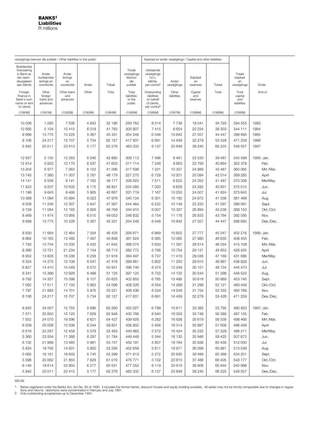<span id="page-6-0"></span>

|                                                                                    | verpligtings teenoor die publiek / Other liabilities to the public |                                      |                 |                  |                                                     |                                                                                   |                       | Kapitaal en ander verpligtings / Capital and other liabilities |                  |                                          |                    |
|------------------------------------------------------------------------------------|--------------------------------------------------------------------|--------------------------------------|-----------------|------------------|-----------------------------------------------------|-----------------------------------------------------------------------------------|-----------------------|----------------------------------------------------------------|------------------|------------------------------------------|--------------------|
| Buitelandse<br>finansiering<br>in Bank se<br>eie naam<br>deurgeleen<br>aan kliënte | Ander<br>buitelandse<br>lenings en<br>voorskotte                   | Ander<br>lenings<br>en<br>voorskotte | Ander           | Totaal           | Totale<br>verpligtinge<br>teenoor<br>die<br>publiek | Uitstaande<br>verpligtinge<br>t.b.v.<br>kliënte,<br>per contra <sup>2</sup>       | Ander<br>verpligtinge | Kapitaal<br>en<br>reserwes                                     | Totaal           | Totale<br>kapitaal<br>en<br>verpligtinge | Einde              |
| Foreign<br>finance in<br>Bank's own<br>name on-lent<br>to clients                  | Other<br>foreign<br>loans and<br>advances                          | Other loans<br>and<br>advances       | Other           | Total            | Total<br>liabilities<br>to the<br>public            | Outstanding<br>liabilities<br>on behalf<br>of clients,<br>per contra <sup>2</sup> | Other<br>liabilities  | Capital<br>and<br>reserves                                     | Total            | Total<br>capital<br>and<br>liabilities   | End of             |
| (1080M)                                                                            | (1081M)                                                            | (1082M)                              | (1083M)         | (1084M)          | (1085M)                                             | (1086M)                                                                           | (1087M)               | (1088M)                                                        | (1089M)          | (1090M)                                  |                    |
| 10 0 36                                                                            | 1 2 8 5                                                            | 7 5 3 6                              | 4 8 4 3         | 32 186           | 259 762                                             | 8514                                                                              | 7 7 3 8               | 18541                                                          | 34 793           | 294 555                                  | 1993               |
| 12 685                                                                             | 5 104                                                              | 12 4 15                              | 6018            | 41 783           | 305 807                                             | 7415                                                                              | 8 6 5 4               | 22 234                                                         | 38 303           | 344 111                                  | 1994               |
| 9698                                                                               | 13775                                                              | 10 228                               | 5 3 6 7         | 45 331           | 354 248                                             | 6048                                                                              | 10842                 | 27 557                                                         | 44 447           | 398 695                                  | 1995               |
| 8 1 0 6                                                                            | 24 217                                                             | 15707                                | 5 7 3 4         | 62 127           | 417831                                              | 6691                                                                              | 14 459                | 32 279                                                         | 53 4 28          | 471 259                                  | 1996               |
| 5942                                                                               | 20 011                                                             | 23 413                               | 5 1 7 7         | 62 276           | 483 332                                             | 6 137                                                                             | 20848                 | 39 240                                                         | 66 225           | 549 557                                  | 1997               |
| 12 627                                                                             | 5 1 5 5                                                            | 12 2 63                              | 6546            | 42 880           | 306 113                                             | 7496                                                                              | 9461                  | 22 530                                                         | 39 487           | 345 599                                  | 1995: Jan.         |
| 12914                                                                              | 5820                                                               | 10 170                               | 6537            | 41 603           | 311 714                                             | 7 2 4 6                                                                           | 9663                  | 23 756                                                         | 40 664           | 352 378                                  | Feb.               |
| 13 204                                                                             | 6977                                                               | 7 3 6 3                              | 6 1 2 2         | 41 296           | 317 598                                             | 7 2 2 1                                                                           | 10 357                | 24 8 89                                                        | 42 467           | 360 065                                  | Mrt./Mar.          |
| 13745                                                                              | 7 3 6 0                                                            | 11 307                               | 5781            | 48 179           | 327 270                                             | 6729                                                                              | 10 201                | 25 084                                                         | 42 014           | 369 285                                  | April              |
| 14 141                                                                             | 9509                                                               | 9 1 4 1                              | 7 1 6 2         | 48 177           | 328 822                                             | 7511                                                                              | 9623                  | 24 352                                                         | 41 487           | 370 308                                  | Mei/May            |
| 11823                                                                              | 9 2 0 7                                                            | 10 632                               | 6 1 7 5         | 46 831           | 334 080                                             | 7 0 2 0                                                                           | 9629                  | 24 282                                                         | 40 931           | 375 010                                  | Jun.               |
| 11 196                                                                             | 9643                                                               | 8 4 9 5                              | 5905            | 42 667           | 331 719                                             | 7 1 6 7                                                                           | 10 250                | 24 507                                                         | 41 924           | 373 643                                  | Jul.               |
| 10 398<br>9 2 5 8                                                                  | 11 094                                                             | 10894                                | 6 0 23          | 47 976           | 340 134<br>344 464                                  | 6 301<br>6 2 2 2                                                                  | 10 162<br>10 149      | 24 872<br>25 2 25                                              | 41 336           | 381 469<br>386 061                       | Aug.               |
| 9 1 5 9                                                                            | 11 246<br>11 084                                                   | 12 307<br>12 165                     | 5847<br>6926    | 47 397<br>46769  | 344 915                                             | 6 0 0 7                                                                           | 10 337                | 26 894                                                         | 41 597<br>43 238 | 388 153                                  | Sept.<br>Okt./Oct. |
| 8 4 6 9                                                                            | 11 474                                                             | 13 956                               | 6515            | 49 053           | 348 832                                             | 5754                                                                              | 11 176                | 26 833                                                         | 43764            | 392 595                                  | Nov.               |
| 9698                                                                               | 13775                                                              | 10 2 28                              | 5 3 6 7         | 45 331           | 354 248                                             | 6048                                                                              | 10842                 | 27 557                                                         | 44 447           | 398 695                                  | Des./Dec.          |
|                                                                                    |                                                                    |                                      |                 |                  |                                                     |                                                                                   |                       |                                                                |                  |                                          |                    |
| 8830                                                                               | 11 664                                                             | 12 4 64                              | 7 0 0 4         | 46 435           | 356 671                                             | 6969                                                                              | 10802                 | 27 777                                                         | 45 547           | 402 218                                  | 1996: Jan.         |
| 8962                                                                               | 10 165                                                             | 13 4 60                              | 7497            | 45 839           | 361 824                                             | 6565                                                                              | 12 085                | 27 980                                                         | 46 630           | 408 455                                  | Feb.               |
| 7793                                                                               | 10754                                                              | 10 335                               | 6425            | 41 642           | 369 074                                             | 5833                                                                              | 11 587                | 28 614                                                         | 46 034           | 415 108                                  | Mrt./Mar.          |
| 8 3 6 6                                                                            | 12721                                                              | 21 234                               | 7 1 5 4         | 56 713           | 382 772                                             | 5768                                                                              | 10754                 | 29 131                                                         | 45 653           | 428 425                                  | April              |
| 8953                                                                               | 13826                                                              | 16 038                               | 6 2 5 8         | 51 918           | 384 497                                             | 6737                                                                              | 11 4 16               | 29 036                                                         | 47 189           | 431 686                                  | Mei/May            |
| 6 3 2 4                                                                            | 14 275                                                             | 13 109                               | 6547            | 47 478           | 389 861                                             | 5 802                                                                             | 11 250                | 29 915                                                         | 46 967           | 436 828                                  | Jun.               |
| 6857                                                                               | 14 4 10                                                            | 15 049                               | 6570            | 50 931           | 396 746                                             | 6374                                                                              | 12 249                | 30 101                                                         | 48724            | 445 470                                  | Jul.               |
| 6 2 4 1<br>6792                                                                    | 15 366<br>14 357                                                   | 13928<br>15 0 98                     | 6488<br>6 1 2 7 | 51 135<br>50 625 | 397 125                                             | 6733<br>6785                                                                      | 14 120                | 30 544<br>30 616                                               | 51 398<br>50 889 | 448 523<br>453 745                       | Aug.               |
| 7 0 6 2                                                                            | 17511                                                              | 17 133                               | 5963            | 54 596           | 402 855<br>408 326                                  | 6554                                                                              | 13 4 8 8<br>14 269    | 31 299                                                         | 52 121           | 460 448                                  | Sept.<br>Okt./Oct. |
| 7797                                                                               | 21 883                                                             | 14 701                               | 5876            | 55 221           | 408 436                                             | 6 3 3 4                                                                           | 14 246                | 31 754                                                         | 52 333           | 460 769                                  | Nov.               |
| 8 10 6                                                                             | 24 217                                                             | 15707                                | 5 7 3 4         | 62 127           | 417831                                              | 6691                                                                              | 14 459                | 32 279                                                         | 53 4 28          | 471 259                                  | Des./Dec.          |
| 8942                                                                               | 24 007                                                             | 15 7 5 5                             | 5696            | 62 260           | 425 027                                             | 6799                                                                              | 15 611                | 33 382                                                         | 55 792           | 480 820                                  | 1997: Jan.         |
| 7571                                                                               | 25 850                                                             | 15 125                               | 7629            | 62 948           | 430 766                                             | 6640                                                                              | 16 003                | 33 746                                                         | 56 389           | 487 155                                  | Feb.               |
| 7 5 5 2                                                                            | 24 070                                                             | 19 596                               | 6621            | 64 437           | 439 928                                             | 6 2 8 2                                                                           | 16 636                | 35 619                                                         | 58 538           | 498 466                                  | Mrt./Mar.          |
| 6 5 0 9                                                                            | 25 006                                                             | 15 0 38                              | 6 2 4 4         | 58 831           | 438 802                                             | 5456                                                                              | 16314                 | 35 887                                                         | 57 656           | 496 458                                  | April              |
| 6516                                                                               | 22 297                                                             | 12 458                               | 5 0 7 9         | 52 463           | 440 983                                             | 5572                                                                              | 16424                 | 35 232                                                         | 57 228           | 498 211                                  | Mei/May            |
| 5 3 6 0                                                                            | 23 554                                                             | 11 388                               | 6 2 9 7         | 51 784           | 448 448                                             | 5 3 4 4                                                                           | 18 135                | 35 946                                                         | 59 4 25          | 507 873                                  | Jun.               |
| 6 102                                                                              | 21 968                                                             | 13 4 8 5                             | 5981            | 53 747           | 452 191                                             | 5807                                                                              | 18794                 | 35 838                                                         | 60 439           | 512 630                                  | Jul.               |
| 5 8 3 4                                                                            | 19 7 95                                                            | 14 831                               | 5 800           | 52 295           | 452 658                                             | 5811                                                                              | 18971                 | 36 099                                                         | 60 881           | 513 539                                  | Aug.               |
| 5 0 6 5                                                                            | 18 161                                                             | 19 603                               | 6745            | 55 299           | 471813                                              | 5 2 7 2                                                                           | 20 6 20               | 36 496                                                         | 62 388           | 534 201                                  | Sept.              |
| 5 3 9 8                                                                            | 20 062                                                             | 21 855                               | 7628            | 61 016           | 476 771                                             | 5 1 0 2                                                                           | 23 815                | 37 488                                                         | 66 405           | 543 177                                  | Okt./Oct.          |
| 6 1 4 9                                                                            | 18 614                                                             | 23 850                               | 6 2 7 7         | 60 531           | 477 352                                             | 6119                                                                              | 20 619                | 38 906                                                         | 65 644           | 542 996                                  | Nov.               |
| 5942                                                                               | 20 011                                                             | 23 413                               | 5 1 7 7         | 62 276           | 483 332                                             | 6 1 3 7                                                                           | 20 848                | 39 240                                                         | 66 225           | 549 557                                  | Des./Dec.          |

Banks registered under the Banks Act, Act No. 94 of 1990; it includes the former banks, discount houses and equity building societies. All series may not be strictly comparable due to changes in regula-<br>tions and returns; 1.

2.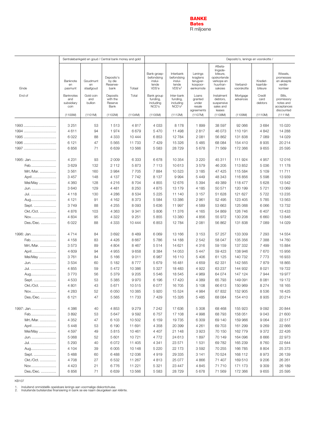<span id="page-7-0"></span>

|                  |                                        |                             | Sentralebankgeld en goud / Central bank money and gold |                  | Deposito's, lenings en voorskotte /                    |                                                                   |                                                           |                                                                                      |                        |                                 |                                                                |  |  |
|------------------|----------------------------------------|-----------------------------|--------------------------------------------------------|------------------|--------------------------------------------------------|-------------------------------------------------------------------|-----------------------------------------------------------|--------------------------------------------------------------------------------------|------------------------|---------------------------------|----------------------------------------------------------------|--|--|
| Einde            | Banknote<br>en<br>pasmunt              | Goudmunt<br>en<br>staafgoud | Deposito's<br>by die<br>Reserwe-<br>bank               | Totaal           | Bank-groep-<br>befondsing<br>inslui-<br>tende<br>VDS'e | Interbank<br>befondsing<br>inslui-<br>tende<br>VDS'e <sup>1</sup> | Lenings<br>kragtens<br>terugver-<br>koopoor-<br>eenkomste | Afbeta-<br>lingsde-<br>biteure,<br>opskortende<br>verkope en<br>huurtran-<br>saksies | Verband-<br>voorskotte | Krediet-<br>kaartde-<br>biteure | Wissels,<br>promesses<br>en aksepte<br>verdis-<br>konteer      |  |  |
| End of           | Banknotes<br>and<br>subsidiary<br>coin | Gold coin<br>and<br>bullion | Deposits<br>with the<br>Reserve<br>Bank                | Total            | Bank group<br>funding,<br>including<br>NCD's           | Inter-bank<br>funding,<br>including<br>NCD's <sup>1</sup>         | Loans<br>granted<br>under<br>resale<br>agreements         | Instalment<br>debtors,<br>suspensive<br>sales and<br>leases                          | Mortgage<br>advances   | Credit<br>card<br>debtors       | Bills,<br>promissory<br>notes and<br>acceptances<br>discounted |  |  |
|                  | (1100M)                                | (1101M)                     | (1102M)                                                | (1104M)          | (1105M)                                                | (1112M)                                                           | (1107M)                                                   | (1108M)                                                                              | (1109M)                | (1110M)                         | (1111M)                                                        |  |  |
| 1993             | 3 2 5 1                                | 53                          | 1513                                                   | 4817             | 4 0 3 3                                                | 8 1 7 8                                                           | 1899                                                      | 38 597                                                                               | 92 066                 | 3684                            | 15 0 20                                                        |  |  |
| 1994             | 4611                                   | 94                          | 1974                                                   | 6679             | 5470                                                   | 11 498                                                            | 2817                                                      | 46 073                                                                               | 110 191                | 4 8 4 2                         | 14 288                                                         |  |  |
| 1995             | 6022                                   | 88                          | 4 3 3 3                                                | 10 444           | 6853                                                   | 12 7 84                                                           | 2 0 8 1                                                   | 56 862                                                                               | 131 838                | 7 0 8 9                         | 14 0 29                                                        |  |  |
| 1996             | 6 1 2 1                                | 47                          | 5 5 6 5                                                | 11733            | 7429                                                   | 15 3 26                                                           | 5 4 8 5                                                   | 68 084                                                                               | 154 410                | 8935                            | 20 214                                                         |  |  |
| 1997             | 6856                                   | 71                          | 6639                                                   | 13566            | 5583                                                   | 28 7 29                                                           | 5678                                                      | 71 569                                                                               | 172 366                | 9655                            | 25 5 95                                                        |  |  |
| 1995: Jan        | 4 2 3 1                                | 93                          | 2 0 0 9                                                | 6 3 3 3          | 6678                                                   | 10 354                                                            | 3 2 2 0                                                   | 45 311                                                                               | 111 924                | 4 9 5 7                         | 12016                                                          |  |  |
| Feb.             | 3629                                   | 132                         | 2 1 1 2                                                | 5873             | 7 1 1 3                                                | 10 613                                                            | 3579                                                      | 46 205                                                                               | 113 852                | 5 0 36                          | 11 178                                                         |  |  |
| Mrt./Mar.        | 3561                                   | 160                         | 3984                                                   | 7705             | 7884                                                   | 10523                                                             | 3 1 8 5                                                   | 47 425                                                                               | 115 584                | 5 1 0 9                         | 11711                                                          |  |  |
| April            | 3 4 5 7                                | 148                         | 4 1 3 7                                                | 7742             | 8 1 3 7                                                | 9994                                                              | 5 4 4 9                                                   | 48 343                                                                               | 116 856                | 5 5 9 8                         | 13939                                                          |  |  |
| Mei/May          | 4 3 6 0                                | 128                         | 4 2 1 6                                                | 8704             | 4 8 5 5                                                | 12 676                                                            | 5 3 9 4                                                   | 49 389                                                                               | 118 477                | 5 6 28                          | 13 542                                                         |  |  |
| Jun.             | 3640                                   | 129                         | 4 4 8 1                                                | 8 2 5 0          | 4875                                                   | 13 179                                                            | 4 1 8 5                                                   | 50 571                                                                               | 120 199                | 5721                            | 13 069                                                         |  |  |
| Jul.             | 4 1 1 8                                | 130                         | 4 2 8 6                                                | 8534             | 5 2 2 5                                                | 11 140                                                            | 3 1 5 7                                                   | 51 628                                                                               | 121 627                | 5722                            | 13 2 35                                                        |  |  |
| Aug              | 4 1 2 1                                | 91                          | 4 1 6 2                                                | 8373             | 5584                                                   | 13 386                                                            | 2 9 6 1                                                   | 52 495                                                                               | 123 405                | 5785                            | 13 5 63                                                        |  |  |
| Sept.            | 3749                                   | 88                          | 4 2 5 5                                                | 8 0 9 3          | 5 6 3 6                                                | 11 997                                                            | 4589                                                      | 53 663                                                                               | 125 068                | 6066                            | 13732                                                          |  |  |
| Okt./Oct.        | 4876                                   | 103                         | 4 3 6 3                                                | 9 3 4 1          | 5806                                                   | 11 376                                                            | 4 1 6 5                                                   | 54 869                                                                               | 126 746                | 6 4 0 7                         | 13 4 33                                                        |  |  |
| Nov              | 4 8 3 4                                | 95                          | 4 3 2 2                                                | 9 2 5 1          | 5855                                                   | 13 380                                                            | 4856                                                      | 55 972                                                                               | 130 208                | 6 6 6 0                         | 13846                                                          |  |  |
| Des./Dec.        | 6022                                   | 88                          | 4 3 3 3                                                | 10 4 44          | 6853                                                   | 12784                                                             | 2 0 8 1                                                   | 56 862                                                                               | 131 838                | 7 0 8 9                         | 14 0 29                                                        |  |  |
| 1996: Jan        | 4714                                   | 84                          | 3692                                                   | 8 4 8 9          | 6069                                                   | 13 166                                                            | 3 1 5 3                                                   | 57 257                                                                               | 133 309                | 7 2 9 3                         | 14 5 54                                                        |  |  |
| Feb.             | 4 1 5 8                                | 83                          | 4 4 2 6                                                | 8667             | 5786                                                   | 14 188                                                            | 2 5 4 2                                                   | 58 047                                                                               | 135 356                | 7 3 8 8                         | 14 760                                                         |  |  |
| Mrt./Mar.        | 3573                                   | 89                          | 4 8 0 4                                                | 8467             | 5514                                                   | 14 621                                                            | 4 3 1 6                                                   | 59 159                                                                               | 137 332                | 7 4 9 9                         | 15884                                                          |  |  |
| April            | 4 609                                  | 94                          | 4 9 5 5                                                | 9658             | 8 3 8 4                                                | 14 053                                                            | 5 4 4 7                                                   | 59 423                                                                               | 138 946                | 7670                            | 15 956                                                         |  |  |
| Mei/May          | 3761                                   | 84                          | 5 1 6 6                                                | 9011             | 6987                                                   | 16 110                                                            | 5 4 0 6                                                   | 61 125                                                                               | 140 732                | 7773                            | 16933                                                          |  |  |
| Jun.             | 3534                                   | 60                          | 5 1 8 2                                                | 8777             | 5679                                                   | 16 481                                                            | 4 6 5 9                                                   | 62 331                                                                               | 142 565                | 7879                            | 18 8 65                                                        |  |  |
| Jul.             | 4 8 5 5                                | 59                          | 5472                                                   | 10 386           | 5 3 2 7                                                | 18 4 83                                                           | 4922                                                      | 63 237                                                                               | 144 932                | 8 0 21                          | 19722                                                          |  |  |
| Aug              | 3770                                   | 56                          | 5 3 7 9                                                | 9 2 0 5          | 5546                                                   | 18 545                                                            | 4 9 6 9                                                   | 64 074                                                                               | 147 124                | 7944                            | 19 977                                                         |  |  |
| Sept.            | 4533                                   | 53                          | 5 3 8 5                                                | 9970             | 6 196                                                  | 17 4 20                                                           | 4 3 8 9                                                   | 65 793                                                                               | 149 091                | 8 0 8 1                         | 19 172                                                         |  |  |
| Okt./Oct.        | 4 8 0 1                                | 43                          | 5 6 7 1                                                | 10515            | 6 0 7 7                                                | 16 705                                                            | 5 1 0 8                                                   | 66 613                                                                               | 150 969                | 8 2 7 4                         | 18 165                                                         |  |  |
| Nov<br>Des./Dec. | 4 2 8 3<br>6 1 2 1                     | 52<br>47                    | 6 0 5 0<br>5 5 6 5                                     | 10 385<br>11 733 | 5920<br>7429                                           | 15 5 24<br>15 3 26                                                | 4 9 8 4<br>5 4 8 5                                        | 67 832<br>68 084                                                                     | 152 905<br>154 410     | 8536<br>8935                    | 18 4 25<br>20214                                               |  |  |
|                  |                                        |                             |                                                        |                  |                                                        |                                                                   |                                                           |                                                                                      |                        |                                 |                                                                |  |  |
| 1997: Jan        | 4 3 8 6                                | 40                          | 4 8 5 3                                                | 9 2 7 9          | 7 242                                                  | 17636                                                             | 5 3 0 8                                                   | 68 4 68                                                                              | 155 923                | 9092                            | 20 844                                                         |  |  |
| Feb              | 3892                                   | 53                          | 5647                                                   | 9592             | 6757                                                   | 17 108                                                            | 4998                                                      | 68793                                                                                | 158 051                | 9043                            | 21 600                                                         |  |  |
| Mrt./Mar.        | 4 3 5 2                                | 47                          | 6 1 0 3                                                | 10 502           | 6 1 5 9                                                | 19735                                                             | 6 3 0 9                                                   | 69 140                                                                               | 159 966                | 9 0 64                          | 22 517                                                         |  |  |
| April            | 5448                                   | 53                          | 6 190                                                  | 11 691           | 4 3 5 8                                                | 20 399                                                            | 4 2 6 1                                                   | 69 703                                                                               | 161 299                | 9 2 6 9                         | 22 666                                                         |  |  |
| Mei/May          | 4597                                   | 49                          | 5815                                                   | 10461            | 4 4 0 7                                                | 21 148                                                            | 3923                                                      | 70 150                                                                               | 162 779                | 9372                            | 22 4 26                                                        |  |  |
| Jun.             | 5 0 68                                 | 52                          | 5 601                                                  | 10721            | 4772                                                   | 24 613                                                            | 1897                                                      | 70 149                                                                               | 164 096                | 8 6 6 6                         | 22 973                                                         |  |  |
| Jul.             | 5 2 9 3                                | 40                          | 6072                                                   | 11 405           | 4 3 4 1                                                | 23 571                                                            | 1 5 3 1                                                   | 69782                                                                                | 165 239                | 8760                            | 22 644                                                         |  |  |
| Aug              | 4 104                                  | 39                          | 6 0 0 5                                                | 10 148           | 5 2 2 0                                                | 22 173                                                            | 3592                                                      | 70 255                                                                               | 166 785                | 8804                            | 25 373                                                         |  |  |
| Sept.            | 5488                                   | 60                          | 6488                                                   | 12 0 36          | 4919                                                   | 29 335                                                            | 3 1 4 1                                                   | 70 524                                                                               | 168 112                | 8973                            | 26 139                                                         |  |  |
| Okt./Oct.        | 4708                                   | 27                          | 6532                                                   | 11 267           | 4813                                                   | 25 077                                                            | 4 8 6 6                                                   | 71 407                                                                               | 169 510                | 9 2 0 6                         | 26 261                                                         |  |  |
| Nov              | 4 4 2 3                                | 21                          | 6776                                                   | 11 221           | 5 3 2 1                                                | 23 447                                                            | 4 8 4 5                                                   | 71710                                                                                | 171 173                | 9 3 0 9                         | 26 189                                                         |  |  |
| Des./Dec.        | 6856                                   | 71                          | 6639                                                   | 13 566           | 5 5 8 3                                                | 28729                                                             | 5678                                                      | 71 569                                                                               | 172 366                | 9655                            | 25 5 95                                                        |  |  |

1. Insluitend onmiddellik opeisbare lenings aan voormalige diskontohuise.<br>2. Insluitende buitelandse finansiering in bank se eie naam deurgeleen aan kliënte.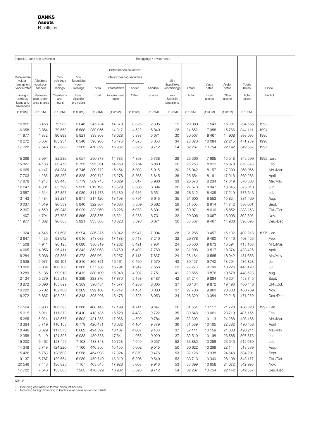<span id="page-8-0"></span>

| Rentedraende sekuriteite<br>Oor-<br>Min:<br><b>Buitelandse</b><br>Interest bearing securities<br>valuta-<br>Aflosbare<br>trekkings<br>Spesifieke<br>Min:<br>voorkeur-<br>Spesifieke<br>lenings en<br>Vaste<br>Ander<br>Totale<br>en<br>voor-<br>Staatseffekte<br>Ander<br>Aandele<br>-voorskotte <sup>2</sup><br>aandele<br>lenings<br>sienings<br>Totaal<br>voorsienings<br>Totaal<br>bates<br>bates<br>bates<br>Government<br>Other<br>Shares<br>Total<br>Fixed<br>Other<br>Foreign<br>Redeem-<br>Overdrafts<br>Less:<br>Total<br>Less:<br>Total<br>currency<br>able prefer-<br>and<br>Specific<br>stock<br>Specific<br>assets<br>assets<br>assets<br>loans and<br>ence shares<br>loans<br>provisions<br>provisions<br>advances <sup>2</sup><br>(1120M)<br>(1121M)<br>(1122M)<br>(1123M)<br>(1124M)<br>(1125M)<br>(1126M)<br>(1127M)<br>(1128M)<br>(1129M)<br>(1130M)<br>(1131M)<br>(1132M)<br>10 865<br>3 4 5 6<br>72 982<br>5046<br>245 734<br>14 379<br>3 3 2 5<br>2 3 9 5<br>20 080<br>7 5 4 3<br>16 381<br>294 555<br>19<br>1994<br>16 058<br>3854<br>79 553<br>5588<br>289 056<br>14 317<br>4522<br>5840<br>28<br>24 652<br>7958<br>15 766<br>344 111<br>11977<br>4 8 3 2<br>90 883<br>5921<br>333 308<br>18 0 28<br>5898<br>6671<br>30<br>30 567<br>9467<br>14 908<br>398 695<br>1995<br>16 272<br>5867<br>103 234<br>6 3 4 8<br>398 908<br>4 8 2 5<br>8 0 5 3<br>34<br>28 3 20<br>22 215<br>471 259<br>1996<br>15 4 7 5<br>10 084<br>54<br>1997<br>17722<br>7546<br>133 668<br>7 2 8 3<br>470 829<br>16 982<br>5626<br>9712<br>32 267<br>10754<br>22 142<br>549 557<br>3994<br>82 280<br>29<br>7985<br>345 599<br>15 29 6<br>5 6 5 7<br>290 373<br>14 783<br>4 8 6 8<br>5738<br>25 360<br>15 548<br>15 827<br>30<br>352 378<br>4 1 3 8<br>83 475<br>5755<br>295 261<br>14 659<br>5764<br>5860<br>26 253<br>8011<br>16979<br>84 284<br>16 665<br>4 1 4 7<br>5746<br>300 772<br>5 0 0 3<br>5915<br>30<br>26 042<br>8 1 5 7<br>17 390<br>360 065<br>15 154<br>17 703<br>85 25 2<br>309 712<br>5845<br>36<br>369 285<br>4 2 6 5<br>5825<br>15 278<br>5568<br>26 654<br>8 1 6 1<br>17016<br>17878<br>309 748<br>33<br>370 308<br>4 2 4 3<br>83 4 45<br>5779<br>15 629<br>5017<br>5960<br>26 573<br>8 2 3 4<br>17 049 |            |
|---------------------------------------------------------------------------------------------------------------------------------------------------------------------------------------------------------------------------------------------------------------------------------------------------------------------------------------------------------------------------------------------------------------------------------------------------------------------------------------------------------------------------------------------------------------------------------------------------------------------------------------------------------------------------------------------------------------------------------------------------------------------------------------------------------------------------------------------------------------------------------------------------------------------------------------------------------------------------------------------------------------------------------------------------------------------------------------------------------------------------------------------------------------------------------------------------------------------------------------------------------------------------------------------------------------------------------------------------------------------------------------------------------------------------------------------------------------------------------------------------------------------------------------------------------------------------------------------------------------------------------------------------------------------------------------------------------------------------------------------------------------------------------------------------------------------------------------------------------------------------------------------------------------------------------------------------------------------------------------------------------------------------------------------------------------------------------------------------------------------------------------------------------------------------------------------------------------------------|------------|
|                                                                                                                                                                                                                                                                                                                                                                                                                                                                                                                                                                                                                                                                                                                                                                                                                                                                                                                                                                                                                                                                                                                                                                                                                                                                                                                                                                                                                                                                                                                                                                                                                                                                                                                                                                                                                                                                                                                                                                                                                                                                                                                                                                                                                           |            |
|                                                                                                                                                                                                                                                                                                                                                                                                                                                                                                                                                                                                                                                                                                                                                                                                                                                                                                                                                                                                                                                                                                                                                                                                                                                                                                                                                                                                                                                                                                                                                                                                                                                                                                                                                                                                                                                                                                                                                                                                                                                                                                                                                                                                                           | Einde      |
|                                                                                                                                                                                                                                                                                                                                                                                                                                                                                                                                                                                                                                                                                                                                                                                                                                                                                                                                                                                                                                                                                                                                                                                                                                                                                                                                                                                                                                                                                                                                                                                                                                                                                                                                                                                                                                                                                                                                                                                                                                                                                                                                                                                                                           | End of     |
|                                                                                                                                                                                                                                                                                                                                                                                                                                                                                                                                                                                                                                                                                                                                                                                                                                                                                                                                                                                                                                                                                                                                                                                                                                                                                                                                                                                                                                                                                                                                                                                                                                                                                                                                                                                                                                                                                                                                                                                                                                                                                                                                                                                                                           |            |
|                                                                                                                                                                                                                                                                                                                                                                                                                                                                                                                                                                                                                                                                                                                                                                                                                                                                                                                                                                                                                                                                                                                                                                                                                                                                                                                                                                                                                                                                                                                                                                                                                                                                                                                                                                                                                                                                                                                                                                                                                                                                                                                                                                                                                           | 1993       |
|                                                                                                                                                                                                                                                                                                                                                                                                                                                                                                                                                                                                                                                                                                                                                                                                                                                                                                                                                                                                                                                                                                                                                                                                                                                                                                                                                                                                                                                                                                                                                                                                                                                                                                                                                                                                                                                                                                                                                                                                                                                                                                                                                                                                                           |            |
|                                                                                                                                                                                                                                                                                                                                                                                                                                                                                                                                                                                                                                                                                                                                                                                                                                                                                                                                                                                                                                                                                                                                                                                                                                                                                                                                                                                                                                                                                                                                                                                                                                                                                                                                                                                                                                                                                                                                                                                                                                                                                                                                                                                                                           |            |
|                                                                                                                                                                                                                                                                                                                                                                                                                                                                                                                                                                                                                                                                                                                                                                                                                                                                                                                                                                                                                                                                                                                                                                                                                                                                                                                                                                                                                                                                                                                                                                                                                                                                                                                                                                                                                                                                                                                                                                                                                                                                                                                                                                                                                           |            |
|                                                                                                                                                                                                                                                                                                                                                                                                                                                                                                                                                                                                                                                                                                                                                                                                                                                                                                                                                                                                                                                                                                                                                                                                                                                                                                                                                                                                                                                                                                                                                                                                                                                                                                                                                                                                                                                                                                                                                                                                                                                                                                                                                                                                                           |            |
|                                                                                                                                                                                                                                                                                                                                                                                                                                                                                                                                                                                                                                                                                                                                                                                                                                                                                                                                                                                                                                                                                                                                                                                                                                                                                                                                                                                                                                                                                                                                                                                                                                                                                                                                                                                                                                                                                                                                                                                                                                                                                                                                                                                                                           |            |
|                                                                                                                                                                                                                                                                                                                                                                                                                                                                                                                                                                                                                                                                                                                                                                                                                                                                                                                                                                                                                                                                                                                                                                                                                                                                                                                                                                                                                                                                                                                                                                                                                                                                                                                                                                                                                                                                                                                                                                                                                                                                                                                                                                                                                           | 1995: Jan. |
|                                                                                                                                                                                                                                                                                                                                                                                                                                                                                                                                                                                                                                                                                                                                                                                                                                                                                                                                                                                                                                                                                                                                                                                                                                                                                                                                                                                                                                                                                                                                                                                                                                                                                                                                                                                                                                                                                                                                                                                                                                                                                                                                                                                                                           | Feb.       |
|                                                                                                                                                                                                                                                                                                                                                                                                                                                                                                                                                                                                                                                                                                                                                                                                                                                                                                                                                                                                                                                                                                                                                                                                                                                                                                                                                                                                                                                                                                                                                                                                                                                                                                                                                                                                                                                                                                                                                                                                                                                                                                                                                                                                                           | Mrt./Mar.  |
|                                                                                                                                                                                                                                                                                                                                                                                                                                                                                                                                                                                                                                                                                                                                                                                                                                                                                                                                                                                                                                                                                                                                                                                                                                                                                                                                                                                                                                                                                                                                                                                                                                                                                                                                                                                                                                                                                                                                                                                                                                                                                                                                                                                                                           | April      |
|                                                                                                                                                                                                                                                                                                                                                                                                                                                                                                                                                                                                                                                                                                                                                                                                                                                                                                                                                                                                                                                                                                                                                                                                                                                                                                                                                                                                                                                                                                                                                                                                                                                                                                                                                                                                                                                                                                                                                                                                                                                                                                                                                                                                                           | Mei/May    |
| 85 799<br>27 573<br>375 010<br>16 247<br>4 3 0 1<br>5953<br>312 195<br>15 5 29<br>5686<br>6 3 9 4<br>36<br>8 3 4 7<br>18 645                                                                                                                                                                                                                                                                                                                                                                                                                                                                                                                                                                                                                                                                                                                                                                                                                                                                                                                                                                                                                                                                                                                                                                                                                                                                                                                                                                                                                                                                                                                                                                                                                                                                                                                                                                                                                                                                                                                                                                                                                                                                                              | Jun.       |
| 87 357<br>5989<br>5616<br>6551<br>35<br>28 312<br>17 219<br>373 643<br>13 557<br>4514<br>311 173<br>16 180<br>8 4 0 5                                                                                                                                                                                                                                                                                                                                                                                                                                                                                                                                                                                                                                                                                                                                                                                                                                                                                                                                                                                                                                                                                                                                                                                                                                                                                                                                                                                                                                                                                                                                                                                                                                                                                                                                                                                                                                                                                                                                                                                                                                                                                                     | Jul.       |
| 88 284<br>5971<br>6645<br>35<br>381 469<br>13 1 4 3<br>4 4 8 4<br>317 120<br>18 198<br>6791<br>31 600<br>8552<br>15 824                                                                                                                                                                                                                                                                                                                                                                                                                                                                                                                                                                                                                                                                                                                                                                                                                                                                                                                                                                                                                                                                                                                                                                                                                                                                                                                                                                                                                                                                                                                                                                                                                                                                                                                                                                                                                                                                                                                                                                                                                                                                                                   | Aug.       |
| 6582<br>29<br>31 505<br>13 037<br>4519<br>90 339<br>5840<br>322 807<br>19 083<br>5869<br>8914<br>14742<br>386 061                                                                                                                                                                                                                                                                                                                                                                                                                                                                                                                                                                                                                                                                                                                                                                                                                                                                                                                                                                                                                                                                                                                                                                                                                                                                                                                                                                                                                                                                                                                                                                                                                                                                                                                                                                                                                                                                                                                                                                                                                                                                                                         | Sept.      |
| 12 3 9 7<br>89 248<br>5929<br>323 069<br>18 2 26<br>5978<br>6801<br>35<br>30 971<br>388 153<br>4 5 5 0<br>8919<br>15852                                                                                                                                                                                                                                                                                                                                                                                                                                                                                                                                                                                                                                                                                                                                                                                                                                                                                                                                                                                                                                                                                                                                                                                                                                                                                                                                                                                                                                                                                                                                                                                                                                                                                                                                                                                                                                                                                                                                                                                                                                                                                                   | Okt./Oct.  |
| 87 795<br>328 876<br>6 2 8 5<br>6731<br>32<br>16 096<br>392 595<br>11 407<br>4794<br>5896<br>16 321<br>29 30 6<br>9 0 6 7                                                                                                                                                                                                                                                                                                                                                                                                                                                                                                                                                                                                                                                                                                                                                                                                                                                                                                                                                                                                                                                                                                                                                                                                                                                                                                                                                                                                                                                                                                                                                                                                                                                                                                                                                                                                                                                                                                                                                                                                                                                                                                 | Nov.       |
| 6671<br>11 977<br>4 8 3 2<br>90 883<br>5921<br>333 308<br>18028<br>5898<br>30<br>30 567<br>9467<br>14 908<br>398 695                                                                                                                                                                                                                                                                                                                                                                                                                                                                                                                                                                                                                                                                                                                                                                                                                                                                                                                                                                                                                                                                                                                                                                                                                                                                                                                                                                                                                                                                                                                                                                                                                                                                                                                                                                                                                                                                                                                                                                                                                                                                                                      | Des./Dec.  |
| 5994<br>336 875<br>18 342<br>7 0 0 4<br>28<br>402 218<br>11 924<br>4546<br>91 598<br>5947<br>31 265<br>9 4 5 7<br>16 132                                                                                                                                                                                                                                                                                                                                                                                                                                                                                                                                                                                                                                                                                                                                                                                                                                                                                                                                                                                                                                                                                                                                                                                                                                                                                                                                                                                                                                                                                                                                                                                                                                                                                                                                                                                                                                                                                                                                                                                                                                                                                                  | 1996: Jan. |
| 7 210<br>29778<br>408 455<br>12 647<br>4 4 3 5<br>93 942<br>6010<br>343 083<br>17 188<br>5413<br>32<br>9480<br>17 446                                                                                                                                                                                                                                                                                                                                                                                                                                                                                                                                                                                                                                                                                                                                                                                                                                                                                                                                                                                                                                                                                                                                                                                                                                                                                                                                                                                                                                                                                                                                                                                                                                                                                                                                                                                                                                                                                                                                                                                                                                                                                                     | Feb.       |
| 11 508<br>96 125<br>6 0 8 0<br>350 819<br>17 262<br>5 4 21<br>7 901<br>24<br>9673<br>415 108<br>4941<br>30 560<br>15 591                                                                                                                                                                                                                                                                                                                                                                                                                                                                                                                                                                                                                                                                                                                                                                                                                                                                                                                                                                                                                                                                                                                                                                                                                                                                                                                                                                                                                                                                                                                                                                                                                                                                                                                                                                                                                                                                                                                                                                                                                                                                                                  | Mrt./Mar.  |
| 14 065<br>96 411<br>6 3 4 2<br>358 968<br>7769<br>32<br>9517<br>428 425<br>4956<br>18769<br>5 4 0 2<br>31 908<br>18 374                                                                                                                                                                                                                                                                                                                                                                                                                                                                                                                                                                                                                                                                                                                                                                                                                                                                                                                                                                                                                                                                                                                                                                                                                                                                                                                                                                                                                                                                                                                                                                                                                                                                                                                                                                                                                                                                                                                                                                                                                                                                                                   | April      |
| 16 284<br>365 964<br>15 257<br>7837<br>24<br>431 686<br>5036<br>95 853<br>6272<br>5 1 1 3<br>28 184<br>9585<br>18 942                                                                                                                                                                                                                                                                                                                                                                                                                                                                                                                                                                                                                                                                                                                                                                                                                                                                                                                                                                                                                                                                                                                                                                                                                                                                                                                                                                                                                                                                                                                                                                                                                                                                                                                                                                                                                                                                                                                                                                                                                                                                                                     | Mei/May    |
| 13 5 35<br>5 0 7 7<br>99 101<br>6310<br>369 861<br>7579<br>43<br>9740<br>18 294<br>436 828<br>16 161<br>6460<br>30 157                                                                                                                                                                                                                                                                                                                                                                                                                                                                                                                                                                                                                                                                                                                                                                                                                                                                                                                                                                                                                                                                                                                                                                                                                                                                                                                                                                                                                                                                                                                                                                                                                                                                                                                                                                                                                                                                                                                                                                                                                                                                                                    | Jun.       |
| 13 800<br>6363<br>23<br>29 273<br>445 470<br>5 0 0 4<br>100 700<br>377 786<br>16794<br>4947<br>7556<br>9799<br>18 2 26                                                                                                                                                                                                                                                                                                                                                                                                                                                                                                                                                                                                                                                                                                                                                                                                                                                                                                                                                                                                                                                                                                                                                                                                                                                                                                                                                                                                                                                                                                                                                                                                                                                                                                                                                                                                                                                                                                                                                                                                                                                                                                    | Jul.       |
| 13 2 8 9<br>5 1 3 6<br>99 918<br>6412<br>380 109<br>16948<br>4997<br>7751<br>41<br>29 655<br>9876<br>19678<br>448 523                                                                                                                                                                                                                                                                                                                                                                                                                                                                                                                                                                                                                                                                                                                                                                                                                                                                                                                                                                                                                                                                                                                                                                                                                                                                                                                                                                                                                                                                                                                                                                                                                                                                                                                                                                                                                                                                                                                                                                                                                                                                                                     | Aug.       |
| 5 2 7 9<br>102 219<br>6 3 8 9<br>383 376<br>17870<br>5 1 9 8<br>8 1 8 7<br>42<br>31 214<br>9884<br>12 124<br>19 301<br>453 745                                                                                                                                                                                                                                                                                                                                                                                                                                                                                                                                                                                                                                                                                                                                                                                                                                                                                                                                                                                                                                                                                                                                                                                                                                                                                                                                                                                                                                                                                                                                                                                                                                                                                                                                                                                                                                                                                                                                                                                                                                                                                            | Sept.      |
| 5 3 9 0<br>6 3 6 9<br>390 434<br>8 3 0 5<br>37<br>13872<br>105 629<br>17577<br>4 2 8 8<br>30 134<br>9872<br>19 4 93<br>460 448                                                                                                                                                                                                                                                                                                                                                                                                                                                                                                                                                                                                                                                                                                                                                                                                                                                                                                                                                                                                                                                                                                                                                                                                                                                                                                                                                                                                                                                                                                                                                                                                                                                                                                                                                                                                                                                                                                                                                                                                                                                                                            | Okt./Oct.  |
| 102 400<br>16 2 20<br>5702<br>6 2 6 9<br>392 180<br>15 242<br>4 4 5 1<br>8 0 8 0<br>37<br>27 736<br>9 9 6 0<br>20 508<br>460 769                                                                                                                                                                                                                                                                                                                                                                                                                                                                                                                                                                                                                                                                                                                                                                                                                                                                                                                                                                                                                                                                                                                                                                                                                                                                                                                                                                                                                                                                                                                                                                                                                                                                                                                                                                                                                                                                                                                                                                                                                                                                                          | Nov.       |
| 16 27 2<br>5867<br>103 234<br>6348<br>398 908<br>15 4 7 5<br>4825<br>8 0 5 3<br>34<br>28 3 20<br>10 084<br>22 215<br>471 259                                                                                                                                                                                                                                                                                                                                                                                                                                                                                                                                                                                                                                                                                                                                                                                                                                                                                                                                                                                                                                                                                                                                                                                                                                                                                                                                                                                                                                                                                                                                                                                                                                                                                                                                                                                                                                                                                                                                                                                                                                                                                              | Des./Dec.  |
| 17 524<br>5 900<br>106 595<br>6388<br>408 145<br>17 199<br>4741<br>9647<br>36<br>31 551<br>10 117<br>480 820<br>21 728                                                                                                                                                                                                                                                                                                                                                                                                                                                                                                                                                                                                                                                                                                                                                                                                                                                                                                                                                                                                                                                                                                                                                                                                                                                                                                                                                                                                                                                                                                                                                                                                                                                                                                                                                                                                                                                                                                                                                                                                                                                                                                    | 1997: Jan. |
| 15915<br>111 370<br>6410<br>9722<br>487 155<br>5911<br>413 135<br>16 5 28<br>4 4 3 3<br>35<br>30 648<br>10 061<br>23719                                                                                                                                                                                                                                                                                                                                                                                                                                                                                                                                                                                                                                                                                                                                                                                                                                                                                                                                                                                                                                                                                                                                                                                                                                                                                                                                                                                                                                                                                                                                                                                                                                                                                                                                                                                                                                                                                                                                                                                                                                                                                                   | Feb.       |
| 15 265<br>113 677<br>498 466<br>5924<br>6502<br>421 253<br>17968<br>4592<br>9784<br>36<br>32 309<br>10 113<br>24 288                                                                                                                                                                                                                                                                                                                                                                                                                                                                                                                                                                                                                                                                                                                                                                                                                                                                                                                                                                                                                                                                                                                                                                                                                                                                                                                                                                                                                                                                                                                                                                                                                                                                                                                                                                                                                                                                                                                                                                                                                                                                                                      | Mrt./Mar.  |
| 496 458<br>13 3 84<br>5719<br>116 153<br>6779<br>420 431<br>18 0 82<br>4 1 6 4<br>9379<br>36<br>31 589<br>10 165<br>22 582                                                                                                                                                                                                                                                                                                                                                                                                                                                                                                                                                                                                                                                                                                                                                                                                                                                                                                                                                                                                                                                                                                                                                                                                                                                                                                                                                                                                                                                                                                                                                                                                                                                                                                                                                                                                                                                                                                                                                                                                                                                                                                | April      |
| 13 4 4 9<br>117 373<br>424 392<br>9 4 3 3<br>498 211<br>6029<br>6662<br>18 107<br>4 607<br>37<br>32 111<br>10 159<br>21 088                                                                                                                                                                                                                                                                                                                                                                                                                                                                                                                                                                                                                                                                                                                                                                                                                                                                                                                                                                                                                                                                                                                                                                                                                                                                                                                                                                                                                                                                                                                                                                                                                                                                                                                                                                                                                                                                                                                                                                                                                                                                                               | Mei/May    |
| 12 358<br>121 898<br>430 558<br>507 873<br>6 1 1 9<br>6983<br>17641<br>4978<br>9929<br>37<br>32 510<br>10 198<br>23 8 85                                                                                                                                                                                                                                                                                                                                                                                                                                                                                                                                                                                                                                                                                                                                                                                                                                                                                                                                                                                                                                                                                                                                                                                                                                                                                                                                                                                                                                                                                                                                                                                                                                                                                                                                                                                                                                                                                                                                                                                                                                                                                                  | Jun.       |
| 15 200<br>433 848<br>9557<br>512 630<br>6462<br>123 426<br>7 108<br>19728<br>4649<br>52<br>33 882<br>10 256<br>23 240                                                                                                                                                                                                                                                                                                                                                                                                                                                                                                                                                                                                                                                                                                                                                                                                                                                                                                                                                                                                                                                                                                                                                                                                                                                                                                                                                                                                                                                                                                                                                                                                                                                                                                                                                                                                                                                                                                                                                                                                                                                                                                     | Jul.       |
| 14 346<br>124 220<br>440 356<br>5 0 0 2<br>9515<br>30 622<br>10 269<br>22 144<br>513 539<br>6749<br>7 160<br>16 155<br>50                                                                                                                                                                                                                                                                                                                                                                                                                                                                                                                                                                                                                                                                                                                                                                                                                                                                                                                                                                                                                                                                                                                                                                                                                                                                                                                                                                                                                                                                                                                                                                                                                                                                                                                                                                                                                                                                                                                                                                                                                                                                                                 | Aug.       |
| 128 608<br>454 993<br>32 1 26<br>10 398<br>534 201<br>15 4 36<br>6763<br>6958<br>17 324<br>5 3 7 9<br>9476<br>53<br>24 648                                                                                                                                                                                                                                                                                                                                                                                                                                                                                                                                                                                                                                                                                                                                                                                                                                                                                                                                                                                                                                                                                                                                                                                                                                                                                                                                                                                                                                                                                                                                                                                                                                                                                                                                                                                                                                                                                                                                                                                                                                                                                                | Sept.      |
| 19 137<br>129 664<br>6980<br>459 749<br>18 019<br>6 20 6<br>9540<br>33 713<br>10 340<br>28 108<br>543 177<br>6787<br>53                                                                                                                                                                                                                                                                                                                                                                                                                                                                                                                                                                                                                                                                                                                                                                                                                                                                                                                                                                                                                                                                                                                                                                                                                                                                                                                                                                                                                                                                                                                                                                                                                                                                                                                                                                                                                                                                                                                                                                                                                                                                                                   | Okt./Oct.  |
| 20 549<br>7443<br>130 826<br>7 1 6 7<br>463 645<br>17928<br>5 608<br>9916<br>53<br>33 399<br>10 658<br>24 072<br>542 996                                                                                                                                                                                                                                                                                                                                                                                                                                                                                                                                                                                                                                                                                                                                                                                                                                                                                                                                                                                                                                                                                                                                                                                                                                                                                                                                                                                                                                                                                                                                                                                                                                                                                                                                                                                                                                                                                                                                                                                                                                                                                                  | Nov.       |
| 17722<br>133 668<br>16 982<br>5 6 2 6<br>32 267<br>549 557<br>7546<br>7 2 8 3<br>470 829<br>9712<br>54<br>10754<br>22 142                                                                                                                                                                                                                                                                                                                                                                                                                                                                                                                                                                                                                                                                                                                                                                                                                                                                                                                                                                                                                                                                                                                                                                                                                                                                                                                                                                                                                                                                                                                                                                                                                                                                                                                                                                                                                                                                                                                                                                                                                                                                                                 | Des./Dec.  |

1. Including call loans to former discount houses.<br>2. Including foreign financing in bank's own name on-lent to clients.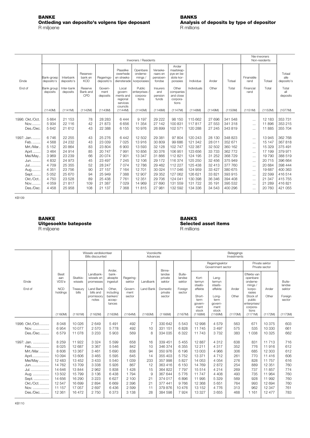<span id="page-9-0"></span>

|                                             |                                               |                                                 |                                   |                                                | Nie-inwoners<br>Non-residents                                     |                                               |                                                  |                                                            |                                                     |                                                 |                                                     |                                                          |                                                 |                                                    |
|---------------------------------------------|-----------------------------------------------|-------------------------------------------------|-----------------------------------|------------------------------------------------|-------------------------------------------------------------------|-----------------------------------------------|--------------------------------------------------|------------------------------------------------------------|-----------------------------------------------------|-------------------------------------------------|-----------------------------------------------------|----------------------------------------------------------|-------------------------------------------------|----------------------------------------------------|
| Einde                                       | Bank-groep<br>deposito's                      | Interbank<br>deposito's                         | Reserwe-<br>bank en<br><b>KOD</b> | Regerings-<br>deposito's                       | Plaaslike<br>owerhede<br>en streeks-<br>diensterade               | Openbare<br>onderne-<br>minas/<br>korporasies | Verseke-<br>raars en<br>pensioen-<br>fondse      | Ander<br>maatskap-<br>pye en be-<br>slote kor-<br>porasies | Individue                                           | Ander                                           | Totaal                                              | Finansiële<br>rand                                       | Totaal                                          | Totaal<br>alle<br>deposito's                       |
| End of                                      | Bank group<br>deposits                        | Inter-bank<br>deposits                          | Reserve<br>Bank and<br>CPD        | Govern-<br>ment<br>deposits                    | Local<br>govern-<br>ments and<br>regional<br>services<br>councils | Public<br>enterprises<br>corpora-<br>tions    | Insurers<br>and<br>pension<br>funds              | Other<br>companies<br>and close<br>corpora-<br>tions       | Individuals                                         | Other                                           | Total                                               | Financial<br>rand                                        | Total                                           | Total<br>all<br>deposits                           |
|                                             | (1140M)                                       | (1141M)                                         | (1142M)                           | (1143M)                                        | (1144M)                                                           | (1145M)                                       | (1146M)                                          | (1147M)                                                    | (1148M)                                             | (1149M)                                         | (1150M)                                             | (1151M)                                                  | (1152M)                                         | (1077M)                                            |
| 1996: Okt./Oct.<br>Nov<br>Des./Dec.         | 5 6 6 4<br>5934<br>5 6 4 2                    | 21 153<br>22 116<br>21 612                      | 78<br>42<br>43                    | 28 28 3<br>21 873<br>22 388                    | 6444<br>6656<br>6 1 5 5                                           | 9 1 9 7<br>11 354<br>10 976                   | 29 222<br>27 142<br>26 899                       | 98 150<br>100 831<br>102 571                               | 115 662<br>117817<br>120 288                        | 27 696<br>27 553<br>27 245                      | 341 548<br>341 318<br>343 819                       | $\cdots$<br>$\cdots$<br>$\cdots$                         | 12 183<br>11896<br>11885                        | 353 731<br>353 215<br>355 704                      |
| 1997: Jan.<br>Feb.<br>Mrt./Mar.<br>April    | 6746<br>4568<br>5 1 5 2<br>3 4 6 4            | 22 255<br>24 232<br>20864<br>24 914             | 43<br>43<br>83<br>85              | 25 276<br>23 039<br>23 804<br>20747            | 6442<br>7025<br>6900<br>7991                                      | 12 502<br>13916<br>13 593<br>10856            | 29 381<br>30 809<br>32 128<br>30 376             | 97 804<br>99 686<br>102 747<br>106 951                     | 120 243<br>121 342<br>122 387<br>123 656            | 28 130<br>28 011<br>32 502<br>33 733            | 348 823<br>352 671<br>360 162<br>362 772            | $\cdots$<br>$\cdots$<br>$\cdots$                         | 13945<br>15 147<br>15 329<br>17 199             | 362 768<br>367818<br>375 491<br>379 971            |
| Mei/May.<br>Jun.<br><b>Jul</b>              | 3969<br>4 8 3 2<br>4 7 0 9                    | 23 239<br>24 973<br>25 355                      | 66<br>45<br>52                    | 20074<br>23 497<br>28 247                      | 7 9 0 1<br>7 2 4 5<br>7074                                        | 13 347<br>12 106<br>12786                     | 31 866<br>29 172<br>29 4 62                      | 112 821<br>116 374<br>112 227                              | 124 195<br>125 250<br>125 438                       | 31 252<br>32 456<br>32 413                      | 368 729<br>375949<br>377 760                        | $\cdots$<br>$\cdots$<br>$\cdots$<br>$\cdots$             | 19790<br>20715<br>20 684                        | 388 519<br>396 664<br>398 444                      |
| Aug<br>Sept<br>Okt./Oct.<br>Nov<br>Des./Dec | 4 3 5 1<br>5 0 5 2<br>4750<br>4 0 5 9<br>4458 | 23 756<br>25 670<br>23 5 28<br>21 817<br>25 958 | 90<br>94<br>89<br>109<br>108      | 27 157<br>25 949<br>25 438<br>21 387<br>21 137 | 7 1 6 4<br>7 3 8 8<br>7 7 6 1<br>7 0 2 9<br>7 3 6 8               | 12701<br>12 907<br>12 3 51<br>14 969<br>11815 | 30 0 24<br>29 35 2<br>29 706<br>27 690<br>27 981 | 117 046<br>127 062<br>124 041<br>131 559<br>132 592        | 124 959<br>126 621<br>130 398<br>131 722<br>134 336 | 33 4 27<br>33 821<br>36 346<br>35 191<br>34 543 | 380 675<br>393 915<br>394 408<br>395 532<br>400 296 | $\cdots$<br>$\cdots$<br>$\cdots$<br>$\cdots$<br>$\cdots$ | 19687<br>22 5 9 9<br>21 347<br>21 289<br>20 760 | 400 363<br>416 514<br>415 755<br>416821<br>421 055 |
|                                             |                                               |                                                 |                                   |                                                |                                                                   |                                               |                                                  |                                                            |                                                     |                                                 |                                                     |                                                          |                                                 |                                                    |

| <b>BANKE</b>          | <b>BANKS</b>                |
|-----------------------|-----------------------------|
| Uitgesoekte bateposte | <b>Selected asset items</b> |
| R miljoene            | R millions                  |

# **BANKE BANKS**

|                |                        |                     | Wissels verdiskonteer<br><b>Bills discounted</b> |                               |                     | Voorskotte<br>Advances |                             |                            | Beleggings<br>Investments                  |                                           |         |                                                         |                                  |                   |  |
|----------------|------------------------|---------------------|--------------------------------------------------|-------------------------------|---------------------|------------------------|-----------------------------|----------------------------|--------------------------------------------|-------------------------------------------|---------|---------------------------------------------------------|----------------------------------|-------------------|--|
|                |                        |                     |                                                  | Ander.                        |                     |                        | Binne-                      |                            |                                            | Regeringsektor<br>Government sector       |         |                                                         | Private sektor<br>Private sector |                   |  |
| Einde          | Besit<br>aan<br>VDS'e  | Skatkis-<br>wissels | Landbank-<br>wissels en<br>promesses             | bank-<br>aksepte<br>ingesluit | Regering-<br>sektor | Landbank               | landse<br>private<br>sektor | Buite-<br>landse<br>sektor | Kort-<br>termvn<br>staats-                 | Lang-<br>termvn<br>staats-                |         | Effekte van<br>openbare<br>onderne-<br>mings /          |                                  | Buite-<br>landse  |  |
| End of         | <b>NCD</b><br>holdings | Treasury<br>bills   | Land Bank<br>bills and                           | Other,<br>includina           | Govern-<br>ment     | Land Bank              | Domestic<br>private         | Foreign<br>sector          | effekte                                    | effekte                                   | Ander   | korpo-<br>rasies                                        | Ander                            | sektor            |  |
|                |                        |                     | promissory<br>notes                              | bankers'<br>accep-<br>tances  | sector              |                        | sector                      |                            | Short-<br>term<br>govern-<br>ment<br>stock | Long-<br>term<br>govern-<br>ment<br>stock | Other   | Stock of<br>public<br>enterprises/<br>corpora-<br>tions | Other                            | Foreign<br>sector |  |
|                | (1160M)                | (1161M)             | (1162M)                                          | (1163M)                       | (1164M)             | (1165M)                | (1166M)                     | (1167M)                    | (1168M)                                    | (1169M)                                   | (1170M) | (1171M)                                                 | (1172M)                          | (1173M)           |  |
| 1996: Okt./Oct | 8048                   | 10 0 26             | 2649                                             | 5491                          | 492                 |                        | 330 642                     | 5543                       | 12 998                                     | 4579                                      | 563     | 671                                                     | 10 375                           | 603               |  |
| Nov.           | 6954                   | 10 077              | 2570                                             | 5778                          | 492                 | 10                     | 331 151                     | 6828                       | 11745                                      | 3 4 9 7                                   | 575     | 535                                                     | 10 330                           | 661               |  |
| Des./Dec       | 6579                   | 11 078              | 3 2 3 3                                          | 5 9 0 3                       | 569                 | 8                      | 334 035                     | 6 3 2 2                    | 11743                                      | 3732                                      | 383     | 1 0 3 8                                                 | 10 3 25                          | 662               |  |
| 1997: Jan.     | 8 2 5 9                | 11922               | 3 3 2 4                                          | 5 5 9 9                       | 658                 | 16                     | 339 451                     | 5 4 5 5                    | 12887                                      | 4 3 1 2                                   | 638     | 831                                                     | 11 713                           | 716               |  |
| Feb            | 8025                   | 12 687              | 3 3 6 7                                          | 5 5 4 6                       | 842                 | 10                     | 346 374                     | 6 3 5 5                    | 12 211                                     | 4 3 1 7                                   | 352     | 776                                                     | 11916                            | 612               |  |
| Mrt./Mar.      | 8606                   | 13 3 67             | 3 4 6 1                                          | 5690                          | 838                 | 94                     | 350 976                     | 6 196                      | 13 003                                     | 4 9 6 6                                   | 306     | 685                                                     | 12 303                           | 612               |  |
| April          | 10 0 94                | 13 606              | 3 4 6 5                                          | 5595                          | 645                 | 14                     | 355 403                     | 5752                       | 13 371                                     | 4712                                      | 261     | 770                                                     | 11 4 16                          | 606               |  |
| Mei/May        | 12 483                 | 13 452              | 3 4 3 3                                          | 5540                          | 1 0 3 9             | 233                    | 357998                      | 5827                       | 14 0 53                                    | 4 0 5 4                                   | 276     | 828                                                     | 11 757                           | 616               |  |
| Jun            | 14 7 62                | 13709               | 3 3 3 8                                          | 5926                          | 867                 | 12                     | 363 416                     | 6 150                      | 14 769                                     | 2872                                      | 254     | 889                                                     | 12 3 5 1                         | 760               |  |
| Jul.           | 14 646                 | 13 844              | 2962                                             | 5838                          | 1 4 2 8             | 15                     | 364 822                     | 7 7 9 7                    | 15 5 14                                    | 4 2 1 4                                   | 269     | 737                                                     | 11857                            | 774               |  |
| Aug.           | 13 502                 | 15 799              | 3 1 3 6                                          | 6438                          | 1794                | 9                      | 367 644                     | 5776                       | 11747                                      | 4 4 0 8                                   | 493     | 735                                                     | 11 964                           | 760               |  |
| Sept.          | 14 656                 | 16 290              | 3 2 2 3                                          | 6627                          | 2 100               | 21                     | 374 017                     | 6896                       | 11 995                                     | 5 3 2 9                                   | 569     | 928                                                     | 11 992                           | 760               |  |
| Okt./Oct.      | 12 5 47                | 16 699              | 2894                                             | 6669                          | 2 3 9 6             | 21                     | 377441                      | 9766                       | 12 3 68                                    | 5651                                      | 764     | 993                                                     | 12 694                           | 760               |  |
| Nov.           | 11 157                 | 17057               | 2697                                             | 6436                          | 2599                | 11                     | 379 876                     | 10476                      | 13 152                                     | 4776                                      | 313     | 962                                                     | 12 347                           | 761               |  |
| Des./Dec       | 12 3 61                | 16 472              | 2750                                             | 6373                          | 3 1 3 8             | 28                     | 384 598                     | 7924                       | 13 3 27                                    | 3655                                      | 468     | 1 1 6 1                                                 | 12 477                           | 783               |  |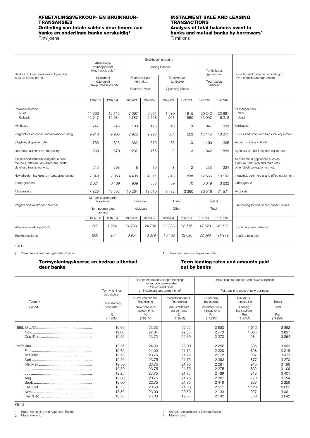## <span id="page-10-0"></span>**AFBETALINGSVERKOOP- EN BRUIKHUUR- INSTALMENT SALE AND LEASING Ontleding van totale saldo's deur leners aan banke en onderlinge banke verskuldig1** R miljoene

# **TRANSACTIONS**<br>**Analysis of total balances owed to banks and mutual banks by borrowers<sup>1</sup> R** millions

| Saldo's op kwartaaleindes volgens tipe<br>bate en ooreenkoms                                                     | Afbetalings-<br>verkoopkrediet<br>(Huurkoopkrediet)             |                  |                          |                                                   | Bruikhuurfinansiering<br>Leasing Finance |                                  | Totale bates     | gefinansier              | Quarter-end balances according to                                                                             |
|------------------------------------------------------------------------------------------------------------------|-----------------------------------------------------------------|------------------|--------------------------|---------------------------------------------------|------------------------------------------|----------------------------------|------------------|--------------------------|---------------------------------------------------------------------------------------------------------------|
|                                                                                                                  | Instalment<br>sale credit<br>(Hire-purchase credit)             |                  |                          | Finansiële huur-<br>kontrakte<br>Financial leases | kontrakte                                | Bedryfshuur-<br>Operating leases |                  | Total assets<br>financed | type of asset and agreement                                                                                   |
|                                                                                                                  | 1997/03                                                         | 1997/04          | 1997/03                  | 1997/04                                           | 1997/03                                  | 1997/04                          | 1997/03          | 1997/04                  |                                                                                                               |
| Passasiersmotors:<br>Nuut<br>Gebruik                                                                             | 11 666<br>12747                                                 | 12 115<br>12 984 | 7097<br>2787             | 6961<br>2 7 6 8                                   | 1 5 8 0<br>563                           | 1615<br>560                      | 20 343<br>16 097 | 20 691<br>16312          | Passenger cars:<br><b>New</b><br>Used                                                                         |
| Minibusse                                                                                                        | 747                                                             | 743              | 190                      | 178                                               | 10                                       | 9                                | 947              | 930                      | Minibuses                                                                                                     |
| Vragmotors en ander landvervoertoerusting                                                                        | 9916                                                            | 9985             | 2926                     | 2 993                                             | 304                                      | 263                              | 13 146           | 13 241                   | Trucks and other land transport equipment                                                                     |
| Vliegtuie, skepe en bote                                                                                         | 765                                                             | 825              | 662                      | 570                                               | 63                                       | $\circ$                          | 1 4 9 0          | 1 3 9 5                  | Aircraft, ships and boats                                                                                     |
| Landboumasjinerie en -toerusting                                                                                 | 1 603                                                           | 1670             | 237                      | 166                                               | $\overline{2}$                           | 3                                | 1842             | 1839                     | Agricultural machinery and equipment                                                                          |
| Alle huishoudelike benodigdhede soos<br>meubels, televisie- en radiostelle, ander<br>elektriese toerusting, ens. | 215                                                             | 203              | 18                       | 19                                                | 3                                        | 2                                | 236              | 224                      | All household appliances such as<br>furniture, television and radio sets,<br>other electrical equipment, etc. |
| Nywerheids-, handels- en kantoortoerusting                                                                       | 7 340                                                           | 7958             | 4 4 0 8                  | 4 3 1 1                                           | 818                                      | 838                              | 12 5 66          | 13 107                   | Industrial, commercial and office equipment                                                                   |
| Ander goedere                                                                                                    | 2821                                                            | 3 1 0 9          | 939                      | 653                                               | 89                                       | 70                               | 3849             | 3832                     | Other goods                                                                                                   |
| Alle goedere                                                                                                     | 47 820                                                          | 49 592           | 19 2 64                  | 18 6 19                                           | 3 4 3 2                                  | 3 3 6 0                          | 70516            | 71 571                   | All goods                                                                                                     |
| Volgens tipe aankoper / huurder                                                                                  | Nie-geïnkorporeerde<br>boerderye<br>Non-incorporated<br>farming |                  | Individue<br>Individuals |                                                   | Ander<br>Other                           |                                  | Totaal<br>Total  |                          | According to type of purchaser / lessee                                                                       |
|                                                                                                                  | 1997/03                                                         | 1997/04          | 1997/03                  | 1997/04                                           | 1997/03                                  | 1997/04                          | 1997/03          | 1997/04                  |                                                                                                               |
| Afbetalingsverkoopsaldo's                                                                                        | 1 2 0 9                                                         | 1 2 2 4          | 24 288                   | 24 7 9 2                                          | 22 3 23                                  | 23 576                           | 47820            | 49 5 92                  | Instalment sale balances                                                                                      |
| Bruikhuursaldo's                                                                                                 | 280                                                             | 274              | 8954                     | 8879                                              | 13 4 6 2                                 | 12826                            | 22 696           | 21 979                   | Leasing balances                                                                                              |

<span id="page-10-1"></span>KB111

1. Onverdiende finansieringskoste uitgesluit. 1. Unearned finance charges excluded.

## **Termynleningskoerse en bedrae uitbetaal action is deur bedrage for the Term lending rates and amounts paid<br>
deur banke<br>
deur banks deur banke out by banks**

|                   | Termynlenings<br>basiskoers <sup>1</sup>                                                        | Oorheersende koerse op afbetalings-<br>Predominant rates<br>on instalment sale agreements <sup>2</sup> | verkoopooreenkomste <sup>2</sup>                                                                | Uitbetalings ten opsigte van nuwe besigheid<br>Paid out in respect of new business                           |                                                                               |                                                                                                  |  |  |
|-------------------|-------------------------------------------------------------------------------------------------|--------------------------------------------------------------------------------------------------------|-------------------------------------------------------------------------------------------------|--------------------------------------------------------------------------------------------------------------|-------------------------------------------------------------------------------|--------------------------------------------------------------------------------------------------|--|--|
| Tydperk<br>Period | Term lending<br>base rate <sup>1</sup><br>%                                                     | Nuwe vastekoers-<br>finansiering<br>New fixed rate<br>agreements<br>$\%$                               | Wisselendekoers-<br>finansiering<br>Adjustable rate<br>agreements<br>$\%$                       | Huurkoop-<br>transaksies<br>Instalment sale<br>transactions<br><b>Rm</b>                                     | Bruikhuur-<br>transaksies<br>Leasing<br>transactions<br><b>Rm</b>             | Totaal<br>Total<br><b>Rm</b>                                                                     |  |  |
|                   | (1180M)                                                                                         | (1181M)                                                                                                | (1182M)                                                                                         | (1183M)                                                                                                      | (1184M)                                                                       | (1185M)                                                                                          |  |  |
|                   | 19.00<br>19.00<br>19.50                                                                         | 23.02<br>22.84<br>23.75                                                                                | 22.25<br>22.38<br>22.30                                                                         | 2850<br>2 7 7 3<br>2 2 7 0                                                                                   | 1 0 1 2<br>1 0 5 4<br>984                                                     | 3862<br>3827<br>3 2 5 4                                                                          |  |  |
|                   | 19.75<br>19.75<br>19.50<br>19.50<br>19.50<br>19.50<br>19.25<br>19.00<br>19.00<br>18.75<br>18.50 | 24.00<br>24.00<br>23.75<br>23.75<br>23.75<br>23.75<br>23.75<br>23.75<br>23.75<br>23.50<br>23.00        | 22.00<br>21.75<br>21.75<br>21.75<br>21.75<br>21.75<br>21.75<br>21.75<br>21.75<br>21.50<br>20.50 | 2 2 5 6<br>2 3 2 0<br>2 1 7 2<br>2 3 9 3<br>2 2 8 1<br>2 2 7 5<br>2489<br>2 3 8 1<br>2419<br>2511<br>2 1 3 3 | 806<br>898<br>907<br>877<br>915<br>832<br>912<br>773<br>837<br>1 1 2 3<br>927 | 3.062<br>3218<br>3079<br>3 2 7 0<br>3 196<br>3 106<br>3401<br>3 1 5 4<br>3 2 5 6<br>3635<br>3061 |  |  |
|                   | 18.50                                                                                           | 23.00                                                                                                  | 19.50                                                                                           | 2 1 8 2                                                                                                      | 860                                                                           | 3042                                                                                             |  |  |

KB112

Bron: Vereniging van Algemene Banke. Mediaankoers. 1. 2.

1. Source: Association of General Banks.<br>2. Median rate.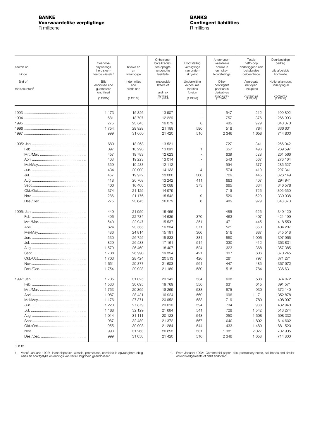### <span id="page-11-0"></span>**BANKE BANKS Voorwaardelike verpligtinge Contingent liabilities**<br>
R miljoene **Contingent liabilities**<br>
R millions R miljoene

| seerde en                 | Geëndos-<br>Vrywarings                    | briewe en         | Onherroep-<br>bare krediet-<br>ten opsigte | Blootstelling<br>verpligtinge       | Ander voor-<br>waardelike<br>posisie in  | Totale<br>netto oop<br>onderliggend aan | Denkbeeldige<br>bedrag<br>alle afgeleide |
|---------------------------|-------------------------------------------|-------------------|--------------------------------------------|-------------------------------------|------------------------------------------|-----------------------------------------|------------------------------------------|
| Einde                     | herdiskon-<br>teerde wissels <sup>1</sup> | en<br>waarborge   | onbenutte<br>fasiliteite                   | van onder-<br>skrywing              | en risiko-<br>blootstellings             | buitelandse<br>geldeenhede              | kontrakte                                |
| End of                    | <b>Bills</b>                              | Indemnities       | Irrevocable                                | Underwriting                        | Other                                    | Aggregate                               | Notional amount                          |
| rediscounted <sup>1</sup> | endorsed and<br>guarantees<br>unutilised  | and<br>credit and | letters of<br>and risk                     | exposures<br>liabilities<br>foreign | contingent<br>position in<br>derivatives | net open<br>unexpired                   | underlying all                           |
|                           | (1190M)                                   | (1191M)           | <b>FASHIBIRA</b>                           | (1193M)                             | exposures                                | currencies                              | GODT <del>ga</del> cts                   |
|                           | 1 1 7 3                                   | 15 3 26           | 13 907                                     |                                     | 547                                      | 212                                     | 109892                                   |
|                           | 681                                       | 18707             | 12 2 2 9                                   | ÷,                                  | 757                                      | 376                                     | 266 993                                  |
|                           | 275                                       | 23 645            | 16 0 79                                    | 8                                   | 485                                      | 929                                     | 343 370                                  |
|                           | 1754                                      | 29 928            | 21 189                                     | 580                                 | 518                                      | 784                                     | 336 631                                  |
|                           | 999                                       | 31 050            | 21 4 20                                    | 510                                 | 2 3 4 6                                  | 1 658                                   | 714 800                                  |
|                           | 680                                       | 18 268            | 13521                                      | ÷,                                  | 727                                      | 341                                     | 266 042                                  |
|                           | 397                                       | 18 290            | 13 091                                     | 1                                   | 657                                      | 496                                     | 269 597                                  |
|                           | 457                                       | 19783             | 12 623                                     | ÷,                                  | 639                                      | 528                                     | 261 566                                  |
|                           | 403                                       | 19 223            | 13 014                                     |                                     | 543                                      | 567                                     | 276 164                                  |
|                           | 359                                       | 19 233            | 12 11 2                                    | ÷,                                  | 594                                      | 377                                     | 285 527                                  |
|                           | 434                                       | 20 000            | 14 133                                     | $\overline{4}$                      | 574                                      | 419                                     | 297 341                                  |
|                           | 457                                       | 19 972            | 13 000                                     | 366                                 | 729                                      | 445                                     | 326 149                                  |
|                           | 418                                       | 20 708            | 13 24 2                                    | 411                                 | 683                                      | 407                                     | 294 941                                  |
|                           | 400<br>374                                | 16 400            | 12 088                                     | 373                                 | 665                                      | 334<br>726                              | 346 578<br>305 660                       |
|                           | 286                                       | 21 125<br>21 176  | 14 979<br>15 542                           | 9                                   | 719<br>520                               | 629                                     | 330 938                                  |
|                           | 275                                       | 23 645            | 16079                                      | 8                                   | 485                                      | 929                                     | 343 370                                  |
|                           |                                           |                   |                                            |                                     |                                          |                                         |                                          |
|                           | 449                                       | 21 950            | 15 4 5 5                                   |                                     | 485                                      | 626                                     | 349 120                                  |
|                           | 496                                       | 22 734            | 14 635                                     | 370                                 | 463                                      | 407                                     | 421 199                                  |
|                           | 540                                       | 22 947            | 15 537                                     | 351                                 | 471                                      | 445                                     | 418 559                                  |
|                           | 624                                       | 23 565            | 16 204                                     | 371                                 | 521                                      | 850                                     | 404 207                                  |
|                           | 486                                       | 24 814            | 15 191                                     | 366                                 | 518                                      | 887                                     | 345 518<br>397 966                       |
|                           | 530<br>829                                | 26 7 25<br>26 538 | 15 833<br>17 161                           | 381<br>514                          | 550<br>330                               | 1 0 0 6<br>412                          | 353 831                                  |
|                           | 1579                                      | 26 460            | 18 407                                     | 524                                 | 323                                      | 368                                     | 357 385                                  |
|                           | 1738                                      | 26 990            | 19 3 54                                    | 421                                 | 337                                      | 606                                     | 370 245                                  |
|                           | 1 703                                     | 28 4 24           | 20 513                                     | 426                                 | 261                                      | 797                                     | 371 271                                  |
|                           | 1651                                      | 29 877            | 21 603                                     | 561                                 | 447                                      | 485                                     | 367 972                                  |
|                           | 1754                                      | 29 928            | 21 189                                     | 580                                 | 518                                      | 784                                     | 336 631                                  |
|                           | 1 705                                     | 31 025            | 20 141                                     | 584                                 | 608                                      | 538                                     | 374 072                                  |
|                           | 1 530                                     | 30 695            | 19769                                      | 550                                 | 631                                      | 615                                     | 391 571                                  |
|                           | 1753                                      | 29 365            | 18 269                                     | 538                                 | 675                                      | 930                                     | 372 140                                  |
|                           | 1 0 8 7                                   | 28 431            | 19924                                      | 560                                 | 696                                      | 1 1 7 1                                 | 352 878                                  |
|                           | 1 1 7 6                                   | 27 371            | 20 652                                     | 583                                 | 719                                      | 780                                     | 408 997                                  |
|                           | 1 2 2 0                                   | 27 879            | 20 010                                     | 594                                 | 734                                      | 938                                     | 432 943                                  |
|                           | 1 1 8 8                                   | 32 129            | 21 664                                     | 541                                 | 728                                      | 1542                                    | 513 274                                  |
|                           | 1014                                      | 31 111            | 20 123                                     | 543                                 | 250                                      | 1 508                                   | 598 332                                  |
|                           | 987                                       | 32 489            | 21 372                                     | 567                                 | 1 0 4 0                                  | 1802                                    | 614 602                                  |
|                           | 955                                       | 30 998            | 21 284                                     | 544                                 | 1433                                     | 1 4 8 0                                 | 681 520                                  |
|                           | 993                                       | 31 268            | 20 893                                     | 531                                 | 1 3 8 1                                  | 2 0 2 7                                 | 702 905                                  |
|                           | 999                                       | 31 050            | 21 4 20                                    | 510                                 | 2 3 4 6                                  | 1658                                    | 714 800                                  |

KB113

1. Vanaf Januarie 1992: Handelspapier, wissels, promesses, onmiddellik opvraagbare oblig- 1. From January 1992: Commercial paper, bills, promissory notes, call bonds and similar<br>asies en soortgelyke erkennings van verskuld

1. From January 1992: Commercial paparection acknowledgements of debt endorsed.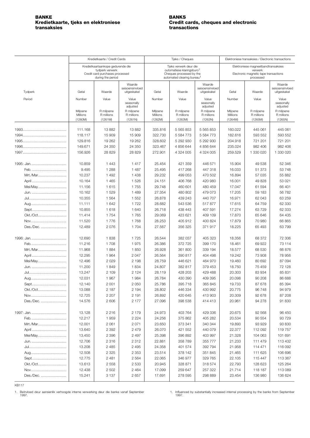## <span id="page-12-0"></span>**Kredietkaarte, tjeks en elektroniese Credit cards, cheques and electronic transactions**

|           |                      | Kredietkaarte / Credit Cards                                            |                                          |                      | Tjeks / Cheques                                                                                             |                                          |                      | Elektroniese transaksies / Electronic transactions            |                                          |
|-----------|----------------------|-------------------------------------------------------------------------|------------------------------------------|----------------------|-------------------------------------------------------------------------------------------------------------|------------------------------------------|----------------------|---------------------------------------------------------------|------------------------------------------|
|           |                      | Kredietkaartaankope gedurende die                                       |                                          |                      | Tjeks verwerk deur die                                                                                      |                                          |                      | Elektroniese magneetbandtransaksies                           |                                          |
|           |                      | tydperk verwerk<br>Credit card purchases processed<br>during the period |                                          |                      | outomatiese klaringsburo <sup>1</sup><br>Cheques processed by the<br>automated clearing bureau <sup>1</sup> |                                          |                      | verwerk<br>Electronic magnetic tape transactions<br>processed |                                          |
| Tydperk   | Getal                | Waarde                                                                  | Waarde<br>seisoensinvloed<br>uitgeskakel | Getal                | Waarde                                                                                                      | Waarde<br>seisoensinvloed<br>uitgeskakel | Getal                | Waarde                                                        | Waarde<br>seisoensinvloed<br>uitgeskakel |
| Period    | Number               | Value                                                                   | Value                                    | Number               | Value                                                                                                       | Value                                    | Number               | Value                                                         | Value                                    |
|           |                      |                                                                         | seasonally<br>adjusted                   |                      |                                                                                                             | seasonally<br>adjusted                   |                      |                                                               | seasonally<br>adjusted                   |
|           | Miljoene<br>Millions | R miljoene<br>R millions                                                | R miljoene<br>R millions                 | Miljoene<br>Millions | R miljoene<br>R millions                                                                                    | R miljoene<br>R millions                 | Miljoene<br>Millions | R miljoene<br>R millions                                      | R miljoene<br>R millions                 |
|           | (1260M)              | (1261M)                                                                 | (1261N)                                  | (1262M)              | (1263M)                                                                                                     | (1263N)                                  | (1264M)              | (1265M)                                                       | (1265N)                                  |
|           | 111.168              | 13882                                                                   | 13882                                    | 335.816              | 5 5 6 5 8 5 3                                                                                               | 5 5 6 5 8 5 3                            | 160.022              |                                                               | 445 061                                  |
|           | 118.117              | 15 909                                                                  | 15 909                                   | 322.730              | 5 5 8 4 7 7 3                                                                                               | 5 5 8 4 7 7 3                            | 182.616              | 445 061<br>593 552                                            | 593 552                                  |
|           | 129.816              | 19 262                                                                  | 19 262                                   | 328.602              | 5 292 930                                                                                                   | 5 292 930                                | 204.918              | 721 201                                                       | 721 201                                  |
|           | 149.671              | 24 350                                                                  | 24 350                                   | 323.467              | 4 856 644                                                                                                   | 4 856 644                                | 235.024              | 982 406                                                       | 982 406                                  |
|           | 156.926              | 28 829                                                                  | 28 829                                   | 272.901              | 4 324 005                                                                                                   | 4 324 005                                | 259.529              | 1 330 020                                                     | 1 330 020                                |
|           |                      |                                                                         |                                          |                      |                                                                                                             |                                          |                      |                                                               |                                          |
|           | 10.859               | 1 4 4 3                                                                 | 1417                                     | 25.454               | 421 359                                                                                                     | 446 571                                  | 15.904               | 49 538                                                        | 52 346                                   |
|           | 9.495                | 1 2 8 8                                                                 | 1 4 8 7                                  | 25.495               | 417 268                                                                                                     | 447 318                                  | 16.033               | 51 373                                                        | 53748                                    |
| Mrt./Mar  | 10.237               | 1 4 9 2                                                                 | 1 4 3 8                                  | 29.232               | 499 053                                                                                                     | 470 502                                  | 16.894               | 57 035                                                        | 55 882                                   |
| April     | 10.164               | 1 4 6 5                                                                 | 1526                                     | 24.151               | 406 768                                                                                                     | 420 980                                  | 16.001               | 49828                                                         | 53 021                                   |
| Mei/May   | 11.156               | 1615                                                                    | 1755                                     | 29.748               | 460 601                                                                                                     | 480 459                                  | 17.047               | 61 594                                                        | 66 401                                   |
| Jun.      | 10.162               | 1529                                                                    | 1489                                     | 27.354               | 480 802                                                                                                     | 479 073                                  | 17.205               | 59 183                                                        | 56 782                                   |
|           | 10.355               | 1 5 6 4                                                                 | 1 5 5 2                                  | 26.878               | 439 243                                                                                                     | 440 707                                  | 16.971               | 62 043                                                        | 63 259                                   |
| Aug       | 11.111               | 1 642                                                                   | 1722                                     | 28.682               | 543 536                                                                                                     | 517877                                   | 17.615               | 64 759                                                        | 62 330                                   |
| Sept      | 10.855               | 1618                                                                    | 1 640                                    | 26.718               | 438 443                                                                                                     | 407 591                                  | 17.274               | 63729                                                         | 62 333                                   |
| Okt./Oct  | 11.414               | 1754                                                                    | 1765                                     | 29.069               | 423 621                                                                                                     | 409 109                                  | 17.870               | 65 646                                                        | 64 435                                   |
| Nov       | 11.520               | 1776                                                                    | 1768                                     | 28.253               | 405 912                                                                                                     | 400 824                                  | 17.879               | 70 980                                                        | 66865                                    |
| Des./Dec. | 12.489               | 2076                                                                    | 1 704                                    | 27.567               | 356 325                                                                                                     | 371917                                   | 18.225               | 65 493                                                        | 63799                                    |
|           | 12.690               | 1838                                                                    | 1725                                     | 26.544               | 382 037                                                                                                     | 405 323                                  | 18.356               | 68 372                                                        | 72 306                                   |
|           | 11.216               | 1708                                                                    | 1975                                     | 26.386               | 372 725                                                                                                     | 399 170                                  | 18.461               | 69 922                                                        | 73 114                                   |
| Mrt./Mar  | 11.968               | 1884                                                                    | 1850                                     | 26.928               | 361 800                                                                                                     | 339 194                                  | 18.577               | 68 530                                                        | 66 876                                   |
| April     | 12.295               | 1 9 6 4                                                                 | 2 0 4 7                                  | 26.564               | 390 817                                                                                                     | 404 498                                  | 19.242               | 73 908                                                        | 78 956                                   |
| Mei/May   | 12.496               | 2029                                                                    | 2 1 9 8                                  | 28.759               | 446 621                                                                                                     | 464 970                                  | 19.460               | 80 692                                                        | 87 094                                   |
| Jun.      | 11.200               | 1849                                                                    | 1834                                     | 24.807               | 382 817                                                                                                     | 379 453                                  | 18.750               | 75 459                                                        | 72 128                                   |
|           | 13.247               | 2 1 0 9                                                                 | 2 1 2 4                                  | 28.119               | 428 203                                                                                                     | 429 488                                  | 20.303               | 83 934                                                        | 85 831                                   |
|           | 12.031               | 1967                                                                    | 1984                                     | 26.784               | 430 390                                                                                                     | 409 395                                  | 20.098               | 90 208                                                        | 86 688                                   |
| Sept      | 12.140               | 2 0 0 1                                                                 | 2 0 5 0                                  | 25.786               | 395 718                                                                                                     | 365 845                                  | 19.733               | 87 678                                                        | 85 394                                   |
| Okt./Oct  | 13.088               | 2 187                                                                   | 2 1 9 4                                  | 28.802               | 446 334                                                                                                     | 430 992                                  | 20.775               | 96 748                                                        | 94 979                                   |
| Nov       | 12.725               | 2 2 0 7                                                                 | 2 1 9 1                                  | 26.892               | 420 645                                                                                                     | 413 903                                  | 20.309               | 92 678                                                        | 87 208                                   |
| Des./Dec. | 14.576               | 2 606                                                                   | 2 177                                    | 27.096               | 398 538                                                                                                     | 414 413                                  | 20.961               | 94 278                                                        | 91 830                                   |
|           | 13.128               | 2 2 1 6                                                                 | 2 179                                    | 24.973               | 403 764                                                                                                     | 429 336                                  | 20.675               | 92 568                                                        | 96 450                                   |
|           | 12.217               | 1959                                                                    | 2 2 2 4                                  | 24.256               | 375 862                                                                                                     | 405 282                                  | 20.534               | 90 554                                                        | 93729                                    |
| Mrt./Mar  | 12.001               | 2 0 6 1                                                                 | 2 0 7 1                                  | 23.650               | 373 341                                                                                                     | 340 344                                  | 19.893               | 93 929                                                        | 93 830                                   |
| April     | 13.640               | 2 3 9 2                                                                 | 2479                                     | 26.070               | 421 552                                                                                                     | 440 079                                  | 22.377               | 112 092                                                       | 119 757                                  |
| Mei/May   | 13.450               | 2 3 9 6                                                                 | 2 4 9 7                                  | 25.398               | 396 892                                                                                                     | 403 997                                  | 21.328               | 104 063                                                       | 101 691                                  |
| Jun.      | 12.706               | 2 3 1 6                                                                 | 2 3 1 2                                  | 22.881               | 358 789                                                                                                     | 355 777                                  | 21.233               | 111 479                                                       | 113 432                                  |
|           | 13.208               | 2 4 8 5                                                                 | 2 4 9 5                                  | 24.358               | 401 574                                                                                                     | 392 794                                  | 21.958               | 114 471                                                       | 116 092                                  |
|           | 12.508               | 2 3 2 5                                                                 | 2 3 5 3                                  | 23.514               | 378 142                                                                                                     | 351 845                                  | 21.465               | 111 625                                                       | 106 696                                  |
| Sept      | 12.775               | 2481                                                                    | 2 5 6 4                                  | 22.065               | 346 977                                                                                                     | 329 765                                  | 22.105               | 115 447                                                       | 113 367                                  |
| Okt./Oct  | 13.613               | 2558                                                                    | 2 5 3 3                                  | 20.945               | 328 871                                                                                                     | 318 574                                  | 22.793               | 128 623                                                       | 125 264                                  |
| Nov       | 12.438               | 2 5 0 2                                                                 | 2 4 6 4                                  | 17.099               | 259 647                                                                                                     | 257 322                                  | 21.714               | 118 187                                                       | 113 089                                  |
| Des./Dec. | 15.241               | 3 1 3 7                                                                 | 2657                                     | 17.691               | 278 595                                                                                                     | 298 889                                  | 23.454               | 136 980                                                       | 136 624                                  |

KB117

1. Beïnvloed deur aansienlik verhoogde interne verwerking deur die banke vanaf September 1997.

1. Influenced by substantially increased internal processing by the banks from September 1997.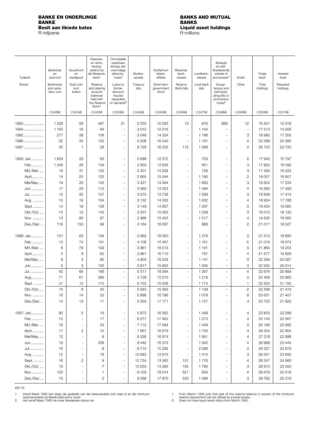## <span id="page-13-0"></span>**BANKE EN ONDERLINGE BANKS AND MUTUAL BANKE BANKS Besit aan likiede bates Liquid asset holdings**

R miljoene

| Tydperk   | Banknote<br>en<br>pasmunt             | Goudmunt<br>en<br>staafgoud | Reserwe-<br>en verre-<br>kening-<br>saldo's by<br>die Reserwe-<br>bank <sup>1</sup>             | Onmiddellik<br>opeisbare<br>lenings aan<br>voormalige<br>diskonto-<br>huise <sup>2</sup> | Skatkis-<br>wissels | Korttermyn<br>staats-<br>effekte  | Reserwe-<br>bank-<br>wissels | Landbank-<br>wissels | Aksepte<br>en self-<br>likwiderende<br>wissels of<br>promesses <sup>2</sup>                | Ander                    | Totale<br>besit   | Vereiste<br>besit    |
|-----------|---------------------------------------|-----------------------------|-------------------------------------------------------------------------------------------------|------------------------------------------------------------------------------------------|---------------------|-----------------------------------|------------------------------|----------------------|--------------------------------------------------------------------------------------------|--------------------------|-------------------|----------------------|
|           |                                       |                             |                                                                                                 |                                                                                          |                     |                                   |                              |                      |                                                                                            |                          |                   |                      |
| Period    | Banknotes<br>and subsi-<br>diary coin | Gold coin<br>and<br>bullion | Reserve<br>and clearing<br>account<br>balances<br>held with<br>the Reserve<br>Bank <sup>1</sup> | Loans to<br>former<br>discount<br>houses<br>repayable<br>on demand <sup>2</sup>          | Treasury<br>bills   | Short-term<br>aovernment<br>stock | Reserve<br>Bank bills        | Land bank<br>bills   | Accep-<br>tances and<br>self-liquid-<br>ating bills or<br>promissory<br>notes <sup>2</sup> | Other                    | Total<br>holdings | Required<br>holdings |
|           | (1240M)                               | (1241M)                     | (1242M)                                                                                         | (1243M)                                                                                  | (1244M)             | (1245M)                           | (1246M)                      | (1247M)              | (1248M)                                                                                    | (1249M)                  | (1250M)           | (1251M)              |
| 1993      | 1 2 2 8                               | 56                          | 487                                                                                             | 31                                                                                       | 2 2 5 0             | 10 583                            | 13                           | 976                  | 866                                                                                        | 12                       | 16 501            | 15 019               |
| 1994      | 1 100                                 | 18                          | 64                                                                                              | $\overline{\phantom{a}}$                                                                 | 3012                | 12 216                            | $\overline{\phantom{a}}$     | 1 104                | $\sim$                                                                                     | $\overline{\phantom{a}}$ | 17513             | 14 506               |
| 1995      | 277                                   | 38                          | 106                                                                                             | ä,                                                                                       | 3 0 4 6             | 14 3 24                           | $\overline{\phantom{a}}$     | 1 1 8 6              |                                                                                            | 3                        | 18 980            | 17 355               |
| 1996      | 32                                    | 34                          | 122                                                                                             | ÷,                                                                                       | 5 0 0 6             | 16 040                            | ÷.                           | 1 1 6 1              | $\sim$                                                                                     | $\overline{4}$           | 22 399            | 20 390               |
|           |                                       |                             |                                                                                                 |                                                                                          |                     |                                   |                              |                      |                                                                                            |                          |                   |                      |
| 1997      | 30                                    | $\overline{1}$              | 28                                                                                              | ä,                                                                                       | 8726                | 16 235                            | 113                          | 1589                 | $\overline{\phantom{a}}$                                                                   | $\overline{4}$           | 26725             | 23 7 20              |
| 1995: Jan | 1829                                  | 23                          | 63                                                                                              | ÷,                                                                                       | 2698                | 12 572                            | ÷,                           | 753                  |                                                                                            | $\overline{2}$           | 17 940            | 15 7 9 7             |
| Feb       | 1 2 4 6                               | 28                          | 109                                                                                             | ä,                                                                                       | 2850                | 12 635                            | $\overline{\phantom{a}}$     | 951                  | $\overline{\phantom{a}}$                                                                   | 3                        | 17822             | 16 092               |
| Mrt./Mar. | 19                                    | 31                          | 105                                                                                             | ÷,                                                                                       | 2 4 0 1             | 14 208                            | $\overline{\phantom{a}}$     | 726                  | $\sim$                                                                                     | 3                        | 17 493            | 16 433               |
| April     | 14                                    | 20                          | 122                                                                                             | ä,                                                                                       | 2 6 6 5             | 15 044                            | $\overline{\phantom{a}}$     | 1 1 9 0              | $\overline{\phantom{a}}$                                                                   | $\overline{c}$           | 19 057            | 16 907               |
| Mei/May   | 19                                    | 20                          | 105                                                                                             | ÷,                                                                                       | 3 4 2 1             | 14 3 94                           | $\overline{\phantom{a}}$     | 1 6 6 2              | $\overline{\phantom{a}}$                                                                   | 3                        | 19 624            | 17 224               |
| Jun.      | 17                                    | 20                          | 112                                                                                             | ÷,                                                                                       | 3560                | 13 353                            | $\overline{\phantom{a}}$     | 1 4 9 4              | $\overline{a}$                                                                             | $\overline{4}$           | 18 560            | 17 493               |
| Jul.      | 12                                    | 20                          | 107                                                                                             | ä,                                                                                       | 3 3 7 0             | 13738                             | $\overline{\phantom{a}}$     | 1598                 |                                                                                            | 3                        | 18848             | 17413                |
| Aug.      | 10                                    | 19                          | 104                                                                                             | ÷,                                                                                       | 3 1 3 2             | 14 0 53                           | $\sim$                       | 1 6 3 2              | $\overline{a}$                                                                             | $\overline{4}$           | 18 9 54           | 17788                |
|           |                                       |                             |                                                                                                 | ä,                                                                                       |                     |                                   | ÷.                           |                      |                                                                                            |                          |                   |                      |
| Sept.     | 14                                    | 18                          | 106                                                                                             |                                                                                          | 3 1 4 9             | 14 837                            |                              | 1 2 9 7              | $\sim$                                                                                     | 3                        | 19 4 24           | 18 0 85              |
| Okt./Oct  | 14                                    | 15                          | 143                                                                                             | ä,                                                                                       | 3 2 5 7             | 15 0 55                           | $\overline{\phantom{a}}$     | 1 0 2 8              | $\overline{\phantom{a}}$                                                                   | 3                        | 19515             | 18 130               |
| Nov.      | 13                                    | 86                          | 97                                                                                              | ÷,                                                                                       | 2886                | 15 402                            | $\overline{\phantom{a}}$     | 1017                 | $\overline{\phantom{a}}$                                                                   | $\overline{4}$           | 19 505            | 18 3 65              |
| Des./Dec  | 116                                   | 150                         | 99                                                                                              | ä,                                                                                       | 3 1 6 4             | 16 597                            | $\overline{\phantom{a}}$     | 889                  | $\overline{\phantom{a}}$                                                                   | $\overline{c}$           | 21 017            | 18 527               |
| 1996: Jan | 151                                   | 63                          | 104                                                                                             | ä,                                                                                       | 3862                | 16 050                            | $\overline{\phantom{a}}$     | 1 2 7 8              | $\overline{\phantom{a}}$                                                                   | 5                        | 21 513            | 18 680               |
| Feb       | 13                                    | 74                          | 191                                                                                             | ÷,                                                                                       | 4 10 6              | 15 4 67                           | $\overline{\phantom{a}}$     | 1 1 6 1              | ÷,                                                                                         | 5                        | 21 016            | 18 974               |
| Mrt./Mar  | 6                                     | 79                          | 109                                                                                             | $\overline{\phantom{a}}$                                                                 | 3961                | 16513                             | $\overline{\phantom{a}}$     | 1 1 9 1              | $\sim$                                                                                     | 5                        | 21 864            | 19 253               |
| April     | 5                                     | 8                           | 93                                                                                              | ÷,                                                                                       | 3 9 6 1             | 16710                             | $\overline{\phantom{a}}$     | 797                  | ä,                                                                                         | 4                        | 21 577            | 19929                |
| Mei/May   | 9                                     | 5                           | 90                                                                                              | ÷,                                                                                       | 4 8 0 4             | 16 24 2                           | $\sim$                       | 1 1 4 1              | $\sim$                                                                                     | 3                        | 22 294            | 20 087               |
| Jun.      | 5                                     | 3                           | 105                                                                                             | ÷,                                                                                       | 5617                | 15 855                            | $\sim$                       | 1 3 4 5              | ÷,                                                                                         | 3                        | 22 932            | 20 314               |
| Jul.      | 42                                    | 66                          | 186                                                                                             | ÷,                                                                                       | 5017                | 16 094                            | $\overline{\phantom{a}}$     | 1 2 6 7              | $\sim$                                                                                     | $\overline{4}$           | 22 676            | 20 689               |
| Aug.      | 71                                    | 61                          | 366                                                                                             | $\frac{1}{2}$                                                                            | 5728                | 15 010                            | $\overline{\phantom{a}}$     | 1 2 1 8              | $\sim$                                                                                     | 5                        | 22 459            | 20 860               |
| Sept.     | 41                                    | 10                          | 115                                                                                             | $\overline{\phantom{a}}$                                                                 | 6 1 5 3             | 15 009                            | $\overline{\phantom{a}}$     | 1 1 7 4              | ÷,                                                                                         | 1                        | 22 503            | 21 155               |
| Okt./Oct  | 14                                    | 6                           | 40                                                                                              | ÷                                                                                        | 5843                | 15 5 6 2                          | $\overline{\phantom{a}}$     | 1 1 2 9              |                                                                                            | 2                        | 22 5 9 6          | 21 413               |
| Nov.      | 16                                    | 14                          | 52                                                                                              |                                                                                          | 5 6 6 8             | 16 796                            | $\overline{\phantom{a}}$     | 1 0 7 9              |                                                                                            | 6                        | 23 631            | 21 407               |
| Des./Dec  | 14                                    | 13                          | 11                                                                                              | ÷,                                                                                       | 5 3 5 5             | 17 171                            | $\overline{\phantom{a}}$     | 1 1 5 7              |                                                                                            | 4                        | 23 7 25           | 21 9 20              |
| 1997: Jan | 90                                    | 5                           | 19                                                                                              | ÷,                                                                                       | 5 6 7 5             | 16 562                            | $\overline{\phantom{a}}$     | 1448                 |                                                                                            | 4                        | 23 803            | 22 288               |
| Feb       | 13                                    | $\overline{\phantom{a}}$    | 17                                                                                              | ÷,                                                                                       | 6 2 7 7             | 17 462                            | $\overline{\phantom{a}}$     | 1 3 7 3              | ÷,                                                                                         | 3                        | 25 145            | 22 5 67              |
|           |                                       |                             |                                                                                                 |                                                                                          |                     |                                   |                              |                      |                                                                                            |                          |                   |                      |
| Mrt./Mar  | 18                                    | $\overline{\phantom{a}}$    | 23                                                                                              | ä,                                                                                       | 7 1 1 2             | 17 584                            | $\overline{\phantom{a}}$     | 1449                 |                                                                                            | 3                        | 26 189            | 22 985               |
| April     | 17                                    | $\overline{c}$              | 10                                                                                              | ä,                                                                                       | 7667                | 16919                             | $\overline{\phantom{a}}$     | 1735                 |                                                                                            | 4                        | 26 354            | 22 904               |
| Mei/May   | 12                                    | $\overline{\phantom{a}}$    | 9                                                                                               | ÷,                                                                                       | 8 3 2 8             | 16974                             | $\overline{\phantom{a}}$     | 1891                 |                                                                                            | 4                        | 27 218            | 22 996               |
| Jun.      | 19                                    | $\overline{\phantom{a}}$    | 208                                                                                             |                                                                                          | 8 4 4 2             | 16 373                            | $\overline{\phantom{a}}$     | 1942                 |                                                                                            | 4                        | 26 988            | 23 4 4 4             |
| Jul.      | 16                                    | $\overline{\phantom{a}}$    | $\hbox{9}$                                                                                      | ÷                                                                                        | 8710                | 15 29 2                           | $\overline{\phantom{a}}$     | 2 2 9 6              |                                                                                            | 4                        | 26 327            | 23 673               |
| Aug.      | 12                                    | $\overline{\phantom{a}}$    | 18                                                                                              | $\frac{1}{2}$                                                                            | 10 683              | 13915                             | $\overline{\phantom{a}}$     | 1410                 |                                                                                            | 3                        | 26 041            | 23 695               |
| Sept.     | 16                                    | 2                           | $\overline{9}$                                                                                  | $\overline{\phantom{a}}$                                                                 | 12724               | 13 565                            | 151                          | 1776                 | $\overline{\phantom{m}}$                                                                   | 4                        | 28 247            | 24 660               |
| Okt./Oct. | 16                                    | $\overline{\phantom{a}}$    | 7                                                                                               | $\frac{1}{2}$                                                                            | 10 650              | 14 284                            | 165                          | 1790                 | $\overline{\phantom{m}}$                                                                   | 3                        | 26915             | 25 093               |
| Nov.      | 120                                   | $\overline{\phantom{a}}$    | 1                                                                                               | $\frac{1}{2}$                                                                            | 9 1 5 9             | 18014                             | 521                          | 859                  |                                                                                            | 4                        | 28 678            | 25 019               |
| Des./Dec  | 15                                    |                             | 2                                                                                               |                                                                                          | 9 2 8 6             | 17870                             | 520                          | 1 0 9 6              |                                                                                            | 3                        | 28 7 9 2          | 25 319               |

KB116

Vanaf Maart 1993 kan slegs die gedeelte van die reserwesaldo wat meer is as die minimum<br>reserwevereiste as likiede bate benut word.<br>Het vanaf Maart 1993 nie meer likiedebate-status nie. 1.

From March 1993 only that part of the reserve balance in excess of the minimum<br>reserve requirement can be utilized as a liquid assets.<br>Does not have liquid asset status from March 1993. 1.

2.

2.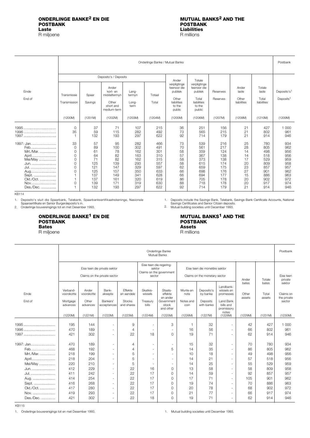## <span id="page-14-0"></span>**ONDERLINGE BANKE<sup>2</sup> EN DIE**<br> **POSTBANK**<br>
POSTBANK **POSTBANK POSTBANK**

R miljoene

# **Liabilities**<br>**R** millions

|                                                                                                                     |                                            |                                                                             |                                                                              |                                                                                  | Onderlinge Banke / Mutual Banks                                                  |                                                                                    |                                                                                    |                                                                                  |                                                                      |                                                                                  | Postbank                                                                         |
|---------------------------------------------------------------------------------------------------------------------|--------------------------------------------|-----------------------------------------------------------------------------|------------------------------------------------------------------------------|----------------------------------------------------------------------------------|----------------------------------------------------------------------------------|------------------------------------------------------------------------------------|------------------------------------------------------------------------------------|----------------------------------------------------------------------------------|----------------------------------------------------------------------|----------------------------------------------------------------------------------|----------------------------------------------------------------------------------|
|                                                                                                                     |                                            |                                                                             | Deposito's / Deposits                                                        |                                                                                  |                                                                                  | Ander                                                                              | Totale                                                                             |                                                                                  |                                                                      |                                                                                  |                                                                                  |
| Einde<br>End of                                                                                                     | Transmissie<br>Transmission                | Spaar<br>Savings                                                            | Ander<br>kort- en<br>middeltermyn<br>Other<br>short and<br>medium-term       | Lang-<br>termyn<br>Long-<br>term                                                 | Totaal<br>Total                                                                  | verpligtinge<br>teenoor die<br>publiek<br>Other<br>liabilities<br>to the<br>public | verpligtinge<br>teenoor die<br>publiek<br>Total<br>liabilities<br>to the<br>public | Reserwes<br>Reserves                                                             | Ander<br>laste<br>Other<br>liabilities                               | Totale<br>laste<br>Total<br>liabilities                                          | Deposito's <sup>1</sup><br>Deposits <sup>1</sup>                                 |
|                                                                                                                     | (1200M)                                    | (1201M)                                                                     | (1202M)                                                                      | (1203M)                                                                          | (1204M)                                                                          | (1205M)                                                                            | (1206M)                                                                            | (1207M)                                                                          | (1208M)                                                              | (1210M)                                                                          | (1209M)                                                                          |
|                                                                                                                     | 0<br>35                                    | 37<br>59<br>132                                                             | 71<br>115<br>193                                                             | 107<br>282<br>297                                                                | 215<br>492<br>622                                                                | 36<br>73<br>92                                                                     | 251<br>565<br>714                                                                  | 156<br>215<br>179                                                                | 21<br>21<br>21                                                       | 427<br>802<br>914                                                                | 1 0 0 0<br>961<br>946                                                            |
| 1997: Jan<br>Feb.<br>Mrt./Mar.<br>April<br>Mei/May<br>Jun.<br>Jul.<br>Aug<br>Sept.<br>Okt./Oct.<br>Nov<br>Des./Dec. | 33<br>0<br>0<br>0<br>0<br>0<br>0<br>0<br>0 | 57<br>89<br>61<br>64<br>71<br>125<br>121<br>125<br>137<br>137<br>139<br>132 | 95<br>100<br>78<br>82<br>82<br>139<br>147<br>157<br>149<br>161<br>171<br>193 | 282<br>302<br>162<br>163<br>162<br>293<br>329<br>350<br>341<br>320<br>319<br>297 | 466<br>491<br>301<br>310<br>315<br>557<br>597<br>633<br>628<br>619<br>630<br>622 | 73<br>70<br>58<br>57<br>58<br>58<br>62<br>66<br>66<br>86<br>88<br>92               | 539<br>561<br>359<br>367<br>373<br>615<br>659<br>698<br>694<br>705<br>718<br>714   | 216<br>217<br>124<br>138<br>138<br>174<br>175<br>176<br>177<br>178<br>178<br>179 | 25<br>28<br>14<br>14<br>17<br>20<br>23<br>27<br>15<br>20<br>20<br>21 | 780<br>805<br>498<br>518<br>529<br>809<br>857<br>901<br>886<br>902<br>917<br>914 | 934<br>962<br>956<br>956<br>959<br>958<br>957<br>962<br>963<br>972<br>974<br>946 |

<span id="page-14-1"></span>KB114

Deposito's sluit die Spaarbank, Telebank, Spaarbanksertifikaatrekeninge, Nasionale<br>Spaarsertifikate en Senior Burgerdeposito's in.<br>Onderlinge bouverenigings tot en met Desember 1993. 1.

2.

### **ONDERLINGE BANKE1 EN DIE MUTUAL BANKS1 AND THE POSTBANK POSTBANK Bates Assets**

#### Deposits include the Savings Bank, Telebank, Savings Bank Certificate Accounts, National Savings Certificates and Senior Citizen deposits. Mutual building societies until December 1993. 1. 2.

R miljoene R millions

|                                         |                                                | Onderlinge Banke<br><b>Mutual Banks</b>  |                                                              |                                                      |                                                                         |                                                                    |                                       |                                                                |                                                                               |                          |                          |                                              |  |
|-----------------------------------------|------------------------------------------------|------------------------------------------|--------------------------------------------------------------|------------------------------------------------------|-------------------------------------------------------------------------|--------------------------------------------------------------------|---------------------------------------|----------------------------------------------------------------|-------------------------------------------------------------------------------|--------------------------|--------------------------|----------------------------------------------|--|
|                                         |                                                |                                          | Eise teen die private sektor<br>Claims on the private sector |                                                      | Eise teen die regering-<br>sektor<br>Claims on the government<br>sector |                                                                    |                                       | Eise teen die monetêre sektor<br>Claims on the monetary sector |                                                                               | Ander                    | Totale                   | Eise teen<br>private                         |  |
| Einde<br>End of                         | Verband-<br>voorskotte<br>Mortgage<br>advances | Ander<br>voorskotte<br>Other<br>advances | Bank-<br>aksepte<br>Bankers'<br>acceptances                  | Effekte<br>en aandele<br><b>Stocks</b><br>and shares | Skatkis-<br>wissels<br>Treasury<br>bills                                | Staats-<br>effekte<br>en ander<br>Government<br>stock<br>and other | Munte en<br>note<br>Notes and<br>coin | Deposito's<br>by banke<br>Deposits<br>with banks               | I andbank-<br>wissels en<br>promesses<br>Land Bank<br>bills and<br>promissory | bates<br>Other<br>assets | bates<br>Total<br>assets | sektor<br>Claims on<br>the private<br>sector |  |
|                                         | (1220M)                                        | (1221M)                                  | (1222M)                                                      | (1223M)                                              | (1224M)                                                                 | (1225M)                                                            | (1226M)                               | (1227M)                                                        | notes<br>(1228M)                                                              | (1229M)                  | (1231M)                  | (1230M)                                      |  |
| 1995<br>1996<br>1997                    | 195<br>470<br>421                              | 144<br>189<br>302                        | $\overline{\phantom{a}}$<br>٠<br>٠                           | 9<br>$\overline{4}$<br>22                            | $\sim$<br>18                                                            | 3<br>٠<br>0                                                        | 16<br>19                              | 32<br>56<br>71                                                 | ٠<br>٠<br>÷,                                                                  | 42<br>66<br>62           | 427<br>802<br>914        | 1 000<br>961<br>946                          |  |
| 1997: Jan<br>Feb.<br>Mrt./Mar.          | 470<br>468<br>218                              | 189<br>192<br>199                        | ٠<br>٠<br>$\sim$                                             | 4<br>4<br>5                                          |                                                                         | ٠<br>5<br>٠                                                        | 15<br>14<br>10                        | 32<br>35<br>18                                                 | ٠<br>÷,<br>÷.                                                                 | 70<br>86<br>49           | 780<br>805<br>498        | 934<br>962<br>956                            |  |
| April<br>Mei/May<br>Jun.                | 218<br>220<br>412                              | 204<br>210<br>229                        | ٠<br>$\overline{\phantom{a}}$<br>٠                           | 5<br>5<br>22                                         | $\sim$<br>$\overline{\phantom{a}}$<br>16                                | ÷.<br>٠<br>0                                                       | 14<br>14<br>13                        | 21<br>25<br>58                                                 | ä,<br>÷.<br>٠                                                                 | 57<br>55<br>58           | 518<br>529<br>809        | 956<br>959<br>958                            |  |
| Jul.<br>Aug.                            | 411<br>414<br>416                              | 242<br>254<br>268                        | ٠<br>٠                                                       | 22<br>22<br>22                                       | 17<br>17<br>17                                                          | 0<br>0                                                             | 14<br>17<br>19                        | 59<br>71<br>74                                                 | ٠<br>٠                                                                        | 92<br>105<br>70          | 857<br>901<br>886        | 957<br>962<br>963                            |  |
| Sept.<br>Okt./Oct.<br>Nov.<br>Des./Dec. | 417<br>419<br>421                              | 280<br>293<br>302                        | ٠<br>٠<br>$\overline{\phantom{a}}$<br>٠                      | 22<br>22<br>22                                       | 17<br>17<br>18                                                          | 0<br>$\circ$<br>0<br>0                                             | 20<br>21<br>19                        | 78<br>77<br>71                                                 | ٠<br>÷.<br>$\overline{\phantom{0}}$<br>٠                                      | 68<br>66<br>62           | 902<br>917<br>914        | 972<br>974<br>946                            |  |
|                                         |                                                |                                          |                                                              |                                                      |                                                                         |                                                                    |                                       |                                                                |                                                                               |                          |                          |                                              |  |

KB115

1. Onderlinge bouverenigings tot en met Desember 1993. 1. Mutual building societies until December 1993.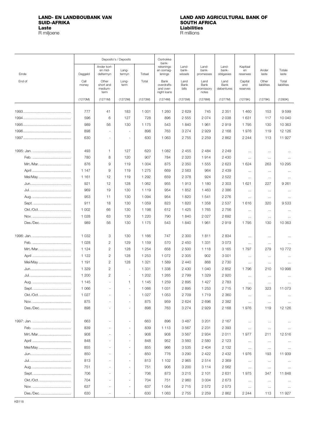# <span id="page-15-0"></span>LAND- EN LANDBOUBANK VAN<br>SUID-AFRIKA<br>Laste

R miljoene

# LAND AND AGRICULTURAL BANK OF **SOUTH AFRICA Liabilities**<br>**R** millions

|           |               |                                       | Deposito's / Deposits    |         | Oortrokke<br>bank-                             |                       |                                     |                            |                            |                      |                      |
|-----------|---------------|---------------------------------------|--------------------------|---------|------------------------------------------------|-----------------------|-------------------------------------|----------------------------|----------------------------|----------------------|----------------------|
|           |               | Ander kort-<br>en mid-                | Lang-                    |         | rekeninas<br>en oornag-                        | Land-<br>bank-        | Land-<br>bank-                      | Land-<br>bank-             | Kapitaal<br>en             | Ander                | Totale               |
| Einde     | Daggeld       | deltermyn                             | termyn                   | Totaal  | lenings                                        | wissels               | promesses                           | obligasies                 | reserwes                   | laste                | laste                |
| End of    | Call<br>money | Other<br>short and<br>medium-<br>term | Long-<br>term            | Total   | Bank<br>overdrafts<br>and over-<br>night loans | Land<br>Bank<br>bills | Land<br>Bank<br>promissory<br>notes | Land<br>Bank<br>debentures | Capital<br>and<br>reserves | Other<br>liabilities | Total<br>liabilities |
|           | (1270M)       | (1271M)                               | (1272M)                  | (1273M) | (1274M)                                        | (1275M)               | (1276M)                             | (1277M)                    | (1278K)                    | (1279K)              | (1280K)              |
|           |               |                                       |                          |         |                                                |                       |                                     |                            |                            |                      |                      |
|           | 777           | 41                                    | 183                      | 1 0 0 1 | 1 2 6 0                                        | 2629                  | 745                                 | 2 3 5 1                    | 1 4 6 0                    | 153                  | 9599                 |
|           | 596           | 6                                     | 127                      | 728     | 896                                            | 2555                  | 2074                                | 2 0 3 8                    | 1 631                      | 117                  | 10 040               |
|           | 989           | 56                                    | 130                      | 1 1 7 5 | 543                                            | 1840                  | 1961                                | 2919                       | 1795                       | 130                  | 10 363               |
|           | 898           |                                       |                          | 898     | 763                                            | 3 2 7 4               | 2929                                | 2 1 6 8                    | 1976                       | 119                  | 12 126               |
|           | 630           |                                       | $\sim$                   | 630     | 1 0 6 3                                        | 2755                  | 2 2 5 9                             | 2 8 6 2                    | 2 2 4 4                    | 113                  | 11 927               |
|           | 493           | 1                                     | 127                      | 620     | 1 0 8 2                                        | 2 4 5 5               | 2 4 8 4                             | 2 2 4 9                    |                            |                      |                      |
|           | 780           | 8                                     | 120                      | 907     | 784                                            | 2 3 2 0               | 1914                                | 2 4 3 0                    | $\cdots$                   | $\cdots$             |                      |
| Mrt./Mar. | 876           | 9                                     | 119                      | 1 0 0 4 | 875                                            | 2 3 5 0               | 1 5 5 5                             | 2623                       | $\cdots$<br>1624           | $\cdots$<br>263      | $\cdots$<br>10 295   |
|           | 1 1 4 7       | 9                                     | 119                      | 1 2 7 5 | 669                                            | 2 5 6 3               | 964                                 | 2 4 3 9                    |                            |                      |                      |
| Mei/May   | 1 1 6 1       | 12                                    | 119                      | 1 2 9 2 | 659                                            | 2 3 7 8               | 924                                 | 2522                       | $\cdots$                   | $\cdots$             | $\cdots$             |
|           | 921           | 12                                    | 128                      | 1 0 6 2 | 955                                            | 1913                  | 1 1 8 0                             | 2 3 0 3                    | $\cdots$<br>1 621          | $\cdots$<br>227      | $\cdots$<br>9 2 6 1  |
|           | 969           | 19                                    | 130                      | 1 1 1 9 | 954                                            | 1852                  | 1 4 6 3                             | 2 3 8 6                    |                            |                      |                      |
|           | 953           |                                       | 130                      | 1 0 9 4 | 954                                            | 1820                  | 1541                                |                            | $\cdots$                   | $\cdots$             | $\cdots$             |
|           | 911           | 11<br>18                              | 130                      | 1 0 5 9 | 823                                            | 1820                  | 1 3 5 8                             | 2 2 7 6<br>2537            | $\cdots$<br>1616           | $\ldots$<br>320      | $\cdots$<br>9533     |
|           | 1 0 0 2       | 66                                    | 130                      | 1 1 9 8 | 612                                            | 1425                  | 1765                                | 2756                       |                            |                      |                      |
|           |               |                                       |                          |         |                                                |                       |                                     |                            | $\cdots$                   | $\cdots$             | $\cdots$             |
|           | 1 0 2 8       | 63                                    | 130                      | 1 2 2 0 | 790                                            | 1840                  | 2 0 2 7                             | 2692                       | $\cdots$                   | $\cdots$             |                      |
| Des./Dec  | 989           | 56                                    | 130                      | 1 1 7 5 | 543                                            | 1840                  | 1961                                | 2919                       | 1795                       | 130                  | 10 363               |
|           | 1 0 3 2       | 3                                     | 130                      | 1 1 6 6 | 747                                            | 2 3 0 0               | 1811                                | 2 8 3 4                    | $\cdots$                   | $\cdots$             | $\cdots$             |
|           | 1 0 2 8       | $\overline{2}$                        | 129                      | 1 1 5 9 | 570                                            | 2 4 5 0               | 1 3 3 1                             | 3073                       | $\cdots$                   | $\cdots$             |                      |
| Mrt./Mar  | 1 1 2 4       | $\overline{c}$                        | 128                      | 1 2 5 4 | 658                                            | 2 500                 | 1 1 1 8                             | 3 1 6 5                    | 1797                       | 279                  | 10772                |
|           | 1 1 2 2       | $\overline{2}$                        | 128                      | 1 2 5 3 | 1 0 7 2                                        | 2 3 0 5               | 902                                 | 3 0 0 1                    | $\ldots$                   | $\cdots$             | $\cdots$             |
| Mei/May   | 1 1 9 1       | $\overline{2}$                        | 128                      | 1 3 2 1 | 1589                                           | 2 4 4 0               | 868                                 | 2 7 3 0                    | $\ldots$                   | $\cdots$             | $\cdots$             |
|           | 1 3 2 9       | $\overline{2}$                        | $\sim$                   | 1 3 3 1 | 1 3 3 8                                        | 2 4 3 0               | 1 0 4 0                             | 2852                       | 1796                       | 210                  | 10 998               |
|           | 1 200         | $\overline{2}$                        | $\overline{\phantom{a}}$ | 1 202   | 1 2 6 5                                        | 2799                  | 1 3 2 9                             | 2920                       | $\cdots$                   | $\cdots$             |                      |
|           | 1 1 4 5       | ä,                                    | 1.                       | 1 1 4 5 | 1 2 5 9                                        | 2895                  | 1427                                | 2 7 8 3                    | $\cdots$                   | $\cdots$             | $\cdots$             |
|           | 1 0 6 6       |                                       | $\overline{\phantom{m}}$ | 1 0 6 6 | 1 0 3 1                                        | 2895                  | 1 2 5 3                             | 2715                       | 1790                       | 323                  | 11 073               |
| Okt./Oct. | 1 0 2 7       |                                       | $\sim$                   | 1 0 2 7 | 1 0 5 3                                        | 2 7 0 9               | 1719                                | 2 3 6 0                    | $\cdots$                   | $\ldots$             | $\cdots$             |
|           | 875           |                                       | $\sim$                   | 875     | 959                                            | 2 6 2 4               | 2696                                | 2 3 8 2                    | $\ldots$                   | $\ldots$             | $\ldots$             |
| Des./Dec  | 898           |                                       | ٠                        | 898     | 763                                            | 3 2 7 4               | 2929                                | 2 1 6 8                    | 1976                       | 119                  | 12 1 26              |
|           |               |                                       |                          |         |                                                |                       |                                     |                            |                            |                      |                      |
|           | 663           |                                       | $\overline{\phantom{a}}$ | 663     | 896                                            | 3 4 8 7               | 3 2 0 1                             | 2 1 6 7                    | $\ldots$                   | $\cdots$             | $\cdots$             |
|           | 839           |                                       | $\sim$                   | 839     | 1 1 1 3                                        | 3567                  | 2 2 3 1                             | 2 3 9 3                    | $\ldots$                   | $\ldots$             |                      |
| Mrt./Mar  | 908           |                                       | $\sim$                   | 908     | 908                                            | 3567                  | 2934                                | 2011                       | 1977                       | 211                  | 12516                |
|           | 848           |                                       | $\overline{\phantom{m}}$ | 848     | 952                                            | 3560                  | 2 5 8 0                             | 2 1 2 3                    | $\cdots$                   | $\ldots$             | $\ldots$             |
| Mei/May   | 855           |                                       | $\sim$                   | 855     | 966                                            | 3535                  | 2 4 0 4                             | 2 1 3 2                    | $\cdots$                   | $\cdots$             | $\cdots$             |
|           | 850           |                                       | $\bar{ }$                | 850     | 776                                            | 3 2 9 0               | 2 4 2 2                             | 2 4 3 2                    | 1976                       | 193                  | 11 939               |
|           | 813           |                                       | $\sim$                   | 813     | 1 1 0 2                                        | 2 9 6 5               | 2514                                | 2 3 6 9                    | $\ldots$                   | $\ldots$             | $\cdots$             |
|           | 751           |                                       | $\sim$                   | 751     | 906                                            | 3 200                 | 3 1 1 4                             | 2 5 6 2                    | $\ldots$                   | $\ldots$             | $\cdots$             |
|           | 706           |                                       | $\bar{ }$                | 706     | 873                                            | 3 2 1 5               | 2 1 0 1                             | 2631                       | 1975                       | 347                  | 11848                |
| Okt./Oct. | 704           |                                       | $\sim$                   | 704     | 751                                            | 2 9 6 0               | 3 0 0 4                             | 2673                       | $\cdots$                   | $\cdots$             | $\cdots$             |
|           | 637           |                                       | $\overline{\phantom{a}}$ | 637     | 1 0 5 4                                        | 2715                  | 2572                                | 2573                       | $\ldots$                   | $\ldots$             | $\cdots$             |
| Des./Dec  | 630           |                                       | $\overline{\phantom{a}}$ | 630     | 1 0 6 3                                        | 2 7 5 5               | 2 2 5 9                             | 2862                       | 2 2 4 4                    | 113                  | 11 927               |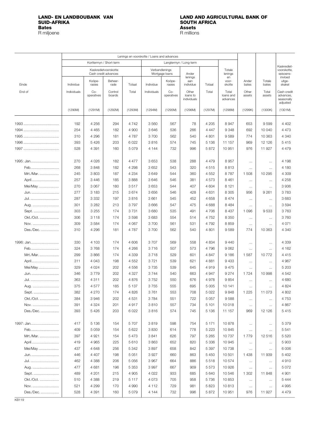# **SUID-AFRIKA SUID-AFRICA**<br> **SUID-AFRIKA SOUTH AFRICA**<br> **Bates Assets**

R miljoene

## <span id="page-16-0"></span>**LAND- EN LANDBOUBANK VAN LAND AND AGRICULTURAL BANK OF Assets**<br>**R** millions

|              |             |                     |                                              |         | Lenings en voorskotte / Loans and advances |                     |                                  |          |                                |                 |                 |                                                    |
|--------------|-------------|---------------------|----------------------------------------------|---------|--------------------------------------------|---------------------|----------------------------------|----------|--------------------------------|-----------------|-----------------|----------------------------------------------------|
|              |             |                     | Korttermyn / Short-term                      |         |                                            |                     | Langtermyn / Long-term           |          |                                |                 |                 |                                                    |
|              |             |                     | Kaskredietvoorskotte<br>Cash credit advances |         | Verbandlenings                             | Mortgage loans      | Ander                            |          | Totale<br>lenings              |                 |                 | Kaskrediet-<br>voorskotte,<br>seisoens-            |
|              |             | Koöpe-              | Beheer-                                      |         |                                            | Koöpe-              | lenings<br>aan                   |          | en<br>voor-                    | Ander           | Totale          | invloed<br>uitge-                                  |
| Einde        | Individue   | rasies              | rade                                         | Totaal  | Individue                                  | rasies              | individue                        | Totaal   | skotte                         | bates           | bates           | skakel                                             |
| End of       | Individuals | $Co-$<br>operatives | Control<br>boards                            | Total   | Individuals                                | $Co-$<br>operatives | Other<br>loans to<br>individuals | Total    | Total<br>loans and<br>advances | Other<br>assets | Total<br>assets | Cash credit<br>advances,<br>seasonally<br>adjusted |
|              | (1290M)     | (1291M)             | (1292M)                                      | (1293M) | (1294M)                                    | (1295M)             | (1296M)                          | (1297M)  | (1298M)                        | (1299K)         | (1300K)         | (1301M)                                            |
|              | 192         | 4 2 5 6             | 294                                          | 4742    | 3560                                       | 567                 | 78                               | 4 2 0 5  | 8947                           | 653             | 9599            | 4 4 0 2                                            |
|              | 254         | 4 4 6 5             | 182                                          | 4 9 0 0 | 3646                                       | 536                 | 266                              | 4 4 4 7  | 9348                           | 692             | 10 040          | 4473                                               |
|              | 310         | 4 2 9 6             | 181                                          | 4787    | 3700                                       | 562                 | 540                              | 4 8 0 1  | 9589                           | 774             | 10 363          | 4 3 4 0                                            |
|              | 393         | 5426                | 203                                          | 6 0 2 2 | 3816                                       | 574                 | 745                              | 5 1 3 6  | 11 157                         | 969             | 12 1 26         | 5415                                               |
|              | 528         | 4 3 9 1             | 160                                          | 5 0 7 9 | 4 1 4 4                                    | 732                 | 996                              | 5872     | 10951                          | 976             | 11 927          | 4 4 7 9                                            |
| 1995: Jan    | 270         | 4 0 26              | 182                                          | 4 4 7 7 | 3653                                       | 538                 | 288                              | 4 4 7 9  | 8957                           | $\cdots$        | $\cdots$        | 4 198                                              |
| Feb          | 268         | 3848                | 182                                          | 4 2 9 8 | 3652                                       | 543                 | 320                              | 4515     | 8813                           | $\cdots$        | $\ldots$        | 4 180                                              |
| Mrt./Mar.    | 245         | 3 803               | 187                                          | 4 2 3 4 | 3649                                       | 544                 | 360                              | 4 5 5 2  | 8787                           | 1 508           | 10 295          | 4 309                                              |
| April        | 257         | 3 4 4 6             | 185                                          | 3888    | 3646                                       | 546                 | 381                              | 4573     | 8 4 61                         | $\cdots$        | $\ldots$        | 4 2 5 8                                            |
| Mei/May      | 270         | 3 0 6 7             | 180                                          | 3517    | 3653                                       | 544                 | 407                              | 4 604    | 8 1 2 1                        | $\cdots$        | $\cdots$        | 3936                                               |
| Jun.         | 277         | 3 1 8 3             | 215                                          | 3674    | 3656                                       | 546                 | 428                              | 4 6 3 1  | 8 3 0 5                        | 956             | 9 2 6 1         | 3783                                               |
| Jul.         | 287         | 3 3 3 2             | 197                                          | 3816    | 3661                                       | 545                 | 452                              | 4658     | 8474                           | $\cdots$        | $\ldots$        | 3683                                               |
| Aug.         | 301         | 3 2 8 2             | 213                                          | 3797    | 3 6 6 6                                    | 547                 | 475                              | 4688     | 8 4 8 4                        | $\cdots$        | $\cdots$        | 3594                                               |
| Sept.        | 303         | 3 2 5 5             | 174                                          | 3731    | 3680                                       | 535                 | 491                              | 4706     | 8 4 3 7                        | 1 0 9 6         | 9533            | 3763                                               |
| Okt./Oct.    | 306         | 3 1 1 8             | 174                                          | 3598    | 3683                                       | 554                 | 514                              | 4752     | 8 3 5 0                        | $\cdots$        | $\cdots$        | 3760                                               |
| Nov.         | 309         | 3584                | 174                                          | 4 0 67  | 3700                                       | 561                 | 531                              | 4 7 9 2  | 8859                           | $\ldots$        | $\cdots$        | 4 0 7 1                                            |
| Des./Dec.    | 310         | 4 2 9 6             | 181                                          | 4787    | 3700                                       | 562                 | 540                              | 4 8 0 1  | 9589                           | 774             | 10 363          | 4 3 4 0                                            |
| 1996: Jan    | 330         | 4 103               | 174                                          | 4 6 0 6 | 3707                                       | 569                 | 558                              | 4 8 3 4  | 9 4 4 0                        | $\cdots$        | $\ldots$        | 4 3 3 9                                            |
| Feb          | 324         | 3768                | 174                                          | 4 2 6 6 | 3716                                       | 507                 | 573                              | 4796     | 9 0 6 2                        | $\cdots$        | $\cdots$        | 4 162                                              |
| Mrt./Mar.    | 299         | 3866                | 174                                          | 4 3 3 9 | 3718                                       | 529                 | 601                              | 4 8 4 7  | 9 1 8 6                        | 1587            | 10772           | 4 4 1 5                                            |
| April        | 311         | 4 0 4 3             | 198                                          | 4 5 5 2 | 3721                                       | 539                 | 621                              | 4 8 8 1  | 9 4 3 3                        | $\cdots$        | $\cdots$        | 4 9 67                                             |
| Mei/May      | 329         | 4 0 2 4             | 202                                          | 4556    | 3735                                       | 539                 | 645                              | 4919     | 9475                           | $\ldots$        | $\cdots$        | 5 2 0 3                                            |
| Jun.         | 346         | 3779                | 202                                          | 4 3 2 7 | 3744                                       | 540                 | 663                              | 4 9 4 7  | 9274                           | 1724            | 10 998          | 4542                                               |
| Jul.         | 363         | 4 3 1 1             | 202                                          | 4876    | 3752                                       | 550                 | 676                              | 4978     | 9854                           | $\cdots$        | $\cdots$        | 4 6 8 0                                            |
| Aug.         | 375         | 4577                | 185                                          | 5 1 3 7 | 3755                                       | 555                 | 695                              | $5\,005$ | 10 141                         | $\ldots$        | $\ldots$        | 4 8 2 4                                            |
| Sept.        | 382         | 4 270               | 174                                          | 4826    | 3761                                       | 553                 | 708                              | 5 0 2 2  | 9848                           | 1 2 2 5         | 11 073          | 4 802                                              |
| Okt./Oct.    | 384         | 3946                | 202                                          | 4531    | 3784                                       | 551                 | 722                              | 5 0 5 7  | 9588                           | $\cdots$        | $\ldots$        | 4753                                               |
| Nov.         | 391         | 4 3 2 4             | 201                                          | 4917    | 3810                                       | 557                 | 734                              | 5 1 0 1  | 10 018                         | $\ldots$        | $\ldots$        | 4867                                               |
| Des./Dec.    | 393         | 5426                | 203                                          | 6 0 2 2 | 3816                                       | 574                 | 745                              | 5 1 3 6  | 11 157                         | 969             | 12 1 26         | 5 4 1 5                                            |
| 1997: Jan    | 417         | 5 1 3 6             | 154                                          | 5 7 0 7 | 3819                                       | 598                 | 754                              | 5 1 7 1  | 10878                          | $\cdots$        | $\cdots$        | 5379                                               |
| Feb          | 409         | 5 0 5 9             | 154                                          | 5 6 2 2 | 3830                                       | 614                 | 778                              | 5 2 2 3  | 10845                          | $\ldots$        | $\ldots$        | 5 5 4 1                                            |
| Mrt./Mar.    | 397         | 4 9 21              | 154                                          | 5473    | 3841                                       | 626                 | 797                              | 5 2 6 5  | 10737                          | 1779            | 12 516          | 5 5 20                                             |
| April        | 419         | 4 9 6 5             | 225                                          | 5610    | 3863                                       | 652                 | 820                              | 5 3 3 6  | 10945                          | $\cdots$        | $\ldots$        | 5 903                                              |
| Mei/May      | 437         | 4648                | 256                                          | 5 3 4 2 | 3897                                       | 658                 | 842                              | 5 3 9 7  | 10738                          | $\cdots$        | $\cdots$        | 6 0 0 6                                            |
|              | 446         | 4 4 0 7             | 198                                          | 5 0 5 1 | 3 9 27                                     | 660                 | 863                              | 5 4 5 0  | 10 501                         | 1438            | 11 939          | 5 4 0 2                                            |
| Jul.         | 462         | 4 3 8 8             | 206                                          | 5 0 5 6 | 3 9 6 7                                    | 664                 | 886                              | 5518     | 10574                          | $\ldots$        | $\cdots$        | 4910                                               |
| Aug.         | 477         | 4681                | 196                                          | 5 3 5 3 | 3997                                       | 667                 | 909                              | 5573     | 10 926                         | $\ldots$        | $\cdots$        | 5072                                               |
| Sept.        | 489         | 4 2 0 1             | 215                                          | 4 9 0 5 | 4 0 2 2                                    | 933                 | 685                              | 5 6 4 0  | 10 546                         | 1 302           | 11848           | 4 9 0 1                                            |
| Okt./Oct.    | 510         | 4 3 8 8             | 219                                          | 5 1 1 7 | 4 0 7 3                                    | 705                 | 958                              | 5736     | 10853                          | $\cdots$        | $\ldots$        | 5444                                               |
| Nov.         | 521         | 4 2 9 9             | 170                                          | 4 9 9 0 | 4 1 1 2                                    | 729                 | 981                              | 5823     | 10813                          | $\cdots$        | $\ldots$        | 4 9 9 5                                            |
| Des./Dec.    | 528         | 4 3 9 1             | 160                                          | 5 0 7 9 | 4 1 4 4                                    | 732                 | 996                              | 5872     | 10 951                         | 976             | 11927           | 4 4 7 9                                            |
| <b>KB119</b> |             |                     |                                              |         |                                            |                     |                                  |          |                                |                 |                 |                                                    |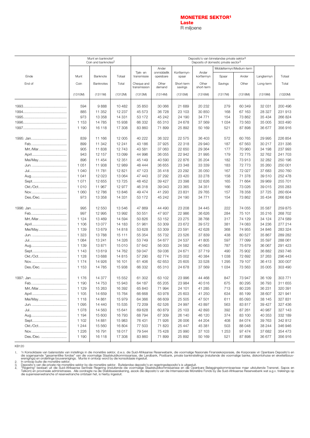#### **[MONETÊRE SEKTOR](#page-18-0)1 Laste** R miljoene

<span id="page-17-0"></span>

|           |         | Munt en banknote <sup>2</sup>   |          |                            |                          |                       |                     | Deposito's van binnelandse private sektor <sup>3</sup> |         |            |         |
|-----------|---------|---------------------------------|----------|----------------------------|--------------------------|-----------------------|---------------------|--------------------------------------------------------|---------|------------|---------|
|           |         | Coin and banknotes <sup>2</sup> |          |                            |                          |                       |                     | Deposits of domestic private sector <sup>3</sup>       |         |            |         |
|           |         |                                 |          |                            | Ander                    |                       |                     | Middeltermyn/Medium-term                               |         |            |         |
| Einde     | Munt    | Banknote                        | Totaal   | Tjek- en<br>transmissie    | onmiddellik<br>opeisbare | Korttermyn-<br>spaar  | Ander<br>korttermyn | Spaar                                                  | Ander   | Langtermyn | Totaal  |
| End of    | Coin    | <b>Banknotes</b>                | Total    | Cheque and<br>transmission | Other<br>demand          | Short-term<br>savings | Other<br>short-term | Savings                                                | Other   | Long-term  | Total   |
|           | (1310M) | (1311M)                         | (1312M)  | (1313M)                    | (1314M)                  | (1315M)               | (1316M)             | (1317M)                                                | (1318M) | (1319M)    | (1320M) |
|           | 594     | 9888                            | 10 4 8 2 | 35 850                     | 30 066                   | 21 689                | 20 232              | 279                                                    | 60 349  | 32 031     | 200 496 |
|           | 885     | 11 352                          | 12 237   | 45 573                     | 36 728                   | 23 103                | 30 850              | 168                                                    | 67 163  | 28 327     | 231 913 |
|           | 973     | 13 358                          | 14 3 31  | 53 172                     | 45 242                   | 24 190                | 34 771              | 154                                                    | 73 862  | 35 434     | 266 824 |
|           | 1 1 5 3 | 14 785                          | 15 938   | 66 332                     | 65 310                   | 24 678                | 37 569              | 1 0 3 4                                                | 73 563  | 35 005     | 303 490 |
|           | 1 1 9 0 | 16 118                          | 17 308   | 83 860                     | 71 899                   | 25 892                | 50 169              | 521                                                    | 87 898  | 36 677     | 356916  |
|           |         |                                 |          |                            |                          |                       |                     |                                                        |         |            |         |
|           | 839     | 11 166                          | 12 005   | 40 222                     | 36 322                   | 22 575                | 36 403              | 572                                                    | 60 765  | 29 995     | 226 854 |
|           | 899     | 11 342                          | 12 241   | 43 186                     | 37 925                   | 22 318                | 29 940              | 187                                                    | 67 563  | 30 217     | 231 336 |
| Mrt./Mar  | 905     | 11838                           | 12743    | 43 581                     | 37 063                   | 22 650                | 29 3 64             | 177                                                    | 70 960  | 34 198     | 237 993 |
|           | 943     | 12 157                          | 13 099   | 44 996                     | 36 055                   | 22 942                | 31 995              | 179                                                    | 72 775  | 32762      | 241 703 |
| Mei/May   | 896     | 11 454                          | 12 351   | 45 149                     | 40 590                   | 22 876                | 35 204              | 182                                                    | 73913   | 32 282     | 250 196 |
|           | 1 0 5 1 | 11 938                          | 12 989   | 48 444                     | 36 655                   | 23 348                | 33 339              | 183                                                    | 72 773  | 35 260     | 250 001 |
|           | 1 0 4 0 | 11781                           | 12821    | 47 123                     | 35 418                   | 23 292                | 35 050              | 167                                                    | 72 027  | 37 683     | 250 760 |
|           | 1 0 4 1 | 12 0 23                         | 13 0 64  | 47 443                     | 37 292                   | 23 4 20               | 33 278              | 158                                                    | 71 378  | 39 510     | 252 478 |
| Sept      | 1071    | 12 655                          | 13725    | 48 452                     | 39 4 27                  | 23 398                | 32 626              | 165                                                    | 71 664  | 39 969     | 255 701 |
| Okt./Oct  | 1010    | 11 967                          | 12 977   | 46318                      | 39 043                   | 23 365                | 34 351              | 166                                                    | 73 0 26 | 39015      | 255 283 |
|           | 1 0 6 0 | 12 786                          | 13846    | 49 474                     | 41 293                   | 23 831                | 29 765              | 157                                                    | 78 358  | 37 725     | 260 604 |
| Des./Dec. | 973     | 13 358                          | 14 331   | 53 172                     | 45 242                   | 24 190                | 34 7 7 1            | 154                                                    | 73 862  | 35 434     | 266 824 |
|           | 995     | 12 550                          | 13546    | 47869                      | 44 490                   | 23 208                | 34 4 45             | 222                                                    | 74 055  | 35 587     | 259 875 |
| Feb       | 997     | 12 995                          | 13 992   | 50 551                     | 47 937                   | 22 986                | 36 626              | 284                                                    | 75 101  | 35 216     | 268 702 |
| Mrt./Mar  | 1 1 2 4 | 13 4 69                         | 14 5 94  | 50 826                     | 53 152                   | 23 275                | 38 768              | 317                                                    | 74 129  | 34 124     | 274 589 |
|           | 1 106   | 13 077                          | 14 183   | 51 961                     | 53 309                   | 23 672                | 39 572              | 381                                                    | 74 083  | 34 236     | 277 214 |
|           | 1 1 3 9 | 13 679                          |          |                            | 53 309                   | 23 591                |                     |                                                        |         | 34 846     | 283 324 |
| Mei/May   |         |                                 | 14818    | 53 628                     |                          |                       | 42 628              | 368                                                    | 74 955  |            |         |
|           | 1 3 2 3 | 13788                           | 15 111   | 55 354                     | 55 732                   | 23 5 26               | 37839               | 438                                                    | 80 527  | 35 867     | 289 282 |
|           | 1 0 8 4 | 13 241                          | 14 3 26  | 53 749                     | 54 677                   | 24 537                | 41 805              | 597                                                    | 77 099  | 35 597     | 288 061 |
|           | 1 1 3 9 | 13871                           | 15 010   | 57 642                     | 56 003                   | 24 582                | 40 663              | 787                                                    | 75 679  | 36 067     | 291 423 |
|           | 1 1 4 3 | 13 619                          | 14 762   | 59 047                     | 59 036                   | 24 671                | 37 719              | 490                                                    | 75 902  | 36 882     | 293 746 |
| Okt./Oct  | 1 1 2 8 | 13 688                          | 14 8 15  | 57 290                     | 62 774                   | 25 002                | 40 384              | 1 0 3 8                                                | 72 692  | 37 263     | 296 443 |
| Nov       | 1 1 7 4 | 14 926                          | 16 101   | 61 40 6                    | 62 653                   | 25 605                | 33 5 28             | 1 2 9 5                                                | 79 107  | 36 413     | 300 007 |
| Des./Dec. | 1 1 5 3 | 14 785                          | 15 938   | 66 332                     | 65 310                   | 24 678                | 37 569              | 1 0 3 4                                                | 73 563  | 35 005     | 303 490 |
|           | 1 1 7 6 | 14 377                          | 15 5 5 2 | 61 302                     | 63 102                   | 23 996                | 44 468              | 847                                                    | 73 947  | 36 109     | 303 771 |
| Feb       | 1 1 9 0 | 14 753                          | 15 943   | 64 187                     | 65 205                   | 23 984                | 40516               | 675                                                    | 80 295  | 36 793     | 311 655 |
| Mrt./Mar  | 1 1 2 9 | 15 263                          | 16 392   | 65 840                     | 71 994                   | 24 101                | 41 285              | 713                                                    | 80 2 26 | 36 231     | 320 391 |
|           | 1 1 0 5 | 14 659                          | 15764    | 66 668                     | 63 978                   | 25 603                | 41 250              | 634                                                    | 85 199  | 38 607     | 321 941 |
| Mei/May   | 1 1 1 8 | 14 861                          | 15979    | 64 366                     | 66 609                   | 25 505                | 47 501              | 611                                                    | 85 093  | 38 145     | 327 831 |
|           | 1 0 9 5 | 14 440                          | 15 535   | 72 209                     | 62 526                   | 24 997                | 43 897              | 563                                                    | 83817   | 39 427     | 327 436 |
|           | 1078    | 14 5 63                         | 15 641   | 69 628                     | 60 879                   | 25 103                | 42 893              | 392                                                    | 87 261  | 40 987     | 327 143 |
| Aug       | 1 1 9 4 | 15 600                          | 16 793   | 68794                      | 67 309                   | 26 140                | 46 120              | 374                                                    | 83 100  | 40 353     | 332 189 |
|           | 1 102   | 14 8 81                         | 15 983   | 76 431                     | 71 926                   | 26 006                | 44 204              | 408                                                    | 84 074  | 39 763     | 342 812 |
| Okt./Oct  | 1 2 4 4 | 15 560                          | 16 804   | 77 503                     | 71 820                   | 25 447                | 45 381              | 503                                                    | 88 048  | 38 244     | 346 946 |
| Nov       | 1 2 2 6 | 16791                           | 18 017   | 79 544                     | 75 4 28                  | 25 990                | 37 103              | 1 2 5 3                                                | 97 474  | 37 682     | 354 473 |
| Des./Dec. | 1 1 9 0 | 16 118                          | 17 308   | 83 860                     | 71 899                   | 25 892                | 50 169              | 521                                                    | 87 898  | 36 677     | 356916  |

KB120

1.

'n Konsolidasie van balansstate van instellings in die monetêre sektor, d.w.s. die Suid-Afrikaanse Reserwebank, die voormalige Nasionale Finansiekorporasie, die Korporasie vir Openbare Deposito's en<br>die sogenaamde "gesamen 2. 3. 4.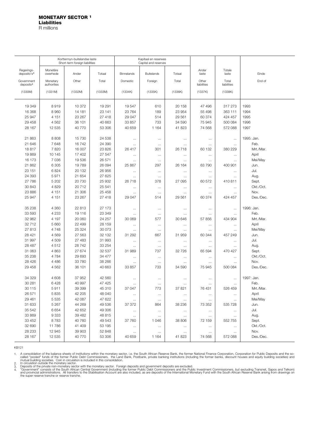<span id="page-18-0"></span>

|                                       |                         | Korttermyn-buitelandse laste<br>Short-term foreign liabilities |                  |                   | Kapitaal en reserwes<br>Capital and reserves |          |                      |                      |            |
|---------------------------------------|-------------------------|----------------------------------------------------------------|------------------|-------------------|----------------------------------------------|----------|----------------------|----------------------|------------|
| Regerings-<br>deposito's <sup>4</sup> | Monetêre<br>owerhede    | Ander                                                          | Totaal           | <b>Binnelands</b> | <b>Buitelands</b>                            | Totaal   | Ander<br>laste       | Totale<br>laste      | Einde      |
| Government<br>deposits <sup>4</sup>   | Monetary<br>authorities | Other                                                          | Total            | Domestic          | Foreign                                      | Total    | Other<br>liabilities | Total<br>liabilities | End of     |
| (1330M)                               | (1331M)                 | (1332M)                                                        | (1333M)          | (1334K)           | (1335K)                                      | (1336K)  | (1337K)              | (1338K)              |            |
| 19 349                                | 8919                    | 10 372                                                         | 19 291           | 19547             | 610                                          | 20 158   | 47 496               | 317 273              | 1993       |
|                                       |                         |                                                                |                  |                   |                                              |          |                      |                      |            |
| 16 368                                | 8960                    | 14 181                                                         | 23 141           | 23764             | 189                                          | 23 954   | 55 4 98              | 363 111              | 1994       |
| 25 947                                | 4 151                   | 23 267                                                         | 27 418<br>40 663 | 29 047            | 514<br>733                                   | 29 561   | 60 374               | 424 457              | 1995       |
| 29 458                                | 4 5 6 2                 | 36 101                                                         |                  | 33 857            |                                              | 34 590   | 75 945               | 500 084              | 1996       |
| 28 167                                | 12 535                  | 40 770                                                         | 53 306           | 40 659            | 1 1 6 4                                      | 41 823   | 74 568               | 572 088              | 1997       |
| 21 863                                | 8808                    | 15730                                                          | 24 538           | $\cdots$          | $\ldots$                                     | $\ldots$ | $\cdots$             | $\cdots$             | 1995: Jan. |
| 21 646                                | 7648                    | 16742                                                          | 24 390           | $\ldots$          | $\ldots$                                     | $\ldots$ | $\cdots$             | $\ldots$             | Feb.       |
| 18817                                 | 7820                    | 16 007                                                         | 23 826           | 26 417            | 301                                          | 26718    | 60 132               | 380 229              | Mrt./Mar.  |
| 19869                                 | 10 145                  | 17 402                                                         | 27 547           | $\ldots$          | $\sim$                                       | $\ldots$ | $\ldots$             | $\cdots$             | April      |
| 16 173                                | 7 0 36                  | 19536                                                          | 26 571           | $\cdots$          | $\ldots$                                     | $\cdots$ | $\ldots$             | $\ldots$             | Mei/May    |
| 21 862                                | 6 3 0 5                 | 19789                                                          | 26 094           | 25 867            | 297                                          | 26 164   | 63 790               | 400 901              | Jun.       |
| 23 151                                | 6824                    | 20 132                                                         | 26 956           | $\cdots$          | $\cdots$                                     | $\cdots$ | $\cdots$             | $\cdots$             | Jul.       |
| 24 393                                | 5971                    | 21 654                                                         | 27 625           | $\cdots$          | $\cdots$                                     | $\ldots$ | $\cdots$             | $\ldots$             | Aug.       |
| 27 786                                | 5 2 0 2                 | 20730                                                          | 25 932           | 26718             | 378                                          | 27 095   | 60 572               | 410 811              | Sept.      |
| 30 843                                | 4829                    | 20712                                                          | 25 541           | $\ldots$          | $\cdots$                                     | $\cdots$ | $\ldots$             | $\ldots$             | Okt./Oct.  |
| 23 886                                | 4 151                   | 21 306                                                         | 25 4 58          | $\ldots$          | $\ldots$                                     | $\ldots$ | $\cdots$             | $\cdots$             | Nov.       |
| 25 947                                | 4 151                   | 23 267                                                         | 27 418           | 29 047            | 514                                          | 29 561   | 60 374               | 424 457              | Des./Dec.  |
| 35 238                                | 4 3 6 0                 | 22 813                                                         | 27 173           | $\ldots$          | $\ldots$                                     | $\ldots$ | $\ldots$             | $\ldots$             | 1996: Jan. |
| 33 593                                | 4 2 3 3                 | 19 116                                                         | 23 349           | $\cdots$          | $\cdots$                                     | $\ldots$ | $\ldots$             | $\ldots$             | Feb.       |
| 32 962                                | 4 197                   | 20 060                                                         | 24 257           | 30 069            | 577                                          | 30 646   | 57 856               | 434 904              | Mrt./Mar.  |
| 32 712                                | 5 6 6 0                 | 22 4 9 9                                                       | 28 159           | $\ldots$          | $\ldots$                                     | $\ldots$ | $\ldots$             | $\ldots$             | April      |
| 27813                                 | 4748                    | 25 324                                                         | 30 073           | $\ldots$          | $\ldots$                                     | $\cdots$ | $\cdots$             | $\ldots$             | Mei/May    |
| 28 4 21                               | 4569                    | 27 563                                                         | 32 132           | 31 292            | 667                                          | 31 959   | 60 344               | 457 249              | Jun.       |
| 31 997                                | 4509                    | 27 483                                                         | 31 993           | $\ldots$          | $\ldots$                                     | $\ldots$ | $\ldots$             | $\cdots$             | Jul.       |
| 28 487                                | 4512                    | 28 742                                                         | 33 254           | $\cdots$          | $\ldots$                                     | $\cdots$ | $\cdots$             | $\cdots$             | Aug.       |
| 31 063                                | 4 8 6 3                 | 27 674                                                         | 32 537           | 31 989            | 737                                          | 32 726   | 65 594               | 470 427              | Sept.      |
| 35 238                                | 4 7 8 4                 | 29 693                                                         | 34 477           | $\cdots$          | $\ldots$                                     | $\ldots$ | $\ldots$             | $\ldots$             | Okt./Oct.  |
| 28 4 26                               | 4 4 8 6                 | 33 780                                                         | 38 266           | $\cdots$          | $\cdots$                                     | $\cdots$ | $\cdots$             | $\cdots$             | Nov.       |
| 29 458                                | 4 5 6 2                 | 36 101                                                         | 40 663           | 33 857            | 733                                          | 34 590   | 75 945               | 500 084              | Des./Dec.  |
| 34 329                                | 4 608                   | 37 952                                                         | 42 560           | $\cdots$          | $\ldots$                                     | $\cdots$ | $\cdots$             | $\ldots$             | 1997: Jan. |
| 30 281                                | 6428                    | 40 997                                                         | 47 4 25          | $\cdots$          | $\cdots$                                     | $\cdots$ | $\dots$              | $\ldots$             | Feb.       |
| 30 115                                | 5911                    | 39 399                                                         | 45 310           | 37 047            | 773                                          | 37 821   | 76 431               | 526 459              | Mrt./Mar.  |
| 26 571                                | 5835                    | 42 205                                                         | 48 040           | $\ldots$          | $\cdots$                                     | $\cdots$ | $\ldots$             | $\cdots$             | April      |
| 29 4 61                               | 5 5 3 5                 | 42 087                                                         | 47 622           | $\ldots$          | $\cdots$                                     | $\cdots$ | $\ldots$             | $\ldots$             | Mei/May    |
| 31 633                                | 5 2 6 7                 | 44 269                                                         | 49 536           | 37 372            | 864                                          | 38 236   | 73 352               | 535 728              | Jun.       |
| 35 542                                | 6654                    | 42 652                                                         | 49 30 6          | $\cdots$          | $\cdots$                                     | $\cdots$ | $\cdots$             | $\cdots$             | Jul.       |
| 33 869                                | 9333                    | 39 482                                                         | 48 815           | $\cdots$          | $\cdots$                                     | $\cdots$ | $\cdots$             | $\cdots$             | Aug.       |
| 33 452                                | 8783                    | 40760                                                          | 49 543           | 37 760            | 1046                                         | 38 806   | 72 159               | 552 755              | Sept.      |
| 32 690                                | 11786                   | 41 409                                                         | 53 195           | $\cdots$          | $\cdots$                                     | $\cdots$ | $\cdots$             | $\ldots$             | Okt./Oct.  |
| 28 233                                | 12 945                  | 39 903                                                         | 52 848           | $\cdots$          | $\cdots$                                     | $\cdots$ | $\cdots$             | $\cdots$             | Nov.       |
| 28 167                                | 12 535                  | 40 770                                                         | 53 306           | 40 659            | 1 1 6 4                                      | 41823    | 74 568               | 572 088              | Des./Dec.  |

1.

A consolidation of the balance sheets of institutions within the monetary sector, i.e. the South African Reserve Bank, the former National Finance Corporation, Corporation for Public Deposits and the so-<br>called "pooled" fu 2. 3. 4.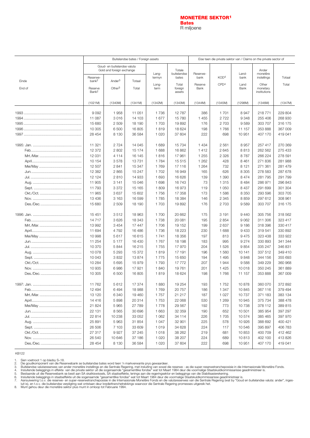#### **[MONETÊRE SEKTOR](#page-20-0)1 Bates** R miljoene

<span id="page-19-0"></span>

|        | Eise teen die private sektor van / Claims on the private sector of<br>Buitelandse bates / Foreign assets<br>Goud- en buitelandse valuta |                           |                  |               |                            |                 |                  |              |                                   |         |
|--------|-----------------------------------------------------------------------------------------------------------------------------------------|---------------------------|------------------|---------------|----------------------------|-----------------|------------------|--------------|-----------------------------------|---------|
|        |                                                                                                                                         | Gold and foreign exchange |                  | Lang-         | Totale<br>buitelandse      | Reserwe-        |                  | Land-        | Ander<br>monetêre                 |         |
| Einde  | Reserwe-<br>bank <sup>2</sup>                                                                                                           | Ander <sup>3</sup>        | Totaal           | termyn        | bates                      | bank            | KOD <sup>4</sup> | bank         | instellings                       | Totaal  |
| End of | Reserve<br>Bank <sup>2</sup>                                                                                                            | Other <sup>3</sup>        | Total            | Long-<br>term | Total<br>foreign<br>assets | Reserve<br>Bank | CPD <sup>4</sup> | Land<br>Bank | Other<br>monetary<br>institutions | Total   |
|        | (1021M)                                                                                                                                 | (1340M)                   | (1341M)          | (1342M)       | (1343M)                    | (1344M)         | (1345M)          | (1298M)      | (1346M)                           | (1347M) |
|        | 9092                                                                                                                                    | 1958                      | 11 051           | 1736          | 12787                      | 386             | 1701             | 8947         | 218 771                           | 229 804 |
|        | 11 087                                                                                                                                  | 3016                      | 14 103           | 1677          | 15780                      | 1455            | 2722             | 9 3 4 8      | 255 406                           | 268 930 |
|        | 15 680                                                                                                                                  | 2 5 0 9                   | 18 190           | 1 703         | 19892                      | 176             | 2 7 0 3          | 9589         | 303 707                           | 316 175 |
|        | 10 305                                                                                                                                  | 6 500                     | 16805            | 1819          | 18 624                     | 198             | 1766             | 11 157       | 353 888                           | 367 009 |
|        | 28 454                                                                                                                                  | 8 1 3 0                   | 36 584           | 1 0 2 0       | 37 604                     | 222             | 698              | 10 951       | 407 170                           | 419 041 |
|        |                                                                                                                                         |                           |                  |               |                            |                 |                  |              |                                   |         |
|        | 11 321                                                                                                                                  | 2724                      | 14 045           | 1 689         | 15 7 34                    | 1 4 3 4         | 2561             | 8957         | 257 417                           | 270 369 |
|        | 12 372                                                                                                                                  | 2 802                     | 15 174           | 1688          | 16 862                     | 1412            | 2645             | 8813         | 262 562                           | 275 433 |
|        | 12 031                                                                                                                                  | 4 1 1 4                   | 16 145           | 1816          | 17961                      | 1 2 5 5         | 2 3 2 6          | 8787         | 266 224                           | 278 591 |
|        | 10 154                                                                                                                                  | 3578                      | 13731            | 1784          | 15 5 15                    | 1 2 6 2         | 428              | 8 4 6 1      | 271836                            | 281 988 |
|        | 12 507                                                                                                                                  | 2841                      | 15 347           | 1769          | 17 116                     | 1 2 6 4         | 732              | 8 1 2 1      | 271 361                           | 281 479 |
|        | 12 3 8 2                                                                                                                                | 2865                      | 15 247           | 1 702         | 16949                      | 165             | 626              | 8 3 0 5      | 278 583                           | 287 678 |
|        | 12 124                                                                                                                                  | 2810                      | 14 933           | 1 6 9 3       | 16 6 26                    | 139             | 1 3 9 0          | 8 4 7 4      | 281 795                           | 291 799 |
|        | 11 905                                                                                                                                  | 3 1 4 1                   | 15 046           | 1698          | 16743                      | 73              | 1 3 1 5          | 8484         | 286 971                           | 296 843 |
|        | 11 793                                                                                                                                  | 3 3 7 2                   | 15 165           | 1809          | 16973                      | 119             | 1 0 5 0          | 8 4 3 7      | 291 699                           | 301 304 |
|        | 11 965                                                                                                                                  | 3637                      | 15 602           | 1756          | 17 358                     | 173             | 1586             | 8 3 5 0      | 293 596                           | 303 705 |
|        | 13 4 36                                                                                                                                 | 3 1 6 3                   | 16 599           | 1785          | 18 3 84                    | 146             | 2 3 4 5          | 8859         | 297 612                           | 308 961 |
|        | 15 680                                                                                                                                  | 2 5 0 9                   | 18 190           | 1703          | 19892                      | 176             | 2 7 0 3          | 9589         | 303 707                           | 316 175 |
|        | 15 451                                                                                                                                  | 3512                      | 18 963           | 1700          | 20 662                     | 175             | 3 1 9 1          | 9440         | 305 756                           | 318 562 |
|        | 14717                                                                                                                                   | 3626                      | 18 343           | 1738          | 20 081                     | 195             | 2854             | 9062         | 311 306                           | 323 417 |
|        | 13 992                                                                                                                                  | 3 4 5 4                   | 17 447           | 1706          | 19 152                     | 199             | 2637             | 9 1 8 6      | 318 396                           | 330 417 |
|        | 11 694                                                                                                                                  | 4 7 9 2                   | 16 4 8 6         | 1736          | 18 223                     | 230             | 1688             | 9 4 3 3      | 319 541                           | 330 892 |
|        |                                                                                                                                         |                           |                  |               |                            |                 |                  |              |                                   | 333 922 |
|        | 10 998<br>11 254                                                                                                                        | 5617                      | 16 615           | 1741          | 18 356                     | 197             | 813<br>995       | 9475         | 323 438<br>330 893                | 341 344 |
|        | 10 370                                                                                                                                  | 5 1 7 7<br>5844           | 16 430<br>16 215 | 1767<br>1755  | 18 198<br>17 970           | 183<br>204      | 1526             | 9274<br>9854 | 335 247                           | 346 831 |
|        |                                                                                                                                         |                           |                  |               |                            |                 |                  |              |                                   | 349 410 |
|        | 10 078                                                                                                                                  | 5 2 9 3                   | 15 372           | 1819          | 17 191                     | 196             | 1560             | 10 141       | 337 512                           |         |
|        | 10 043                                                                                                                                  | 3 8 3 2                   | 13874            | 1775          | 15 650                     | 194             | 1 4 9 5          | 9848         | 344 156                           | 355 693 |
|        | 10 284                                                                                                                                  | 5 6 9 5                   | 15979            | 1 7 9 3       | 17772                      | 207             | 1944             | 9588         | 349 229                           | 360 968 |
|        | 10 935                                                                                                                                  | 6986                      | 17921            | 1840          | 19761                      | 201             | 1 4 2 5          | 10018        | 350 245                           | 361889  |
|        | 10 305                                                                                                                                  | 6500                      | 16 805           | 1819          | 18 624                     | 198             | 1766             | 11 157       | 353 888                           | 367 009 |
|        | 11 762                                                                                                                                  | 5612                      | 17 374           | 1880          | 19 254                     | 193             | 1752             | 10878        | 360 070                           | 372 892 |
|        | 12 4 94                                                                                                                                 | 6494                      | 18 988           | 1769          | 20 757                     | 186             | 1 3 4 7          | 10 845       | 367 116                           | 379 494 |
|        | 13 120                                                                                                                                  | 6 3 4 0                   | 19 460           | 1757          | 21 217                     | 187             | 1 0 2 7          | 10737        | 371 183                           | 383 134 |
|        | 14 4 16                                                                                                                                 | 5898                      | 20 314           | 1753          | 22 068                     | 530             | 1 2 6 9          | 10945        | 375 734                           | 388 478 |
|        | 21 824                                                                                                                                  | 5965                      | 27 789           | 1778          | 29 567                     | 192             | 773              | 10738        | 378 112                           | 389 815 |
|        | 22 131                                                                                                                                  | 8565                      | 30 696           | 1 6 6 3       | 32 359                     | 190             | 652              | 10 501       | 385 954                           | 397 297 |
|        | 22 814                                                                                                                                  | 10 238                    | 33 052           | 1 0 6 2       | 34 114                     | 226             | 1705             | 10574        | 385 465                           | 397 970 |
|        | 25 891                                                                                                                                  | 5963                      | 31 854           | 1 0 4 7       | 32 901                     | 225             | 578              | 10926        | 388 692                           | 400 421 |
|        | 26 506                                                                                                                                  | 7 103                     | 33 609           | 1019          | 34 628                     | 224             | 117              | 10546        | 395 897                           | 406 783 |
|        | 27 317                                                                                                                                  | 9927                      | 37 245           | 1018          | 38 262                     | 219             | 681              | 10853        | 400 709                           | 412 462 |
|        | 26 540                                                                                                                                  | 10 646                    | 37 186           | 1 0 2 0       | 38 207                     | 224             | 689              | 10813        | 402 100                           | 413826  |
|        | 28 454                                                                                                                                  | 8 1 3 0                   | 36 584           | 1 0 2 0       | 37 604                     | 222             | 698              | 10 951       | 407 170                           | 419 041 |
|        |                                                                                                                                         |                           |                  |               |                            |                 |                  |              |                                   |         |

KB122

1. 2.

3. 4. 5.

Sien voetnoot 1 op bladsy S–18.<br>Die goudkomponent van die Reserwebank se buitelandse bates word teen 'n markverwante prys gewaardeer.<br>Buitelandse valutareserwes van ander monetêre instellings en die Sentrale Regering, met 6. 7.

8.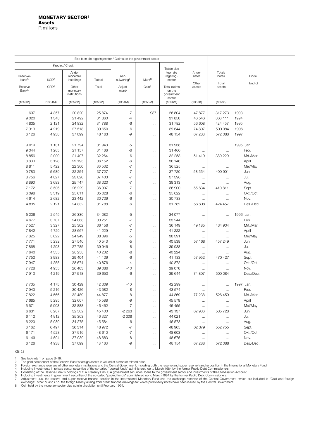<span id="page-20-0"></span>

|                               |                    |                         | Eise teen die regeringsektor / Claims on the government sector |                                |                      |                         |                 |                    |              |
|-------------------------------|--------------------|-------------------------|----------------------------------------------------------------|--------------------------------|----------------------|-------------------------|-----------------|--------------------|--------------|
| Krediet / Credit              |                    |                         |                                                                |                                |                      |                         |                 |                    |              |
|                               |                    | Ander                   |                                                                |                                |                      | Totale eise<br>teen die | Ander           | Totale             |              |
| Reserwe-<br>bank <sup>5</sup> | KOD6               | monetêre<br>instellings | Totaal                                                         | Aan-<br>suiwering <sup>7</sup> | Munt <sup>8</sup>    | regering-<br>sektor     | bates           | bates              | Einde        |
|                               | CPD <sup>6</sup>   | Other                   | Total                                                          | Adjust-                        | Coin <sup>8</sup>    | Total claims            | Other<br>assets | Total<br>assets    | End of       |
| Reserve<br>Bank <sup>5</sup>  |                    | monetary                |                                                                | ment <sup>7</sup>              |                      | on the                  |                 |                    |              |
|                               |                    | institutions            |                                                                |                                |                      | government<br>sector    |                 |                    |              |
| (1350M)                       | (1351M)            | (1352M)                 | (1353M)                                                        | (1354M)                        | (1355M)              | (1356M)                 | (1357K)         | (1358K)            |              |
|                               |                    |                         |                                                                |                                |                      |                         |                 |                    |              |
| 697<br>9020                   | 4 3 5 7<br>1 3 4 8 | 20 820<br>21 492        | 25 874<br>31 860                                               | $-7$<br>$-4$                   | 937                  | 26 804<br>31 856        | 47877<br>46 546 | 317 273<br>363 111 | 1993<br>1994 |
| 4835                          | 2 1 2 1            | 24 832                  | 31788                                                          | -6                             | $\ldots$<br>$\ldots$ | 31782                   | 56 608          | 424 457            | 1995         |
| 7913                          | 4 2 1 9            | 27 518                  | 39 650                                                         | $-6$                           | $\cdots$             | 39 644                  | 74 807          | 500 084            | 1996         |
| 6 1 2 6                       | 4938               | 37 099                  | 48 163                                                         | -9                             | $\cdots$             | 48 154                  | 67 288          | 572 088            | 1997         |
|                               |                    |                         |                                                                |                                |                      |                         |                 |                    |              |
| 9019                          | 1 1 3 1            | 21 794                  | 31 943                                                         | -5                             | $\cdots$             | 31 938                  | $\ldots$        | $\ldots$           | 1995: Jan.   |
| 9044                          | 1 2 6 5            | 21 157                  | 31 466                                                         | $-6$                           | $\cdots$             | 31 460                  | $\ldots$        | $\ldots$           | Feb.         |
| 8856                          | 2 000              | 21 407                  | 32 264                                                         | $-6$                           | $\cdots$             | 32 258                  | 51 419          | 380 229            | Mrt./Mar.    |
| 8830                          | 5 1 2 8            | 22 195                  | 36 152                                                         | $-6$                           | $\cdots$             | 36 146                  | $\cdots$        | $\ldots$           | April        |
| 8811                          | 5422               | 22 300                  | 36 532                                                         | $-7$                           | $\cdots$             | 36 525                  | $\cdots$        | $\ldots$           | Mei/May      |
| 9783                          | 5 6 8 9            | 22 254                  | 37727                                                          | $-7$                           | $\cdots$             | 37 7 20                 | 58 554          | 400 901            | Jun.         |
| 8756                          | 4 8 27             | 23 820                  | 37 403                                                         | $-7$                           | $\cdots$             | 37 396                  | $\cdots$        | $\ldots$           | Jul.         |
| 8890                          | 3683               | 25 747                  | 38 320                                                         | $-7$                           | $\ldots$             | 38 313                  | $\ldots$        | $\ldots$           | Aug.         |
| 7 1 7 2                       | 3506               | 26 229                  | 36 907                                                         | $-7$                           | $\cdots$             | 36 900                  | 55 634          | 410 811            | Sept.        |
| 6098                          | 3319               | 25 611                  | 35 028                                                         | $-6$                           | $\cdots$             | 35 0 22                 | $\cdots$        | $\ldots$           | Okt./Oct.    |
| 4614                          | 2682               | 23 442                  | 30 739                                                         | $-6$                           | $\ldots$             | 30 733                  | $\cdots$        | $\cdots$           | Nov.         |
| 4 8 3 5                       | 2 1 2 1            | 24 832                  | 31788                                                          | $-6$                           | $\cdots$             | 31 782                  | 56 608          | 424 457            | Des./Dec.    |
| 5 206                         | 2545               | 26 330                  | 34 082                                                         | -5                             | $\ldots$             | 34 077                  | $\ldots$        | $\ldots$           | 1996: Jan.   |
| 4677                          | 3707               | 24 868                  | 33 251                                                         | $-7$                           | $\ldots$             | 33 244                  | $\cdots$        | $\cdots$           | Feb.         |
| 7527                          | 3 3 2 7            | 25 302                  | 36 156                                                         | $-7$                           | $\ldots$             | 36 149                  | 49 185          | 434 904            | Mrt./Mar.    |
| 7842                          | 4720               | 28 667                  | 41 229                                                         | $-7$                           | $\cdots$             | 41 222                  | $\cdots$        | $\ldots$           | April        |
| 7825                          | 5 6 2 2            | 24 949                  | 38 396                                                         | $-5$                           | $\cdots$             | 38 391                  | $\ldots$        | $\cdots$           | Mei/May      |
| 7771                          | 5 2 3 2            | 27 540                  | 40 543                                                         | $-5$                           | $\cdots$             | 40 538                  | 57 168          | 457 249            | Jun.         |
| 7868                          | 4 2 9 3            | 27 785                  | 39 946                                                         | -8                             | $\cdots$             | 39 938                  | $\ldots$        | $\ldots$           | Jul.         |
| 7640                          | 4 3 3 5            | 28 258                  | 40 232                                                         | -8                             | $\ldots$             | 40 224                  | $\ldots$        | $\cdots$           | Aug.         |
| 7752                          | 3983               | 29 404                  | 41 139                                                         | $-6$                           | $\ldots$             | 41 133                  | 57 952          | 470 427            | Sept.        |
| 7947                          | 4 2 5 5            | 28 674                  | 40 876                                                         | $-4$                           | $\cdots$             | 40 872                  | $\ldots$        | $\cdots$           | Okt./Oct.    |
| 7728                          | 4 9 5 5            | 26 403                  | 39 086                                                         | $-10$                          | $\cdots$             | 39 0 76                 | $\ldots$        | $\ldots$           | Nov.         |
| 7913                          | 4 2 1 9            | 27518                   | 39 650                                                         | -6                             | $\ldots$             | 39 644                  | 74 807          | 500 084            | Des./Dec.    |
| 7705                          | 4 175              | 30 4 29                 | 42 309                                                         | $-10$                          | $\cdots$             | 42 299                  | $\cdots$        | $\ldots$           | 1997: Jan.   |
| 7940                          | 5 2 1 6            | 30 4 26                 | 43 582                                                         | -8                             | $\ldots$             | 43 574                  | $\cdots$        | $\cdots$           | Feb.         |
| 7822                          | 4566               | 32 489                  | 44 877                                                         | -8                             | $\ldots$             | 44 869                  | 77 238          | 526 459            | Mrt./Mar.    |
| 7685                          | 5 2 9 5            | 32 607                  | 45 588                                                         | -9                             | $\cdots$             | 45 579                  | $\ldots$        | $\ldots$           | April        |
| 6671                          | 5903               | 32 888                  | 45 462                                                         | -7                             | $\ldots$             | 45 4 55                 | $\ldots$        | $\ldots$           | Mei/May      |
| 6631                          | 6 2 6 7            | 32 502                  | 45 400                                                         | $-2263$                        | $\cdots$             | 43 137                  | 62 936          | 535 728            | Jun.         |
| 6 1 1 2                       | 4912               | 35 303                  | 46 327                                                         | $-2306$                        | $\ldots$             | 44 021                  | $\cdots$        | $\cdots$           | Jul.         |
| 6 2 2 0                       | 5 0 8 9            | 34 275                  | 45 584                                                         | $-6$                           | $\cdots$             | 45 578                  | $\cdots$        | $\ldots$           | Aug.         |
| 6 1 6 2                       | 6497               | 36 314                  | 48 972                                                         | -7                             | $\cdots$             | 48 965                  | 62 379          | 552 755            | Sept.        |
| 6 171                         | 4523               | 37 916                  | 48 610                                                         | $-7$                           | $\cdots$             | 48 603                  | $\ldots$        | $\cdots$           | Okt./Oct.    |
| 6 1 4 9                       | 4594               | 37 939                  | 48 683                                                         | -8                             | $\ldots$             | 48 675                  | $\ldots$        | $\cdots$           | Nov.         |
| 6 1 2 6                       | 4938               | 37 099                  | 48 163                                                         | -9                             | $\ldots$             | 48 154                  | 67 288          | 572 088            | Des./Dec.    |

1.

2. 3. 4.

5.

6. 7.

See footnote 1 on page S–19.<br>The gold component of the Reserve Bank's foreign assets is valued at a market related price.<br>The gold component of the Reserve Softer monetary institutions and the Central Government, including 8.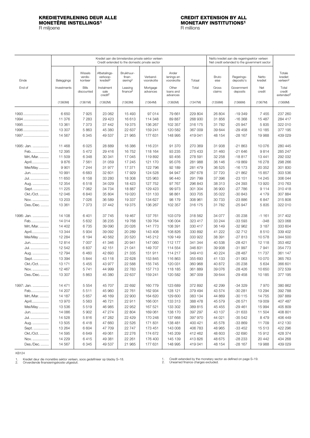### <span id="page-21-0"></span>**KREDIETVERLENING DEUR ALLE CREDIT EXTENSION BY ALL MONETÊRE INSTELLINGS1 MONETARY INSTITUTIONS1 KREDIETVERLENING DEUR ALLE CREDIT EXTENSION BY ALL MONETÊRE INSTELLINGS<sup>1</sup><br>R miljoene R miljoene B miljoene R miljoene B miljoene B miljoene B miljoene B miljoene B miljoene B miljoene B miljoene B miljoene B miljoene B m**

|                    |                    |                               |                                                  |                                              | Krediet aan die binnelandse private sektor verleen<br>Netto krediet aan die regeringsektor verleen<br>Net credit extended to the government sector<br>Credit extended to the domestic private sector |                                   |                    |                  |                          |                   |                                           |
|--------------------|--------------------|-------------------------------|--------------------------------------------------|----------------------------------------------|------------------------------------------------------------------------------------------------------------------------------------------------------------------------------------------------------|-----------------------------------|--------------------|------------------|--------------------------|-------------------|-------------------------------------------|
| Einde              | Beleggings         | Wissels<br>verdis-<br>konteer | Afbetalings-<br>verkoop-<br>krediet <sup>2</sup> | Bruikhuur-<br>finan-<br>siering <sup>2</sup> | Verband-<br>voorskotte                                                                                                                                                                               | Ander<br>lenings en<br>voorskotte | Totaal             | Bruto<br>eise    | Regerings-<br>deposito's | Netto<br>krediet  | Totale<br>krediet<br>verleen <sup>2</sup> |
| End of             | Investments        | <b>Bills</b><br>discounted    | Instalment<br>sale<br>credit <sup>2</sup>        | Leasing<br>finance <sup>2</sup>              | Mortgage<br>advances                                                                                                                                                                                 | Other<br>loans and<br>advances    | Total              | Gross<br>claims  | Government<br>deposits   | Net<br>credit     | Total<br>credit<br>extended <sup>2</sup>  |
|                    | (1360M)            | (1361M)                       | (1362M)                                          | (1363M)                                      | (1364M)                                                                                                                                                                                              | (1365M)                           | (1347M)            | (1356M)          | (1366M)                  | (1367M)           | (1368M)                                   |
| 1993               | 6650               | 7925                          | 23 062                                           | 15 4 93                                      | 97 014                                                                                                                                                                                               | 79 661                            | 229 804            | 26 804           | $-19349$                 | 7 4 5 5           | 237 260                                   |
| 1994               | 11 376             | 7 2 8 3                       | 29 4 23                                          | 16 613                                       | 114 348                                                                                                                                                                                              | 89 887                            | 268 930            | 31856            | $-16368$                 | 15 4 87           | 284 417                                   |
| 1995               | 13 361             | 7 3 7 3                       | 37 442                                           | 19 375                                       | 136 267                                                                                                                                                                                              | 102 357                           | 316 175            | 31 782           | $-25947$                 | 5835              | 322 010                                   |
| 1996               | 13 307             | 5863                          | 45 380                                           | 22 637                                       | 159 241                                                                                                                                                                                              | 120 582                           | 367 009            | 39 644           | $-29458$                 | 10 185            | 377 195                                   |
| 1997               | 14 567             | 6345                          | 49 537                                           | 21 965                                       | 177 631                                                                                                                                                                                              | 148 995                           | 419041             | 48 154           | $-28167$                 | 19 988            | 439 029                                   |
| 1995: Jan.         | 11 4 68            | 6 0 25                        | 28 889                                           | 16 386                                       | 116 231                                                                                                                                                                                              | 91 370                            | 270 369            | 31 938           | $-21863$                 | 10076             | 280 445                                   |
| Feb                | 12 3 9 5           | 5 4 7 2                       | 29 416                                           | 16 752                                       | 118 164                                                                                                                                                                                              | 93 2 35                           | 275 433            | 31 460           | $-21646$                 | 9814              | 285 247                                   |
| Mrt./Mar.          | 11 509             | 6 3 4 8                       | 30 341                                           | 17045                                        | 119892                                                                                                                                                                                               | 93 456                            | 278 591            | 32 258           | $-18817$                 | 13 441            | 292 032                                   |
| April              | 9876               | 7 5 6 1                       | 31 059                                           | 17 245                                       | 121 170                                                                                                                                                                                              | 95 0 76                           | 281 988            | 36 146           | $-19869$                 | 16 278            | 298 266                                   |
| Mei/May            | 9901               | 7 2 4 4                       | 31 977                                           | 17371                                        | 122 796                                                                                                                                                                                              | 92 189                            | 281 479            | 36 525           | $-16173$                 | 20 352            | 301 830                                   |
| Jun.               | 10 991             | 6683                          | 32 601                                           | 17929                                        | 124 528                                                                                                                                                                                              | 94 947                            | 287 678            | 37 720           | $-21862$                 | 15 857            | 303 536                                   |
| Jul.               | 11 650             | 6 1 5 8                       | 33 280                                           | 18 308                                       | 125 963                                                                                                                                                                                              | 96 440                            | 291 799            | 37 396           | $-23151$                 | 14 245            | 306 044                                   |
| Aug.               | 12 3 54            | 6518                          | 34 029                                           | 18 4 23                                      | 127 752                                                                                                                                                                                              | 97 767                            | 296 843            | 38 313           | $-24393$                 | 13 9 20           | 310 763                                   |
| Sept.              | 11 2 2 5           | 7 0 6 2                       | 34 734                                           | 18887                                        | 129 423                                                                                                                                                                                              | 99 973                            | 301 304            | 36 900           | $-27786$                 | 9114              | 310 418                                   |
| Okt./Oct.          | 12 046             | 6840                          | 35 804                                           | 19 0 20                                      | 131 133                                                                                                                                                                                              | 98 861                            | 303 705            | 35 022           | $-30843$                 | 4 1 7 9           | 307 884                                   |
| Nov.               | 13 203             | 7026                          | 36 589                                           | 19 337                                       | 134 627                                                                                                                                                                                              | 98 179                            | 308 961            | 30 733           | $-23886$                 | 6847              | 315 808                                   |
| Des./Dec.          | 13 3 61            | 7 3 7 3                       | 37 442                                           | 19 375                                       | 136 267                                                                                                                                                                                              | 102 357                           | 316 175            | 31 782           | $-25947$                 | 5835              | 322 010                                   |
| 1996: Jan.         | 14 108             | 6401                          | 37 745                                           | 19 4 67                                      | 137 761                                                                                                                                                                                              | 103 079                           | 318 562            | 34 077           | $-35238$                 | $-1161$           | 317 402                                   |
| Feb                | 14 014             | 5 6 3 2                       | 38 235                                           | 19768                                        | 139 764                                                                                                                                                                                              | 106 004                           | 323 417            | 33 244           | $-33593$                 | $-348$            | 323 068                                   |
| Mrt./Mar.          | 14 402             | 6735                          | 39 090                                           | 20 0 26                                      | 141 773                                                                                                                                                                                              | 108 391                           | 330 417            | 36 149           | $-32962$                 | 3 1 8 7           | 333 604                                   |
| April              | 13 344             | 5934                          | 39 092                                           | 20 289                                       | 143 408                                                                                                                                                                                              | 108 826                           | 330 892            | 41 222           | $-32712$                 | 8510              | 339 402                                   |
| Mei/May            | 12 2 8 4           | 6 1 9 4                       | 40 562                                           | 20 5 20                                      | 145 212                                                                                                                                                                                              | 109 149                           | 333 922            | 38 391           | $-27813$                 | 10578             | 344 500                                   |
| Jun                | 12814              | 7 0 0 7                       | 41 346                                           | 20 941                                       | 147 060                                                                                                                                                                                              | 112 177                           | 341 344            | 40 538           | $-28421$                 | 12 118            | 353 462                                   |
| Jul.               | 12 542             | 6837                          | 42 151                                           | 21 041                                       | 149 707                                                                                                                                                                                              | 114 554                           | 346 831            | 39 938           | $-31997$                 | 7941              | 354 773                                   |
| Aug.               | 12 794             | 6460                          | 42 693                                           | 21 335                                       | 151 911                                                                                                                                                                                              | 114 217                           | 349 410            | 40 224           | -28 487                  | 11 737            | 361 147                                   |
| Sept.<br>Okt./Oct. | 13 3 9 4<br>13 171 | 5844                          | 43 118                                           | 22 628                                       | 153 845<br>155 745                                                                                                                                                                                   | 116 863                           | 355 693<br>360 968 | 41 133<br>40 872 | -31 063<br>$-35238$      | 10 070            | 365 763<br>366 601                        |
|                    | 12 467             | 5 4 5 5<br>5741               | 43 977<br>44 999                                 | 22 588<br>22 783                             | 157 713                                                                                                                                                                                              | 120 031<br>118 185                | 361 889            | 39 0 76          | $-28426$                 | 5 6 3 4<br>10 650 | 372 539                                   |
| Nov.<br>Des./Dec   | 13 307             | 5863                          | 45 380                                           | 22 637                                       | 159 241                                                                                                                                                                                              | 120 582                           | 367 009            | 39 644           | $-29458$                 | 10 185            | 377 195                                   |
| 1997: Jan.         | 14 471             | 5 5 5 4                       | 45707                                            | 22 692                                       | 160779                                                                                                                                                                                               | 123 689                           | 372 892            | 42 299           | -34 329                  | 7970              | 380 862                                   |
|                    | 14 207             | 5511                          | 45 960                                           | 22 761                                       | 162 934                                                                                                                                                                                              | 128 121                           | 379 494            | 43 574           | $-30281$                 | 13 294            | 392 788                                   |
| Feb<br>Mrt./Mar.   | 14 187             | 5657                          | 46 169                                           | 22 900                                       | 164 620                                                                                                                                                                                              | 129 600                           | 383 134            | 44 869           | $-30115$                 | 14 755            | 397 889                                   |
| April              | 13 970             | 5 5 6 3                       | 46 721                                           | 22 911                                       | 166 001                                                                                                                                                                                              | 133 313                           | 388 478            | 45 579           | $-26571$                 | 19 009            | 407 487                                   |
| Mei/May            | 13 536             | 5519                          | 46 985                                           | 22 952                                       | 167 521                                                                                                                                                                                              | 133 302                           | 389 815            | 45 455           | $-29461$                 | 15 994            | 405 809                                   |
| Jun.               | 14 086             | 5 9 0 2                       | 47 274                                           | 22 804                                       | 169 061                                                                                                                                                                                              | 138 170                           | 397 297            | 43 137           | $-31633$                 | 11 504            | 408 801                                   |
| Jul.               | 14 5 28            | 5816                          | 47 282                                           | 22 4 29                                      | 170 248                                                                                                                                                                                              | 137 668                           | 397 970            | 44 021           | $-35542$                 | 8479              | 406 449                                   |
| Aug.               | 13 505             | 6418                          | 47 660                                           | 22 5 26                                      | 171831                                                                                                                                                                                               | 138 481                           | 400 421            | 45 578           | $-33869$                 | 11 709            | 412 130                                   |
| Sept.              | 13 2 64            | 6 6 0 4                       | 47 709                                           | 22 747                                       | 173 451                                                                                                                                                                                              | 143 008                           | 406 783            | 48 965           | $-33452$                 | 15 513            | 422 296                                   |
| Okt./Oct.          | 14 595             | 6649                          | 49 061                                           | 22 276                                       | 174 672                                                                                                                                                                                              | 145 209                           | 412 462            | 48 603           | $-32690$                 | 15912             | 428 374                                   |
| Nov.               | 14 2 29            | 6415                          | 49 381                                           | 22 261                                       | 176 400                                                                                                                                                                                              | 145 139                           | 413 826            | 48 675           | $-28233$                 | 20 442            | 434 268                                   |
| Des./Dec.          | 14 5 67            | 6 3 4 5                       | 49 537                                           | 21 965                                       | 177 631                                                                                                                                                                                              | 148 995                           | 419 041            | 48 154           | $-28167$                 | 19988             | 439 029                                   |

KB124

1. Krediet deur die monetêre sektor verleen, soos gedefinieer op bladsy S–18. 2. Onverdiende finansieringskoste uitgesluit.

1. Credit extended by the monetary sector as defined on page S–19. 2. Unearned finance charges excluded.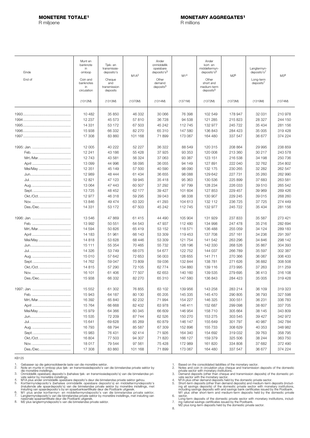<span id="page-22-0"></span>R miljoene R millions

| Einde<br>End of | Munt en<br>banknote<br>in<br>omloop<br>Coin and<br>banknotes<br>in<br>circulation | Tjek- en<br>transmissie-<br>deposito's<br>Cheque<br>and<br>transmission<br>deposits | M1A <sup>2</sup> | Ander<br>onmiddellik<br>opeisbare<br>denosito's <sup>3</sup><br>Other<br>demand<br>deposits <sup>3</sup> | M1 <sup>4</sup> | Ander<br>kort- en<br>middeltermyn-<br>deposito's <sup>5</sup><br>Other<br>short and<br>medium-term<br>deposits <sup>5</sup> | M2 <sup>6</sup> | Langtermyn-<br>deposito's7<br>Long-term<br>deposits <sup>7</sup> | M38     |
|-----------------|-----------------------------------------------------------------------------------|-------------------------------------------------------------------------------------|------------------|----------------------------------------------------------------------------------------------------------|-----------------|-----------------------------------------------------------------------------------------------------------------------------|-----------------|------------------------------------------------------------------|---------|
|                 | (1312M)                                                                           | (1313M)                                                                             | (1370M)          | (1314M)                                                                                                  | (1371M)         | (1372M)                                                                                                                     | (1373M)         | (1319M)                                                          | (1374M) |
|                 | 10 4 82                                                                           | 35 850                                                                              | 46 332           | 30 066                                                                                                   | 76 398          | 102 549                                                                                                                     | 178 947         | 32 031                                                           | 210978  |
|                 | 12 237                                                                            | 45 573                                                                              | 57810            | 36 728                                                                                                   | 94 538          | 121 285                                                                                                                     | 215 823         | 28 327                                                           | 244 150 |
|                 | 14 3 31                                                                           | 53 172                                                                              | 67 503           | 45 242                                                                                                   | 112 745         | 132 977                                                                                                                     | 245 722         | 35 4 34                                                          | 281 156 |
|                 | 15 938                                                                            | 66 332                                                                              | 82 270           | 65 310                                                                                                   | 147 580         | 136843                                                                                                                      | 284 423         | 35 005                                                           | 319 428 |
|                 | 17 308                                                                            | 83 860                                                                              | 101 168          | 71899                                                                                                    | 173 067         | 164 480                                                                                                                     | 337 547         | 36 677                                                           | 374 224 |
|                 | 12 005                                                                            | 40 222                                                                              | 52 227           | 36 322                                                                                                   | 88 549          | 120 315                                                                                                                     | 208 864         | 29 995                                                           | 238 859 |
|                 | 12 241                                                                            | 43 186                                                                              | 55 4 28          | 37 925                                                                                                   | 93 353          | 120 008                                                                                                                     | 213 360         | 30 217                                                           | 243 578 |
| Mrt./Mar.       | 12 743                                                                            | 43 581                                                                              | 56 324           | 37 063                                                                                                   | 93 387          | 123 151                                                                                                                     | 216 538         | 34 198                                                           | 250 736 |
|                 | 13 099                                                                            | 44 996                                                                              | 58 095           | 36 055                                                                                                   | 94 149          | 127 891                                                                                                                     | 222 040         | 32 762                                                           | 254 802 |
| Mei/May         | 12 351                                                                            | 45 149                                                                              | 57 500           | 40 590                                                                                                   | 98 090          | 132 175                                                                                                                     | 230 265         | 32 282                                                           | 262 547 |
|                 | 12 989                                                                            | 48 444                                                                              | 61 434           | 36 655                                                                                                   | 98 088          | 129 642                                                                                                                     | 227 731         | 35 260                                                           | 262 990 |
|                 | 12 8 21                                                                           | 47 123                                                                              | 59 945           | 35 418                                                                                                   | 95 363          | 130 536                                                                                                                     | 225 899         | 37 683                                                           | 263 581 |
|                 | 13 0 64                                                                           | 47 443                                                                              | 60 507           | 37 292                                                                                                   | 97 799          | 128 234                                                                                                                     | 226 033         | 39 510                                                           | 265 542 |
|                 | 13725                                                                             | 48 452                                                                              | 62 177           | 39 4 27                                                                                                  | 101 604         | 127 853                                                                                                                     | 229 457         | 39 969                                                           | 269 426 |
| Okt./Oct        | 12 977                                                                            | 46 318                                                                              | 59 295           | 39 043                                                                                                   | 98 338          | 130 907                                                                                                                     | 229 245         | 39 015                                                           | 268 260 |
|                 | 13846                                                                             | 49 474                                                                              | 63 320           | 41 293                                                                                                   | 104 613         | 132 112                                                                                                                     | 236 725         | 37 725                                                           | 274 449 |
| Des./Dec        | 14 3 31                                                                           | 53 172                                                                              | 67 503           | 45 242                                                                                                   | 112 745         | 132 977                                                                                                                     | 245 722         | 35 4 34                                                          | 281 156 |
|                 | 13546                                                                             | 47 869                                                                              | 61 415           | 44 490                                                                                                   | 105 904         | 131 929                                                                                                                     | 237 833         | 35 587                                                           | 273 421 |
|                 | 13 992                                                                            | 50 551                                                                              | 64 543           | 47 937                                                                                                   | 112 480         | 134 998                                                                                                                     | 247 478         | 35 216                                                           | 282 694 |
| Mrt./Mar        | 14 594                                                                            | 50 826                                                                              | 65 419           | 53 152                                                                                                   | 118571          | 136 488                                                                                                                     | 255 059         | 34 124                                                           | 289 183 |
|                 | 14 183                                                                            | 51 961                                                                              | 66 143           | 53 309                                                                                                   | 119 453         | 137 708                                                                                                                     | 257 161         | 34 236                                                           | 291 397 |
| Mei/May         | 14 8 18                                                                           | 53 628                                                                              | 68 446           | 53 309                                                                                                   | 121 754         | 141 542                                                                                                                     | 263 296         | 34 846                                                           | 298 142 |
|                 | 15 111                                                                            | 55 354                                                                              | 70 4 65          | 55 732                                                                                                   | 126 196         | 142 330                                                                                                                     | 268 526         | 35 867                                                           | 304 393 |
|                 | 14 3 26                                                                           | 53 749                                                                              | 68 075           | 54 677                                                                                                   | 122 752         | 144 037                                                                                                                     | 266 789         | 35 597                                                           | 302 387 |
|                 | 15 010                                                                            | 57 642                                                                              | 72 653           | 56 003                                                                                                   | 128 655         | 141 711                                                                                                                     | 270 366         | 36 067                                                           | 306 433 |
|                 | 14 762                                                                            | 59 047                                                                              | 73 809           | 59 036                                                                                                   | 132 844         | 138 781                                                                                                                     | 271 626         | 36 882                                                           | 308 508 |
| Okt./Oct.       | 14815                                                                             | 57 290                                                                              | 72 105           | 62 774                                                                                                   | 134 880         | 139 116                                                                                                                     | 273 995         | 37 263                                                           | 311 259 |
|                 | 16 101                                                                            | 61 40 6                                                                             | 77 507           | 62 653                                                                                                   | 140 160         | 139 535                                                                                                                     | 279 695         | 36413                                                            | 316 108 |
| Des./Dec        | 15 938                                                                            | 66 332                                                                              | 82 270           | 65 310                                                                                                   | 147 580         | 136 843                                                                                                                     | 284 423         | 35 005                                                           | 319 428 |
|                 | 15 552                                                                            | 61 302                                                                              | 76 855           | 63 102                                                                                                   | 139 956         | 143 258                                                                                                                     | 283 214         | 36 109                                                           | 319 323 |
|                 | 15 943                                                                            | 64 187                                                                              | 80 130           | 65 205                                                                                                   | 145 335         | 145 470                                                                                                                     | 290 805         | 36 793                                                           | 327 598 |
| Mrt./Mar        | 16 392                                                                            | 65 840                                                                              | 82 232           | 71 994                                                                                                   | 154 227         | 146 325                                                                                                                     | 300 551         | 36 231                                                           | 336 783 |
|                 | 15764                                                                             | 66 668                                                                              | 82 432           | 63978                                                                                                    | 146 411         | 152 687                                                                                                                     | 299 098         | 38 607                                                           | 337 705 |
| Mei/May         | 15 979                                                                            | 64 366                                                                              | 80 345           | 66 609                                                                                                   | 146 954         | 158 710                                                                                                                     | 305 664         | 38 145                                                           | 343 809 |
|                 | 15 5 35                                                                           | 72 209                                                                              | 87 744           | 62 526                                                                                                   | 150 270         | 153 275                                                                                                                     | 303 545         | 39 427                                                           | 342 972 |
|                 | 15 641                                                                            | 69 628                                                                              | 85 269           | 60 879                                                                                                   | 146 147         | 155 649                                                                                                                     | 301 797         | 40 987                                                           | 342 784 |
|                 | 16 793                                                                            | 68794                                                                               | 85 587           | 67 309                                                                                                   | 152 896         | 155 733                                                                                                                     | 308 629         | 40 353                                                           | 348 982 |
|                 | 15 983                                                                            | 76 431                                                                              | 92 414           | 71926                                                                                                    | 164 340         | 154 692                                                                                                                     | 319 032         | 39 763                                                           | 358 795 |
| Okt./Oct        | 16 804                                                                            | 77 503                                                                              | 94 307           | 71 820                                                                                                   | 166 127         | 159 379                                                                                                                     | 325 506         | 38 244                                                           | 363 750 |
|                 | 18017                                                                             | 79 544                                                                              | 97 561           | 75 4 28                                                                                                  | 172 989         | 161 820                                                                                                                     | 334 808         | 37 682                                                           | 372 490 |
| Des./Dec        | 17 308                                                                            | 83 860                                                                              | 101 168          | 71 899                                                                                                   | 173 067         | 164 480                                                                                                                     | 337 547         | 36 677                                                           | 374 224 |

KB125

1. 2.

3.

4. 5.

Gebaseer op die gekonsolideerde laste van die monetêre sektor.<br>Note en munte in omloop plus tiek- en transmissiedeposito's van die binnelandse private sektor by<br>Note en munte in omloop plus tiek- en transmissiedeposito's) 6. 7.

8.

1. 2.

3.

4.

Based on the consolidated liabilities of the monetary sector.<br>Notes and coin in circulation plus cheque and transmission deposits of the domestic<br>Notes and coin in circulation plus cheque and transmission deposits of the d 5. 6.

Long-term deposits of the domestic private sector with monetary institutions, includ-ing national savings certificates issued by the Postbank. M2 plus long-term deposits held by the domestic private sector. 7.

8.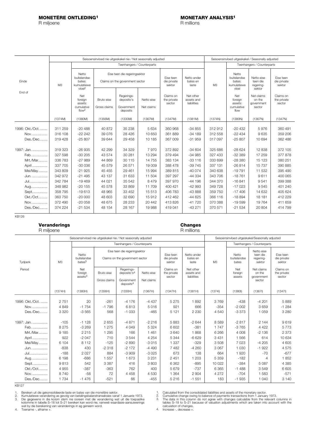<span id="page-23-0"></span>R miljoene

|                                    |                               |                                                                     | Seisoensinvloed nie uitgeskakel nie / Not seasonally adjusted   | Seisoensinvloed uitgeskakel / Seasonally adjusted  |                             |                                    |                                        |                               |                                                        |                                               |                                    |
|------------------------------------|-------------------------------|---------------------------------------------------------------------|-----------------------------------------------------------------|----------------------------------------------------|-----------------------------|------------------------------------|----------------------------------------|-------------------------------|--------------------------------------------------------|-----------------------------------------------|------------------------------------|
|                                    |                               |                                                                     |                                                                 | Teenhangers / Counterparts                         |                             |                                    |                                        |                               |                                                        | Teenhangers / Counterparts                    |                                    |
| Einde                              | M <sub>3</sub>                | Netto<br>buitelandse<br>bates:<br>kumulatiewe<br>vloei <sup>2</sup> | Eise teen die regeringsektor<br>Claims on the government sector |                                                    |                             | Eise teen<br>die private<br>sektor | Netto ander<br>bates en<br>laste       | M <sub>3</sub>                | Netto<br>buitelandse<br>bates:<br>kumulatiewe<br>vloei | Netto eise<br>teen die<br>regering-<br>sektor | Eise teen<br>die private<br>sektor |
| End of                             |                               | Net<br>foreign<br>assets:<br>cumulative<br>flow <sup>2</sup>        | Bruto eise<br>Gross claims                                      | Regerings-<br>deposito's<br>Government<br>deposits | Netto eise<br>Net claims    | Claims on<br>the private<br>sector | Net other<br>assets and<br>liabilities |                               | Net<br>foreign<br>assets:<br>cumulative<br>flow        | Net claims<br>on the<br>government<br>sector  | Claims on<br>the private<br>sector |
|                                    | (1374M)                       | (1380M)                                                             | (1356M)                                                         | (1330M)                                            | (1367M)                     | (1347M)                            | (1381M)                                | (1374N)                       | (1380N)                                                | (1367N)                                       | (1347N)                            |
| 1996: Okt./Oct.<br>Nov<br>Des./Dec | 311 259<br>316 108<br>319 428 | $-20488$<br>$-222242$<br>$-25807$                                   | 40 872<br>39 0 76<br>39 644                                     | 35 238<br>28 4 26<br>29 4 58                       | 5 6 3 4<br>10 650<br>10 185 | 360 968<br>361 889<br>367 009      | $-34855$<br>$-34189$<br>$-31959$       | 312 912<br>312 558<br>317 097 | $-20432$<br>$-22434$<br>$-25807$                       | 5976<br>9635<br>10 694                        | 360 491<br>359 206<br>362 486      |
| 1997: Jan.<br>Feb.<br>Mrt./Mar     | 319 323<br>327 598<br>336 783 | $-26935$<br>$-30205$<br>$-27989$                                    | 42 299<br>43 574<br>44 869                                      | 34 329<br>30 281<br>30 115                         | 7970<br>13 294<br>14 7 5 5  | 372 892<br>379 494<br>383 134      | $-34604$<br>$-34985$<br>$-33116$       | 325 686<br>327 433<br>333 699 | $-28624$<br>$-3239$<br>$-28380$                        | 12 838<br>17 259<br>15 123                    | 372 105<br>377878<br>380 251       |
| April<br>Mei/May                   | 337 705<br>343 809<br>342 972 | $-30036$<br>$-21925$<br>$-21495$                                    | 45 579<br>45 4 55<br>43 137                                     | 26 571<br>29 4 61<br>31 633                        | 19 009<br>15 9 94<br>11 504 | 388 478<br>389 815<br>397 297      | $-39745$<br>$-40074$<br>$-44334$       | 337 131<br>340 638<br>343 706 | $-26814$<br>$-19791$<br>$-18761$                       | 15 7 37<br>11 532<br>9611                     | 390 885<br>395 490<br>400 065      |
| Jun.<br>Jul<br>Aug                 | 342 784<br>348 982            | $-19469$<br>$-20155$                                                | 44 021<br>45 578                                                | 35 542<br>33 869                                   | 8 4 7 9<br>11 709           | 397 970<br>400 421                 | $-44196$<br>$-42993$                   | 344 370<br>349 728            | $-16841$<br>$-17023$                                   | 9541<br>9545                                  | 399 388<br>401 240                 |
| Sept<br>Okt./Oct<br>Nov            | 358 795<br>363 750<br>372 490 | $-19613$<br>$-20000$<br>$-20058$                                    | 48 965<br>48 603<br>48 675                                      | 33 452<br>32 690<br>28 233                         | 15 5 13<br>15912<br>20 442  | 406 783<br>412 462<br>413826       | $-43888$<br>$-44625$<br>$-41720$       | 359 750<br>366 116<br>370 388 | $-17406$<br>$-18894$<br>$-19599$                       | 14 632<br>18 18 1<br>19764                    | 405 624<br>412 229<br>411 659      |
| Des./Dec                           | 374 224                       | $-21534$                                                            | 48 154                                                          | 28 167                                             | 19 988                      | 419 041                            | $-43271$                               | 370 571                       | $-21534$                                               | 20 804                                        | 414 799                            |

KB126

### **Veranderings Changes** R miljoene

|                 |                | Seisoensinvloed nie uitgeskakel nie / Not seasonally adjusted |                            | Seisoensinvloed uitgeskakel/Seasonally adjusted                              |                          |                                    |                                        |                |                               |                                               |                                    |  |
|-----------------|----------------|---------------------------------------------------------------|----------------------------|------------------------------------------------------------------------------|--------------------------|------------------------------------|----------------------------------------|----------------|-------------------------------|-----------------------------------------------|------------------------------------|--|
|                 |                |                                                               |                            | Teenhangers / Counterparts                                                   |                          |                                    |                                        |                | Teenhangers / Counterparts    |                                               |                                    |  |
| Tydperk         | M <sub>3</sub> | Netto<br>buitelandse<br>bates <sup>3</sup>                    |                            | Eise teen die regeringsektor<br>Claims on the government sector              |                          | Eise teen<br>die private<br>sektor | Netto ander<br>bates en<br>laste       | M <sub>3</sub> | Netto<br>buitelandse<br>bates | Netto eise<br>teen die<br>regering-<br>sektor | Eise teen<br>die private<br>sektor |  |
| Period          |                | Net<br>foreign<br>aseses <sup>3</sup>                         | Bruto eise<br>Gross claims | Regerings-<br>denosito's <sup>4</sup><br>Government<br>denosits <sup>4</sup> | Netto eise<br>Net claims | Claims on<br>the private<br>sector | Net other<br>assets and<br>liabilities |                | Net<br>foreign<br>assets      | Net claims<br>on the<br>government<br>sector  | Claims on<br>the private<br>sector |  |
|                 | (1374H)        | (1380H)                                                       | (1356H)                    | (1330H)                                                                      | (1367H)                  | (1347H)                            | (1381H)                                | (1374)         | (1380I)                       | (1367)                                        | (1347)                             |  |
| 1996: Okt./Oct. | 2751           | 20                                                            | $-261$                     | $-4176$                                                                      | $-4437$                  | 5 2 7 5                            | 1892                                   | 3769           | $-438$                        | $-4201$                                       | 5889                               |  |
| Nov             | 4849           | $-1754$                                                       | $-1796$                    | 6813                                                                         | 5016                     | 921                                | 666                                    | $-354$         | $-2002$                       | 3659                                          | $-1284$                            |  |
| Des./Dec        | 3 3 2 0        | $-3565$                                                       | 568                        | $-1033$                                                                      | $-465$                   | 5 1 2 1                            | 2 2 3 0                                | 4 5 4 0        | $-3373$                       | 1 0 5 9                                       | 3 2 8 0                            |  |
| 1997: Jan.      | $-105$         | $-1128$                                                       | 2655                       | $-4871$                                                                      | $-2216$                  | 5883                               | $-2644$                                | 8589           | $-2817$                       | 2 1 4 4                                       | 9619                               |  |
| Feb.            | 8275           | $-3269$                                                       | 1 2 7 5                    | 4 0 4 9                                                                      | 5 3 2 4                  | 6 602                              | $-381$                                 | 1747           | $-3765$                       | 4 4 2 2                                       | 5773                               |  |
| Mrt./Mar        | 9 1 8 5        | 2 2 1 5                                                       | 1 2 9 5                    | 166                                                                          | 1 4 6 1                  | 3640                               | 1868                                   | 6 2 6 6        | 4 0 0 8                       | $-2136$                                       | 2 3 7 3                            |  |
| April           | 922            | $-2047$                                                       | 710                        | 3544                                                                         | 4 2 5 4                  | 5 3 4 4                            | $-6629$                                | 3 4 3 1        | 1566                          | 614                                           | 10 634                             |  |
| Mei/May         | 6 104          | 8 1 1 2                                                       | $-125$                     | $-2890$                                                                      | $-3015$                  | 1 3 3 7                            | $-329$                                 | 3508           | 7 0 2 3                       | $-4205$                                       | 4 605                              |  |
| Jun.            | $-838$         | 430                                                           | $-2318$                    | $-2172$                                                                      | $-4490$                  | 7482                               | $-4260$                                | 3067           | 1 0 3 0                       | $-1922$                                       | 4575                               |  |
| Jul             | $-188$         | 2027                                                          | 884                        | $-3909$                                                                      | $-3025$                  | 673                                | 138                                    | 664            | 1920                          | $-70$                                         | $-677$                             |  |
| Aug             | 6 1 9 8        | $-686$                                                        | 1 5 5 7                    | 1673                                                                         | 3 2 3 1                  | 2 4 5 1                            | 1 203                                  | 5 3 5 9        | $-182$                        | 4                                             | 1852                               |  |
| Sept            | 9813           | 542                                                           | 3 3 8 7                    | 416                                                                          | 3 803                    | 6 3 6 2                            | $-895$                                 | 10 0 22        | $-384$                        | 5 0 8 7                                       | 4 3 8 5                            |  |
| Okt./Oct        | 4 9 5 5        | $-387$                                                        | $-363$                     | 762                                                                          | 400                      | 5679                               | $-737$                                 | 6 3 6 5        | $-1488$                       | 3549                                          | 6 6 0 5                            |  |
| Nov             | 8740           | $-58$                                                         | 72                         | 4 4 5 8                                                                      | 4530                     | 1 3 6 4                            | 2 9 0 4                                | 4 2 7 2        | $-704$                        | 1583                                          | $-571$                             |  |
| Des./Dec        | 1 7 3 4        | $-1476$                                                       | $-521$                     | 66                                                                           | $-455$                   | 5 2 1 6                            | $-1551$                                | 183            | $-1935$                       | 1 0 4 0                                       | 3 1 4 0                            |  |

KB127

1. 2.

Bereken uit die gekonsolideerde laste en bates van die monetêre sektor.<br>Kumulatiewe verandering as gevolg van betalingsbalanstransaksies vanaf 1 Januarie 1973.<br>Die gegewens in die kolom stem nie ooreen met die verandering 3.

Toename -, afname +. 4.

Calculated from the consolidated liabilities and assets of the monetary sector.<br>Cumulative change owing to balance of payments transactions from 1 January 1973.<br>The data in this column do not agree with changes calculable 1. 2. 3.

Increase -, decrease +. 4.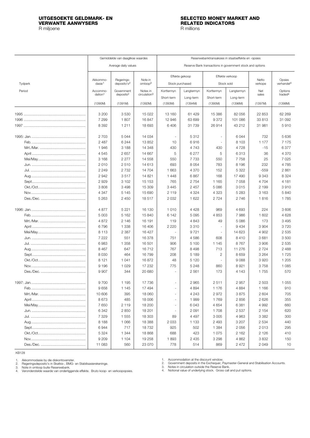# **VERWANTE AANWYSERS**

R miljoene R millions

# <span id="page-24-0"></span>**UITGESOEKTE GELDMARK- EN SELECTED MONEY MARKET AND**

|         | Gemiddelde van daaglikse waardes |                                       |                                |                          |                | Reserwebanktransaksies in staatseffekte en -opsies |                                                           |                  |                                  |  |  |  |
|---------|----------------------------------|---------------------------------------|--------------------------------|--------------------------|----------------|----------------------------------------------------|-----------------------------------------------------------|------------------|----------------------------------|--|--|--|
|         |                                  |                                       |                                |                          |                |                                                    |                                                           |                  |                                  |  |  |  |
|         |                                  | Average daily values                  |                                |                          |                |                                                    | Reserve Bank transactions in government stock and options |                  |                                  |  |  |  |
|         |                                  |                                       |                                |                          | Effekte gekoop |                                                    | Effekte verkoop                                           |                  |                                  |  |  |  |
| Tydperk | Akkommo-<br>dasiel <sup>1</sup>  | Regerings-<br>deposito's <sup>2</sup> | Note in<br>omloop <sup>3</sup> | Stock purchased          |                |                                                    | Stock sold                                                | Netto<br>verkope | Opsies<br>verhandel <sup>4</sup> |  |  |  |
| Period  | Accommo-                         | Government                            | Notes in                       | Korttermyn               | Langtermyn     | Korttermyn                                         | Langtermyn                                                | Net              | Options                          |  |  |  |
|         | dation <sup>1</sup>              | deposits <sup>2</sup>                 | circulation <sup>3</sup>       | Short-term               | Long-term      | Short-term                                         | Long-term                                                 | sales            | traded <sup>4</sup>              |  |  |  |
|         | (1390M)                          | (1391M)                               | (1392M)                        | (1393M)                  | (1394M)        | (1395M)                                            | (1396M)                                                   | (1397M)          | (1398M)                          |  |  |  |
|         |                                  |                                       |                                |                          |                |                                                    |                                                           |                  |                                  |  |  |  |
|         | 3 2 0 0                          | 3530                                  | 15 0 22                        | 13 160                   | 61 429         | 15 386                                             | 82 056                                                    | 22 853           | 62 269                           |  |  |  |
|         | 7 2 9 9                          | 1807                                  | 16847                          | 12 946                   | 63 699         | 9372                                               | 101 086                                                   | 33 813           | 31 092                           |  |  |  |
|         | 8 3 9 2                          | 1 2 1 1                               | 18 693                         | 6406                     | 31 739         | 26914                                              | 43 212                                                    | 31 981           | 5910                             |  |  |  |
|         | 2 7 0 3                          | 5044                                  | 14 0 34                        |                          | 5312           | $\overline{\phantom{a}}$                           | 6044                                                      | 732              | 5 6 3 6                          |  |  |  |
|         | 2 4 8 7                          | 6 2 4 4                               | 13852                          | 10                       | 6916           | $\overline{\phantom{a}}$                           | 8 1 0 3                                                   | 1 1 7 7          | 7 1 7 5                          |  |  |  |
|         | 1946                             | 3 1 8 8                               | 14 348                         | 430                      | 4743           | 430                                                | 4728                                                      | $-15$            | 6377                             |  |  |  |
|         | 4545                             | 2657                                  | 14 667                         | 5                        | 6 277          | 5                                                  | 6313                                                      | 36               | 4 370                            |  |  |  |
|         | 3 1 6 8                          | 2 2 7 7                               | 14 5 58                        | 550                      | 7733           | 550                                                | 7758                                                      | 25               | 7 0 2 5                          |  |  |  |
|         | 2010                             | 2510                                  | 14 613                         | 693                      | 8054           | 783                                                | 8 1 9 6                                                   | 232              | 4785                             |  |  |  |
|         | 2 2 4 9                          | 2 7 3 2                               | 14 704                         | 1 6 6 3                  | 4 3 7 0        | 152                                                | 5 3 2 2                                                   | $-559$           | 2 8 6 1                          |  |  |  |
|         | 2942                             | 3517                                  | 14 821                         | 1448                     | 6867           | 168                                                | 17490                                                     | 9343             | 8 3 2 4                          |  |  |  |
|         | 2929                             | 3 1 0 2                               | 15 153                         | 765                      | 2754           | 1 1 6 5                                            | 7 0 5 8                                                   | 4 704            | 4 1 8 1                          |  |  |  |
|         | 3808                             | 3 4 9 8                               | 15 309                         | 3 4 4 5                  | 2 4 5 7        | 5 0 8 6                                            | 3015                                                      | 2 1 9 9          | 3910                             |  |  |  |
|         | 4 3 4 7                          | 5 1 4 5                               | 15 690                         | 2 1 1 9                  | 4 3 2 4        | 4 3 2 3                                            | 5 2 8 3                                                   | 3 1 6 3          | 5840                             |  |  |  |
|         | 5 2 6 3                          | 2 4 5 0                               | 18517                          | 2032                     | 1 6 2 2        | 2 7 2 4                                            | 2746                                                      | 1816             | 1785                             |  |  |  |
|         |                                  |                                       |                                |                          |                |                                                    |                                                           |                  |                                  |  |  |  |
|         | 4877                             | 5 2 2 1                               | 16 130                         | 1010                     | 4 4 2 8        | 969                                                | 4 6 9 3                                                   | 224              | 3 606                            |  |  |  |
|         | 5 0 0 3                          | 5 1 6 2                               | 15 840                         | 6 1 4 2                  | 5 0 9 5        | 4 8 5 3                                            | 7986                                                      | 1 602            | 4 6 28                           |  |  |  |
|         | 4872                             | 2 1 4 6                               | 16 191                         | 119                      | 4843           | 49                                                 | 5086                                                      | 173              | 3 4 9 5                          |  |  |  |
|         | 6796                             | 1 3 3 8                               | 16 40 6                        | 2 2 2 0                  | 3310           | $\overline{\phantom{a}}$                           | 9 4 3 4                                                   | 3 9 0 4          | 3720                             |  |  |  |
|         | 8 1 1 3                          | 2 3 8 7                               | 16 427                         |                          | 9721           | $\overline{\phantom{a}}$                           | 14 623                                                    | 4 9 0 2          | 2 5 3 5                          |  |  |  |
|         | 7 2 2 2                          | 551                                   | 16 378                         | 751                      | 4586           | 608                                                | 8410                                                      | 3681             | 3500                             |  |  |  |
|         | 6983                             | 1 3 5 8                               | 16 501                         | 906                      | 5 100          | 1 1 4 5                                            | 8767                                                      | 3 9 0 6          | 2 5 3 5                          |  |  |  |
|         | 8 4 6 7                          | 647                                   | 16712                          | 767                      | 8 4 9 8        | 713                                                | 11 276                                                    | 2 7 2 4          | 2 4 8 8                          |  |  |  |
|         | 8 0 3 0                          | 464                                   | 16799                          | 208                      | 5 1 8 9        | $\mathbf{2}$                                       | 8659                                                      | 3 2 6 4          | 1725                             |  |  |  |
|         | 8 1 2 1                          | 1 0 4 1                               | 16872                          | 48                       | 5 1 2 0        | $\overline{\phantom{a}}$                           | 9088                                                      | 3920             | 1 205                            |  |  |  |
|         | 9 1 9 6                          | 1 0 2 9                               | 17 232                         | 775                      | 5 2 4 8        | 860                                                | 8921                                                      | 3758             | 1 0 8 5                          |  |  |  |
|         | 9 9 0 7                          | 344                                   | 20 680                         |                          | 2 5 6 1        | 173                                                | 4 1 4 3                                                   | 1755             | 570                              |  |  |  |
|         | 9700                             | 1 1 9 5                               | 17 736                         | ä,                       | 2 9 6 5        | 2511                                               | 2957                                                      | 2 5 0 3          | 1 0 5 5                          |  |  |  |
|         | 9658                             | 1 1 4 5                               | 17 494                         |                          | 4894           | 1 1 7 6                                            | 4 8 8 4                                                   | 1 1 6 6          | 910                              |  |  |  |
|         | 10 606                           | 395                                   | 18 060                         |                          | 4 2 4 3        | 2972                                               | 3875                                                      | 2 604            | 705                              |  |  |  |
|         | 8673                             | 485                                   | 18 006                         |                          | 1999           | 1769                                               | 2856                                                      | 2626             | 355                              |  |  |  |
|         | 7650                             | 2 1 1 9                               | 18 200                         | $\overline{\phantom{a}}$ | 6043           | 4 6 5 4                                            | 6 3 8 1                                                   | 4 9 9 2          | 660                              |  |  |  |
|         | 6 3 4 2                          | 2850                                  | 18 201                         | $\overline{\phantom{a}}$ | 2091           | 1708                                               | 2 5 3 7                                                   | 2 1 5 4          | 620                              |  |  |  |
|         | 7 3 2 9                          | 1 5 5 5                               | 18 303                         | 89                       | 4 4 9 7        | 3 0 0 5                                            | 4 9 6 3                                                   | 3 3 8 2          | 300                              |  |  |  |
|         | 8 1 8 8                          | 1 0 6 6                               | 18 388                         | 2033                     | 1 1 3 3        | 2 4 9 3                                            | 3 2 0 7                                                   | 2 5 3 4          | 440                              |  |  |  |
|         | 6944                             | 717                                   | 18732                          | 925                      | 502            | 1 3 8 4                                            | 2056                                                      | 2013             | 295                              |  |  |  |
|         | 5 3 2 4                          | 1 3 4 4                               | 18868                          | 688                      | 423            | 1075                                               | 2 1 6 2                                                   | 2 1 2 6          | 410                              |  |  |  |
|         | 9 2 0 9                          | 1 1 0 4                               | 19 258                         | 1893                     | 2 4 3 5        | 3 2 9 8                                            | 4 8 6 2                                                   | 3832             | 150                              |  |  |  |
|         | 11 083                           | 560                                   | 23 0 70                        | 778                      | 514            | 869                                                | 2472                                                      | 2 0 4 9          | 10                               |  |  |  |

KB128

1.

2. 3. 4.

Akkommodasie by die diskontovenster.<br>Regeringsdeposito's in Skatkis-, BMG- en Stabilisasierekeninge.<br>Note in omloop buite Reserwebank.<br>Veronderstelde waarde van onderliggende effekte. Bruto koop- en verkoopopsies.

Accommodation at the discount window.<br>Government deposits in the Exchequer, Paymaster-General and Stabilisation Accounts.<br>Notes in circulation outside the Reserve Bank.<br>Notional value of underlying stock. Gross call and pu

1. 2. 3. 4.